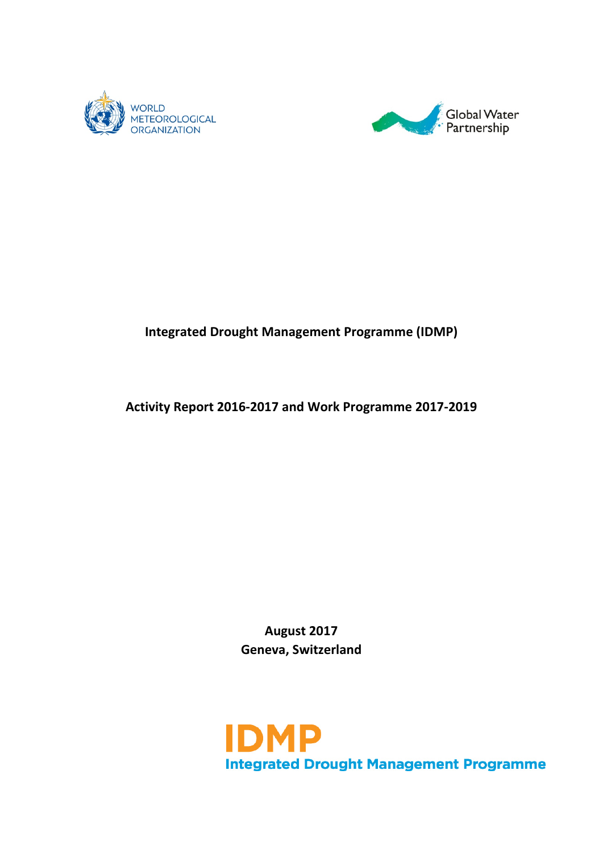



## **Integrated Drought Management Programme (IDMP)**

## **Activity Report 2016-2017 and Work Programme 2017-2019**

**August 2017 Geneva, Switzerland**

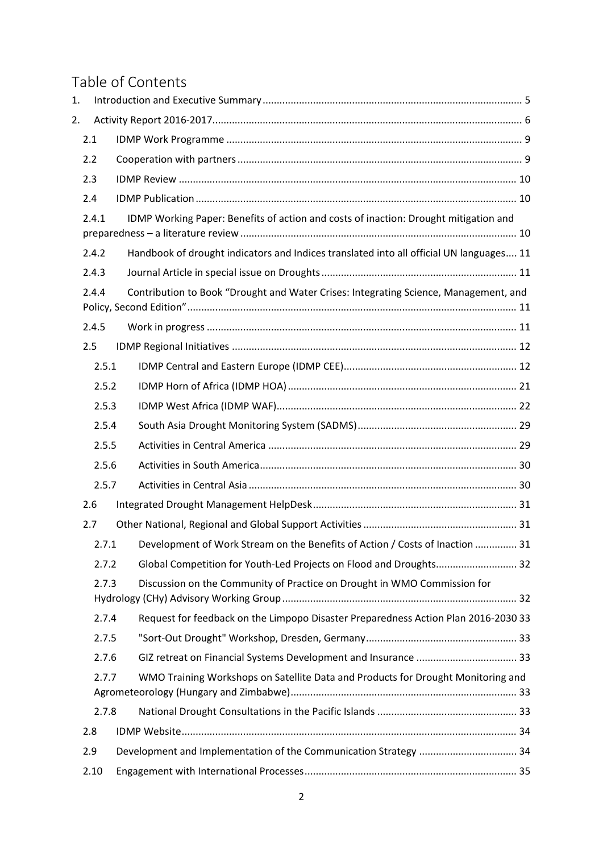# Table of Contents

| 1.             |       |                                                                                         |  |  |
|----------------|-------|-----------------------------------------------------------------------------------------|--|--|
| 2.             |       |                                                                                         |  |  |
|                | 2.1   |                                                                                         |  |  |
|                | 2.2   |                                                                                         |  |  |
|                | 2.3   |                                                                                         |  |  |
|                | 2.4   |                                                                                         |  |  |
|                | 2.4.1 | IDMP Working Paper: Benefits of action and costs of inaction: Drought mitigation and    |  |  |
|                |       |                                                                                         |  |  |
|                | 2.4.2 | Handbook of drought indicators and Indices translated into all official UN languages 11 |  |  |
|                | 2.4.3 |                                                                                         |  |  |
|                | 2.4.4 | Contribution to Book "Drought and Water Crises: Integrating Science, Management, and    |  |  |
|                | 2.4.5 |                                                                                         |  |  |
|                | 2.5   |                                                                                         |  |  |
|                | 2.5.1 |                                                                                         |  |  |
|                |       |                                                                                         |  |  |
| 2.5.2          |       |                                                                                         |  |  |
| 2.5.3<br>2.5.4 |       |                                                                                         |  |  |
|                | 2.5.5 |                                                                                         |  |  |
|                | 2.5.6 |                                                                                         |  |  |
|                | 2.5.7 |                                                                                         |  |  |
|                | 2.6   |                                                                                         |  |  |
|                | 2.7   |                                                                                         |  |  |
|                |       | 2.7.1 Development of Work Stream on the Benefits of Action / Costs of Inaction<br>31    |  |  |
|                | 2.7.2 | Global Competition for Youth-Led Projects on Flood and Droughts 32                      |  |  |
|                | 2.7.3 | Discussion on the Community of Practice on Drought in WMO Commission for                |  |  |
|                |       |                                                                                         |  |  |
|                | 2.7.4 | Request for feedback on the Limpopo Disaster Preparedness Action Plan 2016-2030 33      |  |  |
|                | 2.7.5 |                                                                                         |  |  |
|                | 2.7.6 |                                                                                         |  |  |
|                | 2.7.7 | WMO Training Workshops on Satellite Data and Products for Drought Monitoring and        |  |  |
|                |       |                                                                                         |  |  |
|                | 2.7.8 |                                                                                         |  |  |
|                | 2.8   |                                                                                         |  |  |
|                | 2.9   | Development and Implementation of the Communication Strategy  34                        |  |  |
|                | 2.10  |                                                                                         |  |  |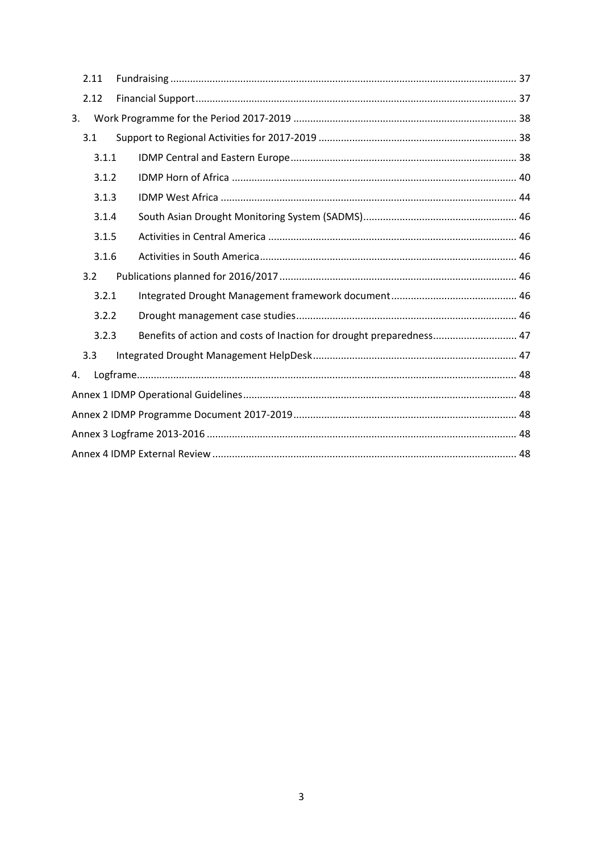| 2.11  |                                                                      |  |  |  |  |
|-------|----------------------------------------------------------------------|--|--|--|--|
| 2.12  |                                                                      |  |  |  |  |
| 3.    |                                                                      |  |  |  |  |
| 3.1   |                                                                      |  |  |  |  |
| 3.1.1 |                                                                      |  |  |  |  |
| 3.1.2 |                                                                      |  |  |  |  |
| 3.1.3 |                                                                      |  |  |  |  |
| 3.1.4 |                                                                      |  |  |  |  |
| 3.1.5 |                                                                      |  |  |  |  |
| 3.1.6 |                                                                      |  |  |  |  |
| 3.2   |                                                                      |  |  |  |  |
| 3.2.1 |                                                                      |  |  |  |  |
| 3.2.2 |                                                                      |  |  |  |  |
| 3.2.3 | Benefits of action and costs of Inaction for drought preparedness 47 |  |  |  |  |
| 3.3   |                                                                      |  |  |  |  |
| 4.    |                                                                      |  |  |  |  |
|       |                                                                      |  |  |  |  |
|       |                                                                      |  |  |  |  |
|       |                                                                      |  |  |  |  |
|       |                                                                      |  |  |  |  |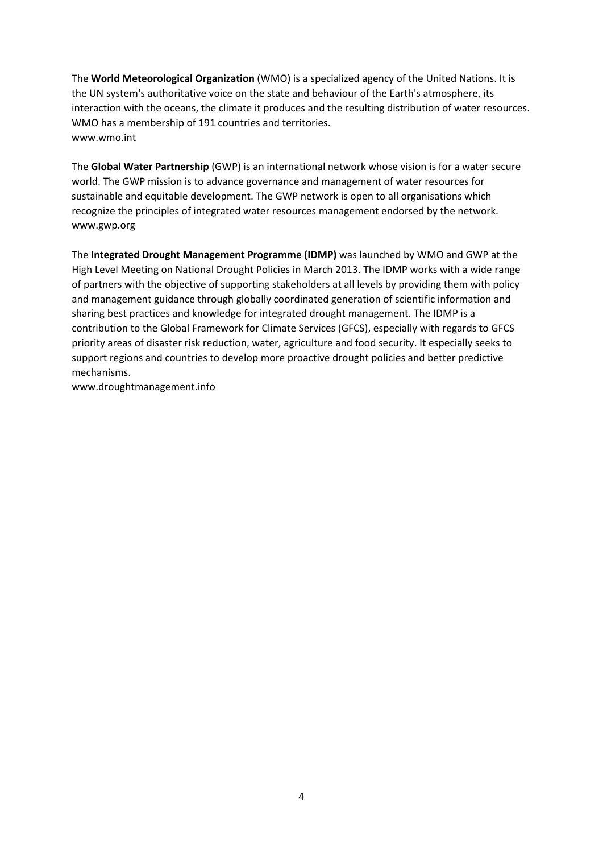The **World Meteorological Organization** (WMO) is a specialized agency of the United Nations. It is the UN system's authoritative voice on the state and behaviour of the Earth's atmosphere, its interaction with the oceans, the climate it produces and the resulting distribution of water resources. WMO has a membership of 191 countries and territories. www.wmo.int

The **Global Water Partnership** (GWP) is an international network whose vision is for a water secure world. The GWP mission is to advance governance and management of water resources for sustainable and equitable development. The GWP network is open to all organisations which recognize the principles of integrated water resources management endorsed by the network. www.gwp.org

The **Integrated Drought Management Programme (IDMP)** was launched by WMO and GWP at the High Level Meeting on National Drought Policies in March 2013. The IDMP works with a wide range of partners with the objective of supporting stakeholders at all levels by providing them with policy and management guidance through globally coordinated generation of scientific information and sharing best practices and knowledge for integrated drought management. The IDMP is a contribution to the Global Framework for Climate Services (GFCS), especially with regards to GFCS priority areas of disaster risk reduction, water, agriculture and food security. It especially seeks to support regions and countries to develop more proactive drought policies and better predictive mechanisms.

www.droughtmanagement.info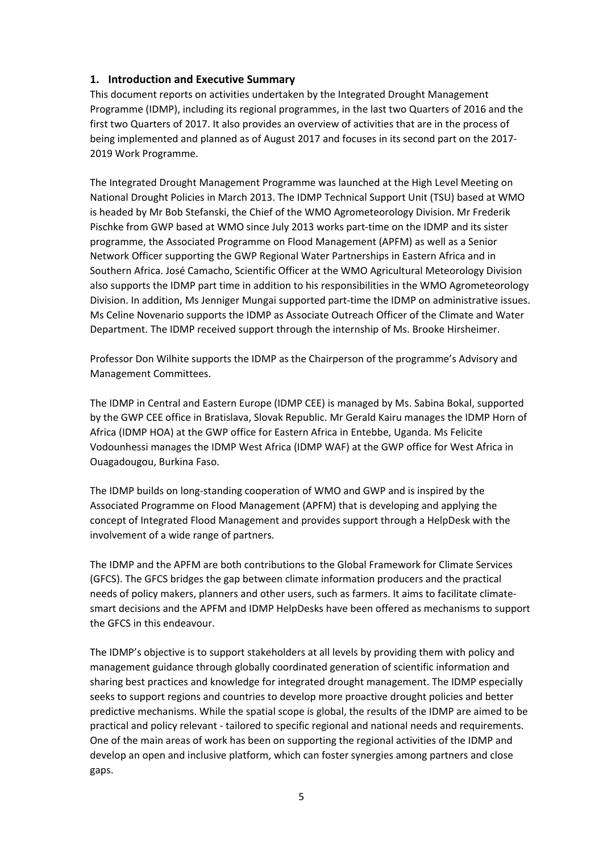#### <span id="page-4-0"></span>**1. Introduction and Executive Summary**

This document reports on activities undertaken by the Integrated Drought Management Programme (IDMP), including its regional programmes, in the last two Quarters of 2016 and the first two Quarters of 2017. It also provides an overview of activities that are in the process of being implemented and planned as of August 2017 and focuses in its second part on the 2017- 2019 Work Programme.

The Integrated Drought Management Programme was launched at the High Level Meeting on National Drought Policies in March 2013. The IDMP Technical Support Unit (TSU) based at WMO is headed by Mr Bob Stefanski, the Chief of the WMO Agrometeorology Division. Mr Frederik Pischke from GWP based at WMO since July 2013 works part-time on the IDMP and its sister programme, the Associated Programme on Flood Management (APFM) as well as a Senior Network Officer supporting the GWP Regional Water Partnerships in Eastern Africa and in Southern Africa. José Camacho, Scientific Officer at the WMO Agricultural Meteorology Division also supports the IDMP part time in addition to his responsibilities in the WMO Agrometeorology Division. In addition, Ms Jenniger Mungai supported part-time the IDMP on administrative issues. Ms Celine Novenario supports the IDMP as Associate Outreach Officer of the Climate and Water Department. The IDMP received support through the internship of Ms. Brooke Hirsheimer.

Professor Don Wilhite supports the IDMP as the Chairperson of the programme's Advisory and Management Committees.

The IDMP in Central and Eastern Europe (IDMP CEE) is managed by Ms. Sabina Bokal, supported by the GWP CEE office in Bratislava, Slovak Republic. Mr Gerald Kairu manages the IDMP Horn of Africa (IDMP HOA) at the GWP office for Eastern Africa in Entebbe, Uganda. Ms Felicite Vodounhessi manages the IDMP West Africa (IDMP WAF) at the GWP office for West Africa in Ouagadougou, Burkina Faso.

The IDMP builds on long-standing cooperation of WMO and GWP and is inspired by the Associated Programme on Flood Management (APFM) that is developing and applying the concept of Integrated Flood Management and provides support through a HelpDesk with the involvement of a wide range of partners.

The IDMP and the APFM are both contributions to the Global Framework for Climate Services (GFCS). The GFCS bridges the gap between climate information producers and the practical needs of policy makers, planners and other users, such as farmers. It aims to facilitate climatesmart decisions and the APFM and IDMP HelpDesks have been offered as mechanisms to support the GFCS in this endeavour.

The IDMP's objective is to support stakeholders at all levels by providing them with policy and management guidance through globally coordinated generation of scientific information and sharing best practices and knowledge for integrated drought management. The IDMP especially seeks to support regions and countries to develop more proactive drought policies and better predictive mechanisms. While the spatial scope is global, the results of the IDMP are aimed to be practical and policy relevant - tailored to specific regional and national needs and requirements. One of the main areas of work has been on supporting the regional activities of the IDMP and develop an open and inclusive platform, which can foster synergies among partners and close gaps.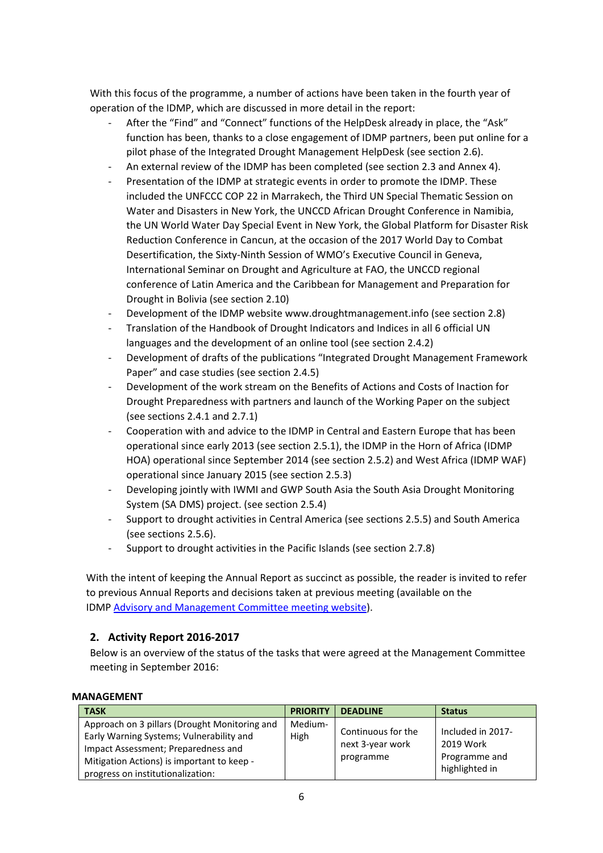With this focus of the programme, a number of actions have been taken in the fourth year of operation of the IDMP, which are discussed in more detail in the report:

- After the "Find" and "Connect" functions of the HelpDesk already in place, the "Ask" function has been, thanks to a close engagement of IDMP partners, been put online for a pilot phase of the Integrated Drought Management HelpDesk (see section 2.6).
- An external review of the IDMP has been completed (see section 2.3 and Annex 4).
- Presentation of the IDMP at strategic events in order to promote the IDMP. These included the UNFCCC COP 22 in Marrakech, the Third UN Special Thematic Session on Water and Disasters in New York, the UNCCD African Drought Conference in Namibia, the UN World Water Day Special Event in New York, the Global Platform for Disaster Risk Reduction Conference in Cancun, at the occasion of the 2017 World Day to Combat Desertification, the Sixty-Ninth Session of WMO's Executive Council in Geneva, International Seminar on Drought and Agriculture at FAO, the UNCCD regional conference of Latin America and the Caribbean for Management and Preparation for Drought in Bolivia (see section 2.10)
- Development of the IDMP website www.droughtmanagement.info (see section 2.8)
- Translation of the Handbook of Drought Indicators and Indices in all 6 official UN languages and the development of an online tool (see section 2.4.2)
- Development of drafts of the publications "Integrated Drought Management Framework Paper" and case studies (see section 2.4.5)
- Development of the work stream on the Benefits of Actions and Costs of Inaction for Drought Preparedness with partners and launch of the Working Paper on the subject (see sections 2.4.1 and 2.7.1)
- Cooperation with and advice to the IDMP in Central and Eastern Europe that has been operational since early 2013 (see section 2.5.1), the IDMP in the Horn of Africa (IDMP HOA) operational since September 2014 (see section 2.5.2) and West Africa (IDMP WAF) operational since January 2015 (see section 2.5.3)
- Developing jointly with IWMI and GWP South Asia the South Asia Drought Monitoring System (SA DMS) project. (see section 2.5.4)
- Support to drought activities in Central America (see sections 2.5.5) and South America (see sections 2.5.6).
- Support to drought activities in the Pacific Islands (see section 2.7.8)

With the intent of keeping the Annual Report as succinct as possible, the reader is invited to refer to previous Annual Reports and decisions taken at previous meeting (available on the IDMP [Advisory and Management Committee meeting website\)](http://www.droughtmanagement.info/about-idmp/advisory-and-management-committee-meetings/).

## <span id="page-5-0"></span>**2. Activity Report 2016-2017**

Below is an overview of the status of the tasks that were agreed at the Management Committee meeting in September 2016:

#### **MANAGEMENT**

| <b>TASK</b>                                                                                                                                                                                                         | <b>PRIORITY</b> | <b>DEADLINE</b>                                     | <b>Status</b>                                                     |
|---------------------------------------------------------------------------------------------------------------------------------------------------------------------------------------------------------------------|-----------------|-----------------------------------------------------|-------------------------------------------------------------------|
| Approach on 3 pillars (Drought Monitoring and<br>Early Warning Systems; Vulnerability and<br>Impact Assessment; Preparedness and<br>Mitigation Actions) is important to keep -<br>progress on institutionalization: | Medium-<br>High | Continuous for the<br>next 3-year work<br>programme | Included in 2017-<br>2019 Work<br>Programme and<br>highlighted in |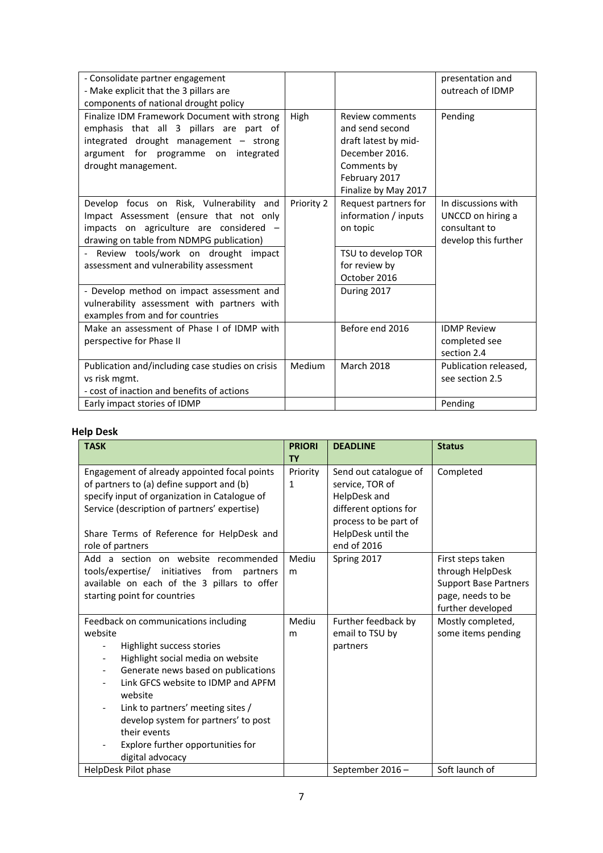| - Consolidate partner engagement<br>- Make explicit that the 3 pillars are<br>components of national drought policy                                                                                                                                                                                                                                                                           |            |                                                                                                                                      | presentation and<br>outreach of IDMP                                              |
|-----------------------------------------------------------------------------------------------------------------------------------------------------------------------------------------------------------------------------------------------------------------------------------------------------------------------------------------------------------------------------------------------|------------|--------------------------------------------------------------------------------------------------------------------------------------|-----------------------------------------------------------------------------------|
| Finalize IDM Framework Document with strong<br>emphasis that all 3 pillars are part of<br>integrated drought management - strong<br>argument for programme on<br>integrated<br>drought management.                                                                                                                                                                                            | High       | Review comments<br>and send second<br>draft latest by mid-<br>December 2016.<br>Comments by<br>February 2017<br>Finalize by May 2017 | Pending                                                                           |
| Develop focus on Risk, Vulnerability and<br>Impact Assessment (ensure that not only<br>impacts on agriculture are considered -<br>drawing on table from NDMPG publication)<br>- Review tools/work on drought impact<br>assessment and vulnerability assessment<br>- Develop method on impact assessment and<br>vulnerability assessment with partners with<br>examples from and for countries | Priority 2 | Request partners for<br>information / inputs<br>on topic<br>TSU to develop TOR<br>for review by<br>October 2016<br>During 2017       | In discussions with<br>UNCCD on hiring a<br>consultant to<br>develop this further |
| Make an assessment of Phase Lof IDMP with<br>perspective for Phase II                                                                                                                                                                                                                                                                                                                         |            | Before end 2016                                                                                                                      | <b>IDMP Review</b><br>completed see<br>section 2.4                                |
| Publication and/including case studies on crisis<br>vs risk mgmt.<br>- cost of inaction and benefits of actions                                                                                                                                                                                                                                                                               | Medium     | <b>March 2018</b>                                                                                                                    | Publication released,<br>see section 2.5                                          |
| Early impact stories of IDMP                                                                                                                                                                                                                                                                                                                                                                  |            |                                                                                                                                      | Pending                                                                           |

## **Help Desk**

| <b>TASK</b>                                                                                                                                                                                                                                                                                                                                                                                 | <b>PRIORI</b><br><b>TY</b> | <b>DEADLINE</b>                                                                                                                                 | <b>Status</b>                                                                                                   |
|---------------------------------------------------------------------------------------------------------------------------------------------------------------------------------------------------------------------------------------------------------------------------------------------------------------------------------------------------------------------------------------------|----------------------------|-------------------------------------------------------------------------------------------------------------------------------------------------|-----------------------------------------------------------------------------------------------------------------|
| Engagement of already appointed focal points<br>of partners to (a) define support and (b)<br>specify input of organization in Catalogue of<br>Service (description of partners' expertise)<br>Share Terms of Reference for HelpDesk and<br>role of partners                                                                                                                                 | Priority<br>1              | Send out catalogue of<br>service, TOR of<br>HelpDesk and<br>different options for<br>process to be part of<br>HelpDesk until the<br>end of 2016 | Completed                                                                                                       |
| Add a section on website recommended<br>tools/expertise/ initiatives from<br>partners<br>available on each of the 3 pillars to offer<br>starting point for countries                                                                                                                                                                                                                        | Mediu<br>m                 | Spring 2017                                                                                                                                     | First steps taken<br>through HelpDesk<br><b>Support Base Partners</b><br>page, needs to be<br>further developed |
| Feedback on communications including<br>website<br>Highlight success stories<br>Highlight social media on website<br>Generate news based on publications<br>$\overline{\phantom{a}}$<br>Link GFCS website to IDMP and APFM<br>website<br>Link to partners' meeting sites /<br>develop system for partners' to post<br>their events<br>Explore further opportunities for<br>digital advocacy | Mediu<br>m                 | Further feedback by<br>email to TSU by<br>partners                                                                                              | Mostly completed,<br>some items pending                                                                         |
| HelpDesk Pilot phase                                                                                                                                                                                                                                                                                                                                                                        |                            | September 2016-                                                                                                                                 | Soft launch of                                                                                                  |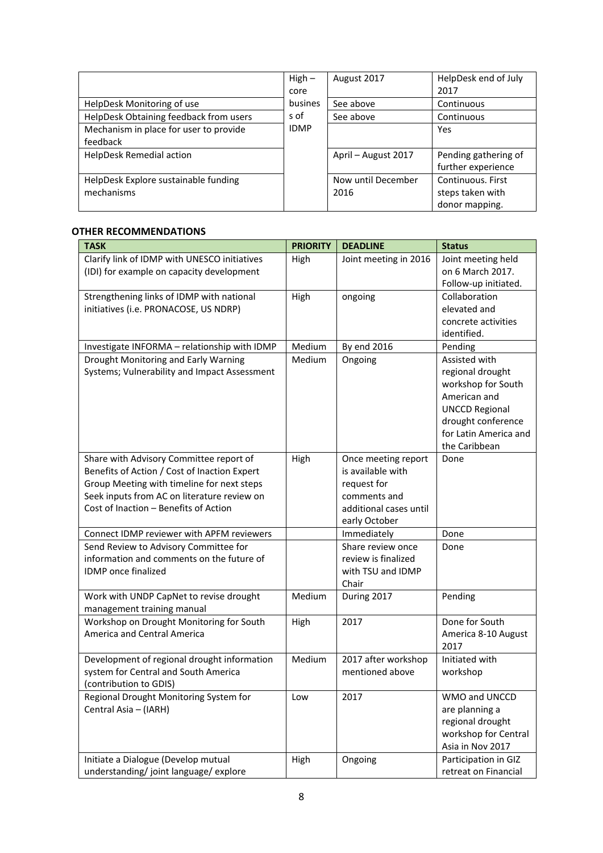|                                        | $High -$    | August 2017         | HelpDesk end of July |
|----------------------------------------|-------------|---------------------|----------------------|
|                                        | core        |                     | 2017                 |
| HelpDesk Monitoring of use             | busines     | See above           | Continuous           |
| HelpDesk Obtaining feedback from users | s of        | See above           | Continuous           |
| Mechanism in place for user to provide | <b>IDMP</b> |                     | Yes                  |
| feedback                               |             |                     |                      |
| <b>HelpDesk Remedial action</b>        |             | April - August 2017 | Pending gathering of |
|                                        |             |                     | further experience   |
| HelpDesk Explore sustainable funding   |             | Now until December  | Continuous, First    |
| mechanisms                             |             | 2016                | steps taken with     |
|                                        |             |                     | donor mapping.       |

#### **OTHER RECOMMENDATIONS**

| <b>TASK</b>                                  | <b>PRIORITY</b> | <b>DEADLINE</b>        | <b>Status</b>         |
|----------------------------------------------|-----------------|------------------------|-----------------------|
| Clarify link of IDMP with UNESCO initiatives | High            | Joint meeting in 2016  | Joint meeting held    |
| (IDI) for example on capacity development    |                 |                        | on 6 March 2017.      |
|                                              |                 |                        | Follow-up initiated.  |
| Strengthening links of IDMP with national    | High            | ongoing                | Collaboration         |
| initiatives (i.e. PRONACOSE, US NDRP)        |                 |                        | elevated and          |
|                                              |                 |                        | concrete activities   |
|                                              |                 |                        | identified.           |
| Investigate INFORMA - relationship with IDMP | Medium          | By end 2016            | Pending               |
| Drought Monitoring and Early Warning         | Medium          | Ongoing                | Assisted with         |
| Systems; Vulnerability and Impact Assessment |                 |                        | regional drought      |
|                                              |                 |                        | workshop for South    |
|                                              |                 |                        | American and          |
|                                              |                 |                        | <b>UNCCD Regional</b> |
|                                              |                 |                        | drought conference    |
|                                              |                 |                        | for Latin America and |
|                                              |                 |                        | the Caribbean         |
| Share with Advisory Committee report of      | High            | Once meeting report    | Done                  |
| Benefits of Action / Cost of Inaction Expert |                 | is available with      |                       |
| Group Meeting with timeline for next steps   |                 | request for            |                       |
| Seek inputs from AC on literature review on  |                 | comments and           |                       |
| Cost of Inaction - Benefits of Action        |                 | additional cases until |                       |
|                                              |                 | early October          |                       |
| Connect IDMP reviewer with APFM reviewers    |                 | Immediately            | Done                  |
| Send Review to Advisory Committee for        |                 | Share review once      | Done                  |
| information and comments on the future of    |                 | review is finalized    |                       |
| IDMP once finalized                          |                 | with TSU and IDMP      |                       |
|                                              |                 | Chair                  |                       |
| Work with UNDP CapNet to revise drought      | Medium          | During 2017            | Pending               |
| management training manual                   |                 |                        |                       |
| Workshop on Drought Monitoring for South     | High            | 2017                   | Done for South        |
| America and Central America                  |                 |                        | America 8-10 August   |
|                                              |                 |                        | 2017                  |
| Development of regional drought information  | Medium          | 2017 after workshop    | Initiated with        |
| system for Central and South America         |                 | mentioned above        | workshop              |
| (contribution to GDIS)                       |                 |                        |                       |
| Regional Drought Monitoring System for       | Low             | 2017                   | WMO and UNCCD         |
| Central Asia - (IARH)                        |                 |                        | are planning a        |
|                                              |                 |                        | regional drought      |
|                                              |                 |                        | workshop for Central  |
|                                              |                 |                        | Asia in Nov 2017      |
| Initiate a Dialogue (Develop mutual          | High            | Ongoing                | Participation in GIZ  |
| understanding/joint language/explore         |                 |                        | retreat on Financial  |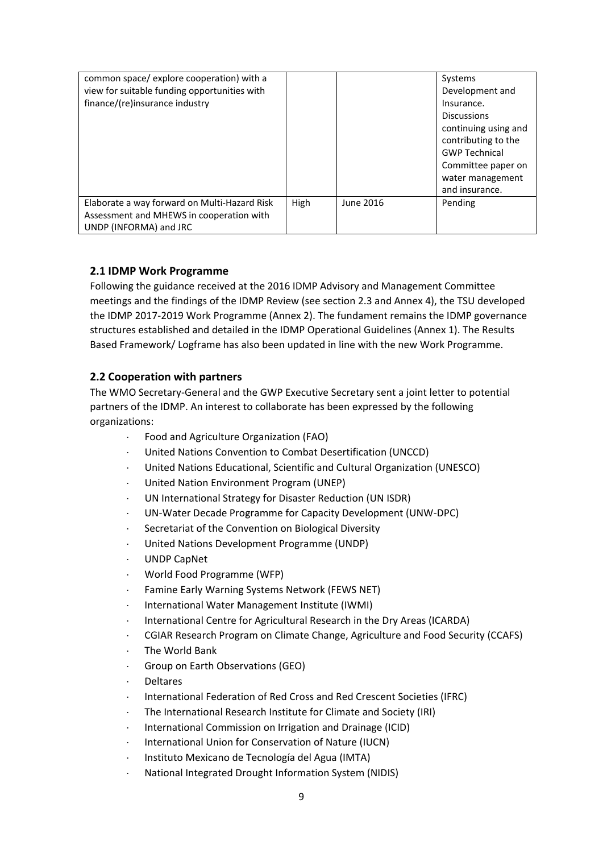| common space/explore cooperation) with a     |      |           | Systems              |
|----------------------------------------------|------|-----------|----------------------|
| view for suitable funding opportunities with |      |           | Development and      |
| finance/(re)insurance industry               |      |           | Insurance.           |
|                                              |      |           | <b>Discussions</b>   |
|                                              |      |           | continuing using and |
|                                              |      |           | contributing to the  |
|                                              |      |           | <b>GWP Technical</b> |
|                                              |      |           | Committee paper on   |
|                                              |      |           | water management     |
|                                              |      |           | and insurance.       |
| Elaborate a way forward on Multi-Hazard Risk | High | June 2016 | Pending              |
| Assessment and MHEWS in cooperation with     |      |           |                      |
| UNDP (INFORMA) and JRC                       |      |           |                      |

#### <span id="page-8-0"></span>**2.1 IDMP Work Programme**

Following the guidance received at the 2016 IDMP Advisory and Management Committee meetings and the findings of the IDMP Review (see section 2.3 and Annex 4), the TSU developed the IDMP 2017-2019 Work Programme (Annex 2). The fundament remains the IDMP governance structures established and detailed in the IDMP Operational Guidelines (Annex 1). The Results Based Framework/ Logframe has also been updated in line with the new Work Programme.

## <span id="page-8-1"></span>**2.2 Cooperation with partners**

The WMO Secretary-General and the GWP Executive Secretary sent a joint letter to potential partners of the IDMP. An interest to collaborate has been expressed by the following organizations:

- ⋅ Food and Agriculture Organization (FAO)
- United Nations Convention to Combat Desertification (UNCCD)
- United Nations Educational, Scientific and Cultural Organization (UNESCO)
- ⋅ United Nation Environment Program (UNEP)
- UN International Strategy for Disaster Reduction (UN ISDR)
- UN-Water Decade Programme for Capacity Development (UNW-DPC)
- Secretariat of the Convention on Biological Diversity
- ⋅ United Nations Development Programme (UNDP)
- ⋅ UNDP CapNet
- ⋅ World Food Programme (WFP)
- Famine Early Warning Systems Network (FEWS NET)
- ⋅ International Water Management Institute (IWMI)
- International Centre for Agricultural Research in the Dry Areas (ICARDA)
- ⋅ CGIAR Research Program on Climate Change, Agriculture and Food Security (CCAFS)
- The World Bank
- Group on Earth Observations (GEO)
- ⋅ Deltares
- ⋅ International Federation of Red Cross and Red Crescent Societies (IFRC)
- The International Research Institute for Climate and Society (IRI)
- ⋅ International Commission on Irrigation and Drainage (ICID)
- ⋅ International Union for Conservation of Nature (IUCN)
- ⋅ Instituto Mexicano de Tecnología del Agua (IMTA)
- ⋅ National Integrated Drought Information System (NIDIS)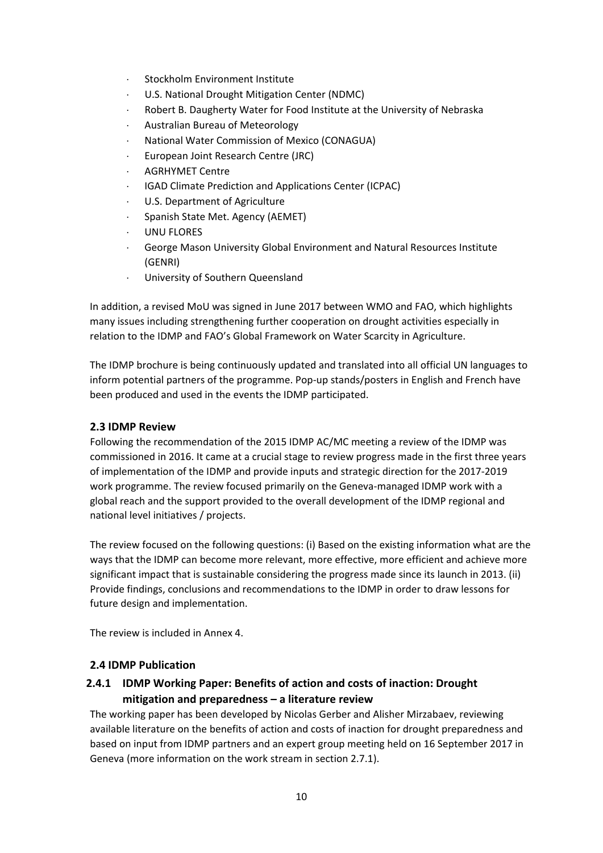- ⋅ Stockholm Environment Institute
- U.S. National Drought Mitigation Center (NDMC)
- ⋅ Robert B. Daugherty Water for Food Institute at the University of Nebraska
- ⋅ Australian Bureau of Meteorology
- ⋅ National Water Commission of Mexico (CONAGUA)
- ⋅ European Joint Research Centre (JRC)
- ⋅ AGRHYMET Centre
- ⋅ IGAD Climate Prediction and Applications Center (ICPAC)
- U.S. Department of Agriculture
- ⋅ Spanish State Met. Agency (AEMET)
- UNU FLORES
- George Mason University Global Environment and Natural Resources Institute (GENRI)
- University of Southern Queensland

In addition, a revised MoU was signed in June 2017 between WMO and FAO, which highlights many issues including strengthening further cooperation on drought activities especially in relation to the IDMP and FAO's Global Framework on Water Scarcity in Agriculture.

The IDMP brochure is being continuously updated and translated into all official UN languages to inform potential partners of the programme. Pop-up stands/posters in English and French have been produced and used in the events the IDMP participated.

### <span id="page-9-0"></span>**2.3 IDMP Review**

Following the recommendation of the 2015 IDMP AC/MC meeting a review of the IDMP was commissioned in 2016. It came at a crucial stage to review progress made in the first three years of implementation of the IDMP and provide inputs and strategic direction for the 2017-2019 work programme. The review focused primarily on the Geneva-managed IDMP work with a global reach and the support provided to the overall development of the IDMP regional and national level initiatives / projects.

The review focused on the following questions: (i) Based on the existing information what are the ways that the IDMP can become more relevant, more effective, more efficient and achieve more significant impact that is sustainable considering the progress made since its launch in 2013. (ii) Provide findings, conclusions and recommendations to the IDMP in order to draw lessons for future design and implementation.

The review is included in Annex 4.

## <span id="page-9-1"></span>**2.4 IDMP Publication**

## <span id="page-9-2"></span>**2.4.1 IDMP Working Paper: Benefits of action and costs of inaction: Drought mitigation and preparedness – a literature review**

The working paper has been developed by Nicolas Gerber and Alisher Mirzabaev, reviewing available literature on the benefits of action and costs of inaction for drought preparedness and based on input from IDMP partners and an expert group meeting held on 16 September 2017 in Geneva (more information on the work stream in section 2.7.1).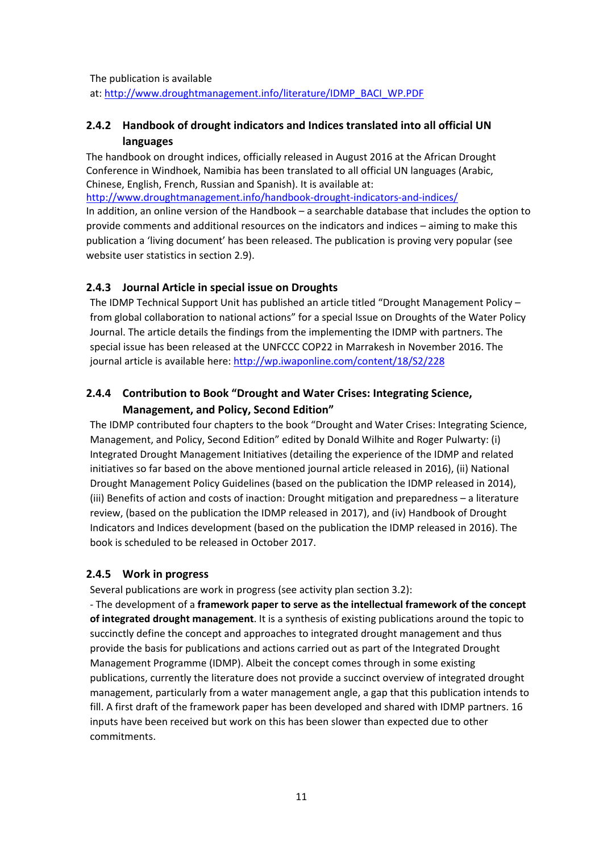The publication is available

at: [http://www.droughtmanagement.info/literature/IDMP\\_BACI\\_WP.PDF](http://www.droughtmanagement.info/literature/IDMP_BACI_WP.PDF)

## <span id="page-10-0"></span>**2.4.2 Handbook of drought indicators and Indices translated into all official UN languages**

The handbook on drought indices, officially released in August 2016 at the African Drought Conference in Windhoek, Namibia has been translated to all official UN languages (Arabic, Chinese, English, French, Russian and Spanish). It is available at:

<http://www.droughtmanagement.info/handbook-drought-indicators-and-indices/>

In addition, an online version of the Handbook – a searchable database that includes the option to provide comments and additional resources on the indicators and indices – aiming to make this publication a 'living document' has been released. The publication is proving very popular (see website user statistics in section 2.9).

## <span id="page-10-1"></span>**2.4.3 Journal Article in special issue on Droughts**

The IDMP Technical Support Unit has published an article titled "Drought Management Policy – from global collaboration to national actions" for a special Issue on Droughts of the Water Policy Journal. The article details the findings from the implementing the IDMP with partners. The special issue has been released at the UNFCCC COP22 in Marrakesh in November 2016. The journal article is available here:<http://wp.iwaponline.com/content/18/S2/228>

## <span id="page-10-2"></span>**2.4.4 Contribution to Book "Drought and Water Crises: Integrating Science, Management, and Policy, Second Edition"**

The IDMP contributed four chapters to the book "Drought and Water Crises: Integrating Science, Management, and Policy, Second Edition" edited by Donald Wilhite and Roger Pulwarty: (i) Integrated Drought Management Initiatives (detailing the experience of the IDMP and related initiatives so far based on the above mentioned journal article released in 2016), (ii) National Drought Management Policy Guidelines (based on the publication the IDMP released in 2014), (iii) Benefits of action and costs of inaction: Drought mitigation and preparedness – a literature review, (based on the publication the IDMP released in 2017), and (iv) Handbook of Drought Indicators and Indices development (based on the publication the IDMP released in 2016). The book is scheduled to be released in October 2017.

#### <span id="page-10-3"></span>**2.4.5 Work in progress**

Several publications are work in progress (see activity plan section 3.2):

- The development of a **framework paper to serve as the intellectual framework of the concept of integrated drought management**. It is a synthesis of existing publications around the topic to succinctly define the concept and approaches to integrated drought management and thus provide the basis for publications and actions carried out as part of the Integrated Drought Management Programme (IDMP). Albeit the concept comes through in some existing publications, currently the literature does not provide a succinct overview of integrated drought management, particularly from a water management angle, a gap that this publication intends to fill. A first draft of the framework paper has been developed and shared with IDMP partners. 16 inputs have been received but work on this has been slower than expected due to other commitments.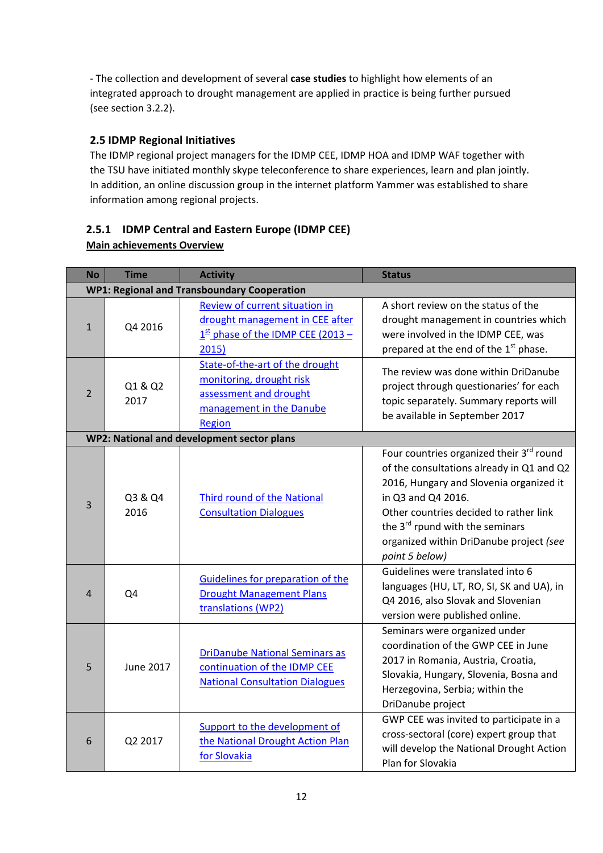- The collection and development of several **case studies** to highlight how elements of an integrated approach to drought management are applied in practice is being further pursued (see section 3.2.2).

## <span id="page-11-0"></span>**2.5 IDMP Regional Initiatives**

The IDMP regional project managers for the IDMP CEE, IDMP HOA and IDMP WAF together with the TSU have initiated monthly skype teleconference to share experiences, learn and plan jointly. In addition, an online discussion group in the internet platform Yammer was established to share information among regional projects.

## <span id="page-11-1"></span>**2.5.1 IDMP Central and Eastern Europe (IDMP CEE)**

| <b>Main achievements Overview</b> |
|-----------------------------------|
|                                   |

| <b>No</b>      | <b>Time</b>                                        | <b>Activity</b>                                                                                                             | <b>Status</b>                                                                                                                                                                                                                                                                                                |  |  |  |
|----------------|----------------------------------------------------|-----------------------------------------------------------------------------------------------------------------------------|--------------------------------------------------------------------------------------------------------------------------------------------------------------------------------------------------------------------------------------------------------------------------------------------------------------|--|--|--|
|                | <b>WP1: Regional and Transboundary Cooperation</b> |                                                                                                                             |                                                                                                                                                                                                                                                                                                              |  |  |  |
| $\mathbf{1}$   | Q4 2016                                            | <b>Review of current situation in</b><br>drought management in CEE after<br>$1st$ phase of the IDMP CEE (2013 –<br>2015)    | A short review on the status of the<br>drought management in countries which<br>were involved in the IDMP CEE, was<br>prepared at the end of the 1st phase.                                                                                                                                                  |  |  |  |
| $\overline{2}$ | Q1 & Q2<br>2017                                    | State-of-the-art of the drought<br>monitoring, drought risk<br>assessment and drought<br>management in the Danube<br>Region | The review was done within DriDanube<br>project through questionaries' for each<br>topic separately. Summary reports will<br>be available in September 2017                                                                                                                                                  |  |  |  |
|                |                                                    | WP2: National and development sector plans                                                                                  |                                                                                                                                                                                                                                                                                                              |  |  |  |
| 3              | Q3 & Q4<br>2016                                    | Third round of the National<br><b>Consultation Dialogues</b>                                                                | Four countries organized their 3rd round<br>of the consultations already in Q1 and Q2<br>2016, Hungary and Slovenia organized it<br>in Q3 and Q4 2016.<br>Other countries decided to rather link<br>the 3 <sup>rd</sup> rpund with the seminars<br>organized within DriDanube project (see<br>point 5 below) |  |  |  |
| 4              | Q4                                                 | Guidelines for preparation of the<br><b>Drought Management Plans</b><br>translations (WP2)                                  | Guidelines were translated into 6<br>languages (HU, LT, RO, SI, SK and UA), in<br>Q4 2016, also Slovak and Slovenian<br>version were published online.                                                                                                                                                       |  |  |  |
| 5              | <b>June 2017</b>                                   | <b>DriDanube National Seminars as</b><br>continuation of the IDMP CEE<br><b>National Consultation Dialogues</b>             | Seminars were organized under<br>coordination of the GWP CEE in June<br>2017 in Romania, Austria, Croatia,<br>Slovakia, Hungary, Slovenia, Bosna and<br>Herzegovina, Serbia; within the<br>DriDanube project                                                                                                 |  |  |  |
| 6              | Q2 2017                                            | Support to the development of<br>the National Drought Action Plan<br>for Slovakia                                           | GWP CEE was invited to participate in a<br>cross-sectoral (core) expert group that<br>will develop the National Drought Action<br>Plan for Slovakia                                                                                                                                                          |  |  |  |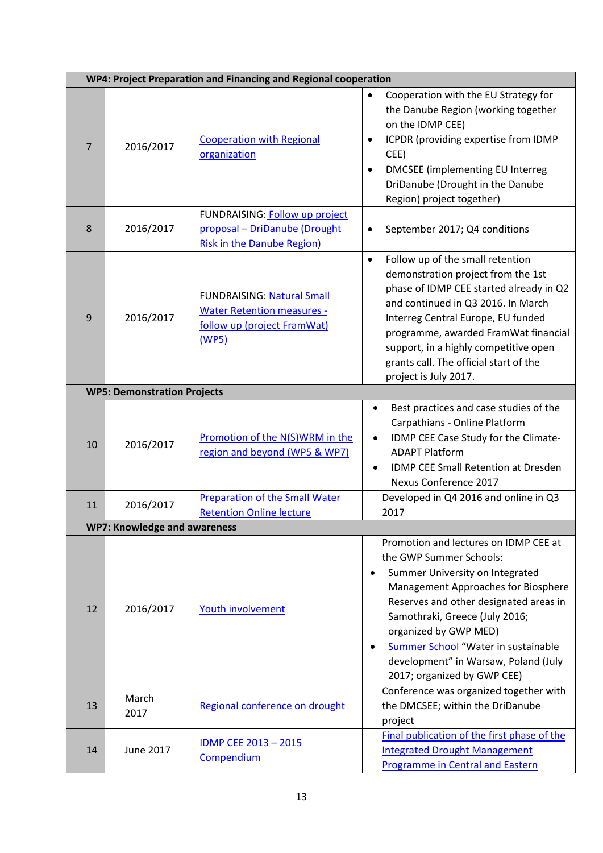|    | WP4: Project Preparation and Financing and Regional cooperation |                                                                                                                |                                                                                                                                                                                                                                                                                                                                                                                         |  |  |  |
|----|-----------------------------------------------------------------|----------------------------------------------------------------------------------------------------------------|-----------------------------------------------------------------------------------------------------------------------------------------------------------------------------------------------------------------------------------------------------------------------------------------------------------------------------------------------------------------------------------------|--|--|--|
| 7  | 2016/2017                                                       | <b>Cooperation with Regional</b><br>organization                                                               | Cooperation with the EU Strategy for<br>$\bullet$<br>the Danube Region (working together<br>on the IDMP CEE)<br>ICPDR (providing expertise from IDMP<br>$\bullet$<br>CEE)<br><b>DMCSEE</b> (implementing EU Interreg<br>$\bullet$<br>DriDanube (Drought in the Danube<br>Region) project together)                                                                                      |  |  |  |
| 8  | 2016/2017                                                       | FUNDRAISING: Follow up project<br>proposal - DriDanube (Drought<br><b>Risk in the Danube Region)</b>           | September 2017; Q4 conditions<br>$\bullet$                                                                                                                                                                                                                                                                                                                                              |  |  |  |
| 9  | 2016/2017                                                       | <b>FUNDRAISING: Natural Small</b><br><b>Water Retention measures -</b><br>follow up (project FramWat)<br>(WP5) | Follow up of the small retention<br>$\bullet$<br>demonstration project from the 1st<br>phase of IDMP CEE started already in Q2<br>and continued in Q3 2016. In March<br>Interreg Central Europe, EU funded<br>programme, awarded FramWat financial<br>support, in a highly competitive open<br>grants call. The official start of the<br>project is July 2017.                          |  |  |  |
|    | <b>WP5: Demonstration Projects</b>                              |                                                                                                                |                                                                                                                                                                                                                                                                                                                                                                                         |  |  |  |
| 10 | 2016/2017                                                       | Promotion of the N(S)WRM in the<br>region and beyond (WP5 & WP7)                                               | Best practices and case studies of the<br>٠<br>Carpathians - Online Platform<br>IDMP CEE Case Study for the Climate-<br><b>ADAPT Platform</b><br>IDMP CEE Small Retention at Dresden<br>Nexus Conference 2017                                                                                                                                                                           |  |  |  |
| 11 | 2016/2017                                                       | <b>Preparation of the Small Water</b><br><b>Retention Online lecture</b>                                       | Developed in Q4 2016 and online in Q3<br>2017                                                                                                                                                                                                                                                                                                                                           |  |  |  |
|    | <b>WP7: Knowledge and awareness</b>                             |                                                                                                                |                                                                                                                                                                                                                                                                                                                                                                                         |  |  |  |
| 12 | 2016/2017                                                       | Youth involvement                                                                                              | Promotion and lectures on IDMP CEE at<br>the GWP Summer Schools:<br>Summer University on Integrated<br>$\bullet$<br>Management Approaches for Biosphere<br>Reserves and other designated areas in<br>Samothraki, Greece (July 2016;<br>organized by GWP MED)<br>Summer School "Water in sustainable<br>$\bullet$<br>development" in Warsaw, Poland (July<br>2017; organized by GWP CEE) |  |  |  |
| 13 | March<br>2017                                                   | Regional conference on drought                                                                                 | Conference was organized together with<br>the DMCSEE; within the DriDanube<br>project                                                                                                                                                                                                                                                                                                   |  |  |  |
| 14 | June 2017                                                       | <b>IDMP CEE 2013-2015</b><br>Compendium                                                                        | Final publication of the first phase of the<br><b>Integrated Drought Management</b><br><b>Programme in Central and Eastern</b>                                                                                                                                                                                                                                                          |  |  |  |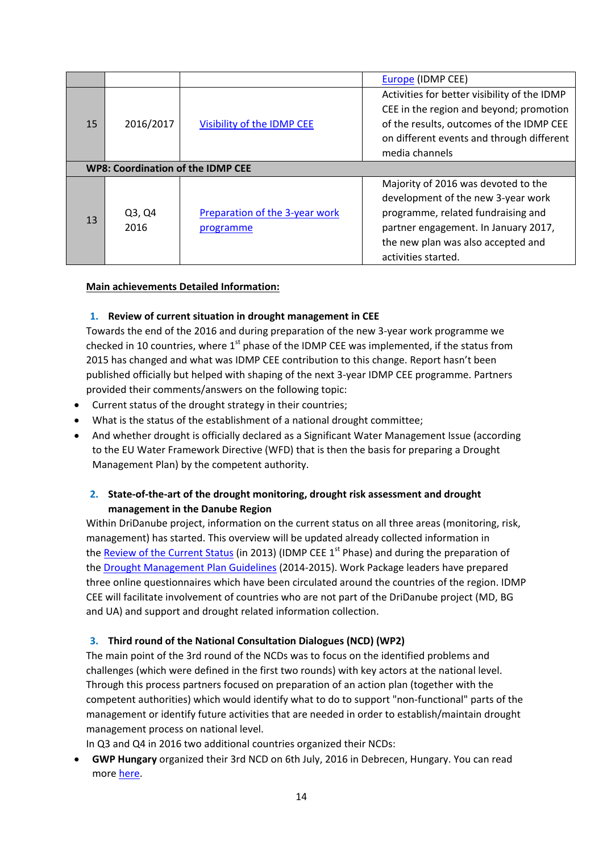|    |                                          |                                             | <b>Europe</b> (IDMP CEE)                                                                                                                                                                                             |
|----|------------------------------------------|---------------------------------------------|----------------------------------------------------------------------------------------------------------------------------------------------------------------------------------------------------------------------|
| 15 | 2016/2017                                | Visibility of the IDMP CEE                  | Activities for better visibility of the IDMP<br>CEE in the region and beyond; promotion<br>of the results, outcomes of the IDMP CEE<br>on different events and through different                                     |
|    | <b>WP8: Coordination of the IDMP CEE</b> |                                             | media channels                                                                                                                                                                                                       |
| 13 | Q3, Q4<br>2016                           | Preparation of the 3-year work<br>programme | Majority of 2016 was devoted to the<br>development of the new 3-year work<br>programme, related fundraising and<br>partner engagement. In January 2017,<br>the new plan was also accepted and<br>activities started. |

#### <span id="page-13-0"></span>**Main achievements Detailed Information:**

#### **1. Review of current situation in drought management in CEE**

Towards the end of the 2016 and during preparation of the new 3-year work programme we checked in 10 countries, where  $1<sup>st</sup>$  phase of the IDMP CEE was implemented, if the status from 2015 has changed and what was IDMP CEE contribution to this change. Report hasn't been published officially but helped with shaping of the next 3-year IDMP CEE programme. Partners provided their comments/answers on the following topic:

- Current status of the drought strategy in their countries;
- What is the status of the establishment of a national drought committee;
- And whether drought is officially declared as a Significant Water Management Issue (according to the EU Water Framework Directive (WFD) that is then the basis for preparing a Drought Management Plan) by the competent authority.

## <span id="page-13-1"></span>**2. State-of-the-art of the drought monitoring, drought risk assessment and drought management in the Danube Region**

Within DriDanube project, information on the current status on all three areas (monitoring, risk, management) has started. This overview will be updated already collected information in the [Review of the Current Status](http://www.gwp.org/globalassets/global/gwp-cee_images/idmp-cee-act-1.2-review.pdf) (in 2013) (IDMP CEE 1<sup>st</sup> Phase) and during the preparation of the [Drought Management Plan Guidelines](http://www.gwp.org/globalassets/global/gwp-cee_files/idmp-cee/idmp-guidelines-final-pdf-small.pdf) (2014-2015). Work Package leaders have prepared three online questionnaires which have been circulated around the countries of the region. IDMP CEE will facilitate involvement of countries who are not part of the DriDanube project (MD, BG and UA) and support and drought related information collection.

#### <span id="page-13-2"></span>**3. Third round of the National Consultation Dialogues (NCD) (WP2)**

The main point of the 3rd round of the NCDs was to focus on the identified problems and challenges (which were defined in the first two rounds) with key actors at the national level. Through this process partners focused on preparation of an action plan (together with the competent authorities) which would identify what to do to support "non-functional" parts of the management or identify future activities that are needed in order to establish/maintain drought management process on national level.

In Q3 and Q4 in 2016 two additional countries organized their NCDs:

• **GWP Hungary** organized their 3rd NCD on 6th July, 2016 in Debrecen, Hungary. You can read mor[e here.](http://www.gwp.org/globalassets/global/gwp-cee_files/idmp-cee/idmp-3ncd-hungary.pdf)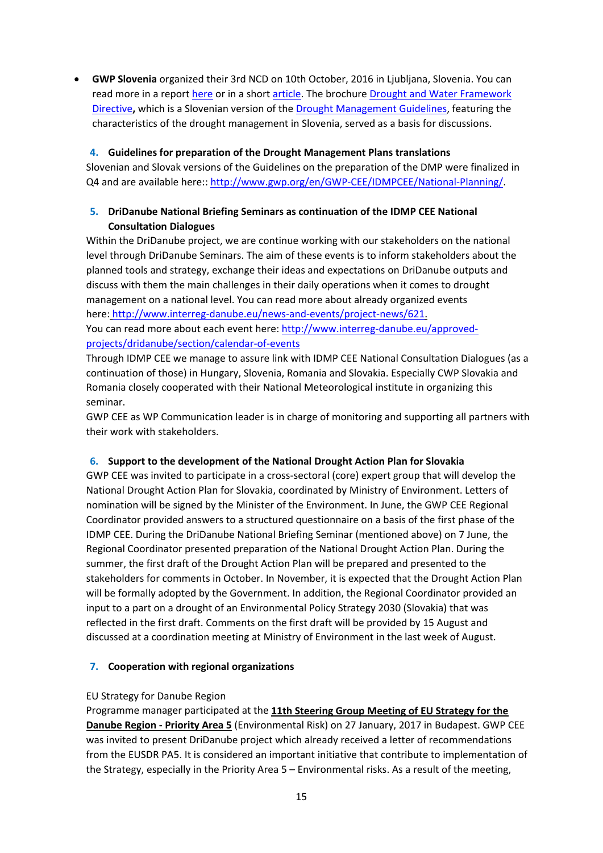• **GWP Slovenia** organized their 3rd NCD on 10th October, 2016 in Ljubljana, Slovenia. You can read more in a report [here](http://www.gwp.org/globalassets/global/gwp-cee_files/idmp-cee/idmp-3ncd-slovenia.pdf) or in a short [article.](http://www.gwp.org/en/GWP-CEE/WE-ACT/news/2016/Third-national-consultation-on-Drought-in-Slovenia/) The brochure Drought and Water Framework [Directive](http://www.gwp.org/Global/GWP-CEE_Files/IDMP-CEE/IDMP-Guidelines-Slovenian-web-big.pdf)**,** which is a Slovenian version of the [Drought Management Guidelines,](http://www.gwp.org/Global/GWP-CEE_Files/IDMP-CEE/IDMP-Guidelines-Slovenian-web-big.pdf) featuring the characteristics of the drought management in Slovenia, served as a basis for discussions.

#### <span id="page-14-0"></span>**4. Guidelines for preparation of the Drought Management Plans translations**

Slovenian and Slovak versions of the Guidelines on the preparation of the DMP were finalized in Q4 and are available here:: [http://www.gwp.org/en/GWP-CEE/IDMPCEE/National-Planning/.](http://www.gwp.org/en/GWP-CEE/IDMPCEE/National-Planning/)

## <span id="page-14-1"></span>**5. DriDanube National Briefing Seminars as continuation of the IDMP CEE National Consultation Dialogues**

Within the DriDanube project, we are continue working with our stakeholders on the national level through DriDanube Seminars. The aim of these events is to inform stakeholders about the planned tools and strategy, exchange their ideas and expectations on DriDanube outputs and discuss with them the main challenges in their daily operations when it comes to drought management on a national level. You can read more about already organized events here: [http://www.interreg-danube.eu/news-and-events/project-news/621.](http://www.interreg-danube.eu/news-and-events/project-news/621)

You can read more about each event here: [http://www.interreg-danube.eu/approved](http://www.interreg-danube.eu/approved-projects/dridanube/section/calendar-of-events)[projects/dridanube/section/calendar-of-events](http://www.interreg-danube.eu/approved-projects/dridanube/section/calendar-of-events)

Through IDMP CEE we manage to assure link with IDMP CEE National Consultation Dialogues (as a continuation of those) in Hungary, Slovenia, Romania and Slovakia. Especially CWP Slovakia and Romania closely cooperated with their National Meteorological institute in organizing this seminar.

GWP CEE as WP Communication leader is in charge of monitoring and supporting all partners with their work with stakeholders.

#### <span id="page-14-2"></span>**6. Support to the development of the National Drought Action Plan for Slovakia**

GWP CEE was invited to participate in a cross-sectoral (core) expert group that will develop the National Drought Action Plan for Slovakia, coordinated by Ministry of Environment. Letters of nomination will be signed by the Minister of the Environment. In June, the GWP CEE Regional Coordinator provided answers to a structured questionnaire on a basis of the first phase of the IDMP CEE. During the DriDanube National Briefing Seminar (mentioned above) on 7 June, the Regional Coordinator presented preparation of the National Drought Action Plan. During the summer, the first draft of the Drought Action Plan will be prepared and presented to the stakeholders for comments in October. In November, it is expected that the Drought Action Plan will be formally adopted by the Government. In addition, the Regional Coordinator provided an input to a part on a drought of an Environmental Policy Strategy 2030 (Slovakia) that was reflected in the first draft. Comments on the first draft will be provided by 15 August and discussed at a coordination meeting at Ministry of Environment in the last week of August.

#### <span id="page-14-3"></span>**7. Cooperation with regional organizations**

#### EU Strategy for Danube Region

Programme manager participated at the **11th Steering Group Meeting of EU Strategy for the Danube Region - Priority Area 5** (Environmental Risk) on 27 January, 2017 in Budapest. GWP CEE was invited to present DriDanube project which already received a letter of recommendations from the EUSDR PA5. It is considered an important initiative that contribute to implementation of the Strategy, especially in the Priority Area 5 – Environmental risks. As a result of the meeting,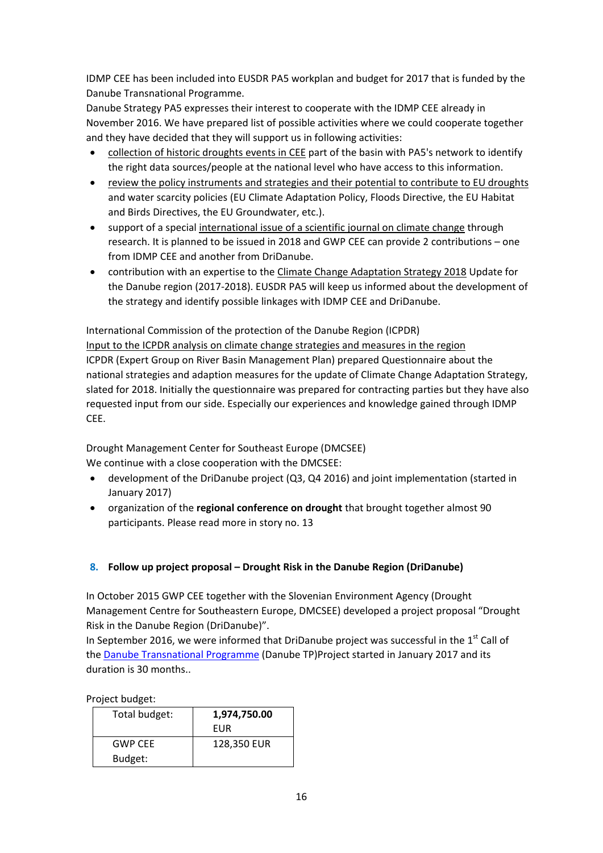IDMP CEE has been included into EUSDR PA5 workplan and budget for 2017 that is funded by the Danube Transnational Programme.

Danube Strategy PA5 expresses their interest to cooperate with the IDMP CEE already in November 2016. We have prepared list of possible activities where we could cooperate together and they have decided that they will support us in following activities:

- collection of historic droughts events in CEE part of the basin with PA5's network to identify the right data sources/people at the national level who have access to this information.
- review the policy instruments and strategies and their potential to contribute to EU droughts and water scarcity policies (EU Climate Adaptation Policy, Floods Directive, the EU Habitat and Birds Directives, the EU Groundwater, etc.).
- support of a special international issue of a scientific journal on climate change through research. It is planned to be issued in 2018 and GWP CEE can provide 2 contributions – one from IDMP CEE and another from DriDanube.
- contribution with an expertise to the Climate Change Adaptation Strategy 2018 Update for the Danube region (2017-2018). EUSDR PA5 will keep us informed about the development of the strategy and identify possible linkages with IDMP CEE and DriDanube.

International Commission of the protection of the Danube Region (ICPDR) Input to the ICPDR analysis on climate change strategies and measures in the region ICPDR (Expert Group on River Basin Management Plan) prepared Questionnaire about the national strategies and adaption measures for the update of Climate Change Adaptation Strategy, slated for 2018. Initially the questionnaire was prepared for contracting parties but they have also requested input from our side. Especially our experiences and knowledge gained through IDMP CEE.

Drought Management Center for Southeast Europe (DMCSEE) We continue with a close cooperation with the DMCSEE:

- development of the DriDanube project (Q3, Q4 2016) and joint implementation (started in January 2017)
- organization of the **regional conference on drought** that brought together almost 90 participants. Please read more in story no. 13

## <span id="page-15-0"></span>**8. Follow up project proposal – Drought Risk in the Danube Region (DriDanube)**

In October 2015 GWP CEE together with the Slovenian Environment Agency (Drought Management Centre for Southeastern Europe, DMCSEE) developed a project proposal "Drought Risk in the Danube Region (DriDanube)".

In September 2016, we were informed that DriDanube project was successful in the  $1<sup>st</sup>$  Call of the [Danube Transnational Programme](http://www.interreg-danube.eu/) (Danube TP)Project started in January 2017 and its duration is 30 months..

Project budget:

| Total budget:  | 1,974,750.00 |
|----------------|--------------|
|                | FUR          |
| <b>GWP CFF</b> | 128,350 EUR  |
| Budget:        |              |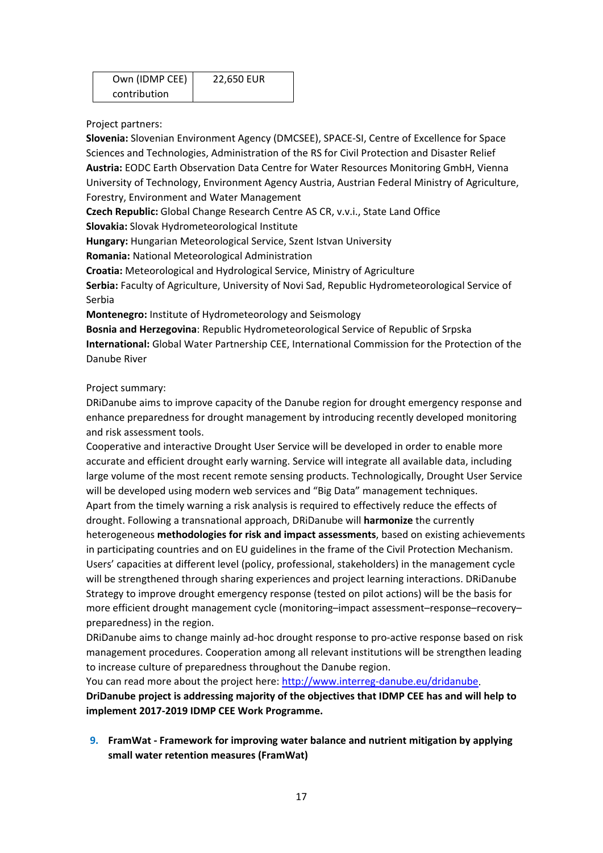| Own (IDMP CEE) | 22,650 EUR |
|----------------|------------|
| contribution   |            |

Project partners:

**Slovenia:** Slovenian Environment Agency (DMCSEE), SPACE-SI, Centre of Excellence for Space Sciences and Technologies, Administration of the RS for Civil Protection and Disaster Relief **Austria:** EODC Earth Observation Data Centre for Water Resources Monitoring GmbH, Vienna University of Technology, Environment Agency Austria, Austrian Federal Ministry of Agriculture, Forestry, Environment and Water Management

**Czech Republic:** Global Change Research Centre AS CR, v.v.i., State Land Office

**Slovakia:** Slovak Hydrometeorological Institute

**Hungary:** Hungarian Meteorological Service, Szent Istvan University

**Romania:** National Meteorological Administration

**Croatia:** Meteorological and Hydrological Service, Ministry of Agriculture

**Serbia:** Faculty of Agriculture, University of Novi Sad, Republic Hydrometeorological Service of Serbia

**Montenegro:** Institute of Hydrometeorology and Seismology

**Bosnia and Herzegovina**: Republic Hydrometeorological Service of Republic of Srpska **International:** Global Water Partnership CEE, International Commission for the Protection of the Danube River

#### Project summary:

DRiDanube aims to improve capacity of the Danube region for drought emergency response and enhance preparedness for drought management by introducing recently developed monitoring and risk assessment tools.

Cooperative and interactive Drought User Service will be developed in order to enable more accurate and efficient drought early warning. Service will integrate all available data, including large volume of the most recent remote sensing products. Technologically, Drought User Service will be developed using modern web services and "Big Data" management techniques. Apart from the timely warning a risk analysis is required to effectively reduce the effects of drought. Following a transnational approach, DRiDanube will **harmonize** the currently heterogeneous **methodologies for risk and impact assessments**, based on existing achievements in participating countries and on EU guidelines in the frame of the Civil Protection Mechanism. Users' capacities at different level (policy, professional, stakeholders) in the management cycle will be strengthened through sharing experiences and project learning interactions. DRiDanube Strategy to improve drought emergency response (tested on pilot actions) will be the basis for more efficient drought management cycle (monitoring–impact assessment–response–recovery– preparedness) in the region.

DRiDanube aims to change mainly ad-hoc drought response to pro-active response based on risk management procedures. Cooperation among all relevant institutions will be strengthen leading to increase culture of preparedness throughout the Danube region.

You can read more about the project here: [http://www.interreg-danube.eu/dridanube.](http://www.interreg-danube.eu/dridanube)

**DriDanube project is addressing majority of the objectives that IDMP CEE has and will help to implement 2017-2019 IDMP CEE Work Programme.**

<span id="page-16-0"></span>**9. FramWat - Framework for improving water balance and nutrient mitigation by applying small water retention measures (FramWat)**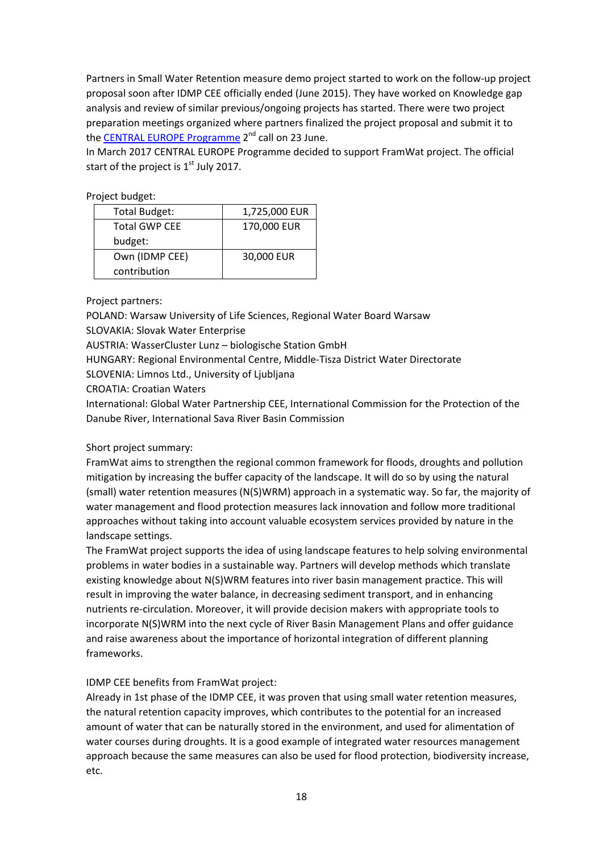Partners in Small Water Retention measure demo project started to work on the follow-up project proposal soon after IDMP CEE officially ended (June 2015). They have worked on Knowledge gap analysis and review of similar previous/ongoing projects has started. There were two project preparation meetings organized where partners finalized the project proposal and submit it to the [CENTRAL EUROPE Programme](http://www.interreg-central.eu/Content.Node/index.html) 2<sup>nd</sup> call on 23 June.

In March 2017 CENTRAL EUROPE Programme decided to support FramWat project. The official start of the project is  $1<sup>st</sup>$  July 2017.

Project budget:

| <b>Total Budget:</b> | 1,725,000 EUR |
|----------------------|---------------|
| <b>Total GWP CEE</b> | 170,000 EUR   |
| budget:              |               |
| Own (IDMP CEE)       | 30,000 EUR    |
| contribution         |               |

Project partners:

POLAND: Warsaw University of Life Sciences, Regional Water Board Warsaw

SLOVAKIA: Slovak Water Enterprise

AUSTRIA: WasserCluster Lunz – biologische Station GmbH

HUNGARY: Regional Environmental Centre, Middle-Tisza District Water Directorate

SLOVENIA: Limnos Ltd., University of Ljubljana

CROATIA: Croatian Waters

International: Global Water Partnership CEE, International Commission for the Protection of the Danube River, International Sava River Basin Commission

#### Short project summary:

FramWat aims to strengthen the regional common framework for floods, droughts and pollution mitigation by increasing the buffer capacity of the landscape. It will do so by using the natural (small) water retention measures (N(S)WRM) approach in a systematic way. So far, the majority of water management and flood protection measures lack innovation and follow more traditional approaches without taking into account valuable ecosystem services provided by nature in the landscape settings.

The FramWat project supports the idea of using landscape features to help solving environmental problems in water bodies in a sustainable way. Partners will develop methods which translate existing knowledge about N(S)WRM features into river basin management practice. This will result in improving the water balance, in decreasing sediment transport, and in enhancing nutrients re-circulation. Moreover, it will provide decision makers with appropriate tools to incorporate N(S)WRM into the next cycle of River Basin Management Plans and offer guidance and raise awareness about the importance of horizontal integration of different planning frameworks.

#### IDMP CEE benefits from FramWat project:

Already in 1st phase of the IDMP CEE, it was proven that using small water retention measures, the natural retention capacity improves, which contributes to the potential for an increased amount of water that can be naturally stored in the environment, and used for alimentation of water courses during droughts. It is a good example of integrated water resources management approach because the same measures can also be used for flood protection, biodiversity increase, etc.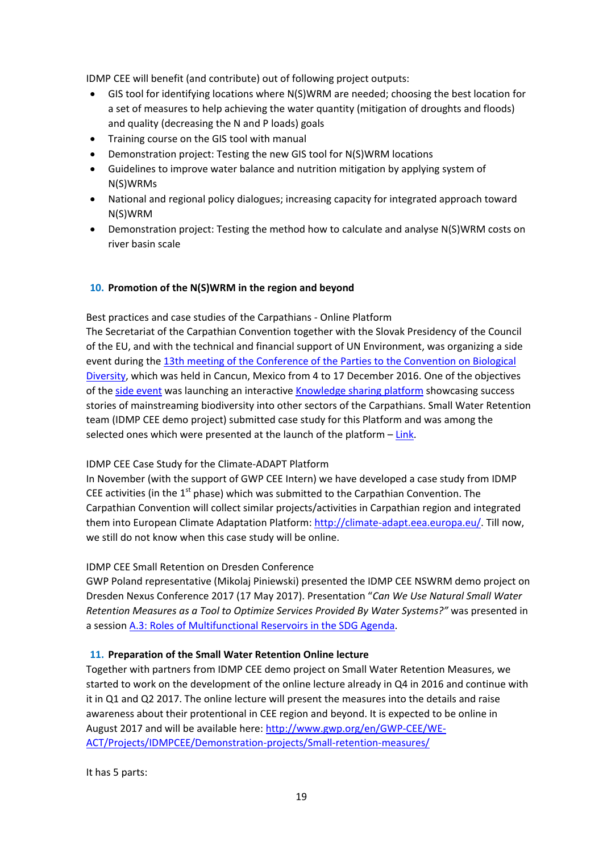IDMP CEE will benefit (and contribute) out of following project outputs:

- GIS tool for identifying locations where N(S)WRM are needed; choosing the best location for a set of measures to help achieving the water quantity (mitigation of droughts and floods) and quality (decreasing the N and P loads) goals
- Training course on the GIS tool with manual
- Demonstration project: Testing the new GIS tool for N(S)WRM locations
- Guidelines to improve water balance and nutrition mitigation by applying system of N(S)WRMs
- National and regional policy dialogues; increasing capacity for integrated approach toward N(S)WRM
- Demonstration project: Testing the method how to calculate and analyse N(S)WRM costs on river basin scale

#### <span id="page-18-0"></span>**10. Promotion of the N(S)WRM in the region and beyond**

Best practices and case studies of the Carpathians - Online Platform

The Secretariat of the Carpathian Convention together with the Slovak Presidency of the Council of the EU, and with the technical and financial support of UN Environment, was organizing a side event during the [13th meeting of the Conference of the Parties to the Convention on Biological](https://www.cbd.int/cop/)  [Diversity,](https://www.cbd.int/cop/) which was held in Cancun, Mexico from 4 to 17 December 2016. One of the objectives of the [side event](http://www.carpathianconvention.org/tl_files/carpathiancon/Downloads/03%20Meetings%20and%20Events/Others/Cancun%20mountain%20mainstreaming%20programme%20final.pdf) was launching an interactive [Knowledge sharing platform](http://www.carpathianconvention.org/mountain-biodiversity/) showcasing success stories of mainstreaming biodiversity into other sectors of the Carpathians. Small Water Retention team (IDMP CEE demo project) submitted case study for this Platform and was among the selected ones which were presented at the launch of the platform – [Link.](https://www.arcgis.com/apps/Cascade/index.html?appid=56501ce4b8af445b8f9d613f393f0ceb)

#### IDMP CEE Case Study for the Climate-ADAPT Platform

In November (with the support of GWP CEE Intern) we have developed a case study from IDMP CEE activities (in the  $1<sup>st</sup>$  phase) which was submitted to the Carpathian Convention. The Carpathian Convention will collect similar projects/activities in Carpathian region and integrated them into European Climate Adaptation Platform[: http://climate-adapt.eea.europa.eu/.](http://climate-adapt.eea.europa.eu/) Till now, we still do not know when this case study will be online.

#### IDMP CEE Small Retention on Dresden Conference

GWP Poland representative (Mikolaj Piniewski) presented the IDMP CEE NSWRM demo project on Dresden Nexus Conference 2017 (17 May 2017). Presentation "*Can We Use Natural Small Water Retention Measures as a Tool to Optimize Services Provided By Water Systems?"* was presented in a session [A.3: Roles of Multifunctional Reservoirs in the SDG Agenda.](https://express2.converia.de/frontend/index.php?page_id=3144&v=List&do=15&day=730&ses=35280)

#### <span id="page-18-1"></span>**11. Preparation of the Small Water Retention Online lecture**

Together with partners from IDMP CEE demo project on Small Water Retention Measures, we started to work on the development of the online lecture already in Q4 in 2016 and continue with it in Q1 and Q2 2017. The online lecture will present the measures into the details and raise awareness about their protentional in CEE region and beyond. It is expected to be online in August 2017 and will be available here: [http://www.gwp.org/en/GWP-CEE/WE-](http://www.gwp.org/en/GWP-CEE/WE-ACT/Projects/IDMPCEE/Demonstration-projects/Small-retention-measures/)[ACT/Projects/IDMPCEE/Demonstration-projects/Small-retention-measures/](http://www.gwp.org/en/GWP-CEE/WE-ACT/Projects/IDMPCEE/Demonstration-projects/Small-retention-measures/)

It has 5 parts: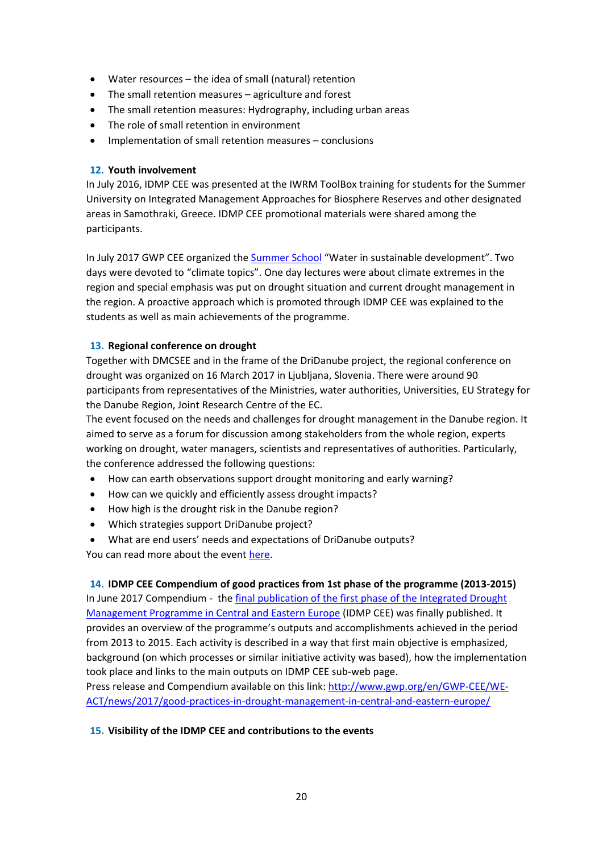- Water resources the idea of small (natural) retention
- The small retention measures agriculture and forest
- The small retention measures: Hydrography, including urban areas
- The role of small retention in environment
- Implementation of small retention measures conclusions

#### <span id="page-19-0"></span>**12. Youth involvement**

In July 2016, IDMP CEE was presented at the IWRM ToolBox training for students for the Summer University on Integrated Management Approaches for Biosphere Reserves and other designated areas in Samothraki, Greece. IDMP CEE promotional materials were shared among the participants.

In July 2017 GWP CEE organized the [Summer School](http://www.gwp.org/en/GWP-CEE/WE-ACT/news/2017/gwp-cee-summer-school/) "Water in sustainable development". Two days were devoted to "climate topics". One day lectures were about climate extremes in the region and special emphasis was put on drought situation and current drought management in the region. A proactive approach which is promoted through IDMP CEE was explained to the students as well as main achievements of the programme.

#### <span id="page-19-1"></span>**13. Regional conference on drought**

Together with DMCSEE and in the frame of the DriDanube project, the regional conference on drought was organized on 16 March 2017 in Ljubljana, Slovenia. There were around 90 participants from representatives of the Ministries, water authorities, Universities, EU Strategy for the Danube Region, Joint Research Centre of the EC.

The event focused on the needs and challenges for drought management in the Danube region. It aimed to serve as a forum for discussion among stakeholders from the whole region, experts working on drought, water managers, scientists and representatives of authorities. Particularly, the conference addressed the following questions:

- How can earth observations support drought monitoring and early warning?
- How can we quickly and efficiently assess drought impacts?
- How high is the drought risk in the Danube region?
- Which strategies support DriDanube project?
- What are end users' needs and expectations of DriDanube outputs?

You can read more about the event [here.](http://www.interreg-danube.eu/news-and-events/project-news/451)

#### <span id="page-19-2"></span>**14. IDMP CEE Compendium of good practices from 1st phase of the programme (2013-2015)**

In June 2017 Compendium - the [final publication of the first phase of the Integrated Drought](http://www.gwp.org/globalassets/global/gwp-cee_files/idmp-cee/idmp-compendium-final-big.pdf)  [Management Programme in Central and Eastern Europe](http://www.gwp.org/globalassets/global/gwp-cee_files/idmp-cee/idmp-compendium-final-big.pdf) (IDMP CEE) was finally published. It provides an overview of the programme's outputs and accomplishments achieved in the period from 2013 to 2015. Each activity is described in a way that first main objective is emphasized, background (on which processes or similar initiative activity was based), how the implementation took place and links to the main outputs on IDMP CEE sub-web page.

Press release and Compendium available on this link: [http://www.gwp.org/en/GWP-CEE/WE-](http://www.gwp.org/en/GWP-CEE/WE-ACT/news/2017/good-practices-in-drought-management-in-central-and-eastern-europe/)[ACT/news/2017/good-practices-in-drought-management-in-central-and-eastern-europe/](http://www.gwp.org/en/GWP-CEE/WE-ACT/news/2017/good-practices-in-drought-management-in-central-and-eastern-europe/)

#### **15. Visibility of the IDMP CEE and contributions to the events**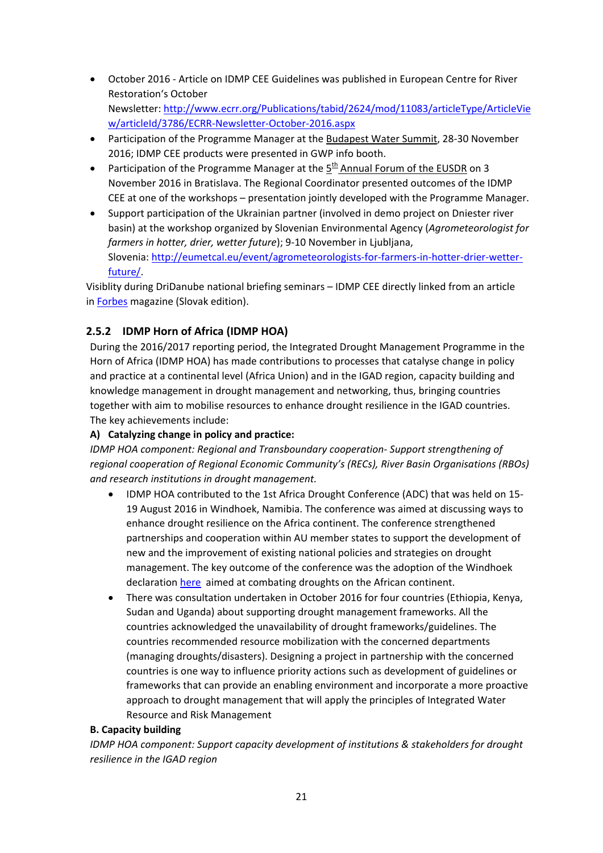- October 2016 Article on IDMP CEE Guidelines was published in European Centre for River Restoration's October Newsletter[: http://www.ecrr.org/Publications/tabid/2624/mod/11083/articleType/ArticleVie](http://www.ecrr.org/Publications/tabid/2624/mod/11083/articleType/ArticleView/articleId/3786/ECRR-Newsletter-October-2016.aspx) [w/articleId/3786/ECRR-Newsletter-October-2016.aspx](http://www.ecrr.org/Publications/tabid/2624/mod/11083/articleType/ArticleView/articleId/3786/ECRR-Newsletter-October-2016.aspx)
- Participation of the Programme Manager at the Budapest Water Summit, 28-30 November 2016; IDMP CEE products were presented in GWP info booth.
- Participation of the Programme Manager at the  $5<sup>th</sup>$  Annual Forum of the EUSDR on 3 November 2016 in Bratislava. The Regional Coordinator presented outcomes of the IDMP CEE at one of the workshops – presentation jointly developed with the Programme Manager.
- Support participation of the Ukrainian partner (involved in demo project on Dniester river basin) at the workshop organized by Slovenian Environmental Agency (*Agrometeorologist for farmers in hotter, drier, wetter future*); 9-10 November in Ljubljana, Slovenia[: http://eumetcal.eu/event/agrometeorologists-for-farmers-in-hotter-drier-wetter](http://eumetcal.eu/event/agrometeorologists-for-farmers-in-hotter-drier-wetter-future/)[future/.](http://eumetcal.eu/event/agrometeorologists-for-farmers-in-hotter-drier-wetter-future/)

Visiblity during DriDanube national briefing seminars – IDMP CEE directly linked from an article in **Forbes** magazine (Slovak edition).

## <span id="page-20-0"></span>**2.5.2 IDMP Horn of Africa (IDMP HOA)**

During the 2016/2017 reporting period, the Integrated Drought Management Programme in the Horn of Africa (IDMP HOA) has made contributions to processes that catalyse change in policy and practice at a continental level (Africa Union) and in the IGAD region, capacity building and knowledge management in drought management and networking, thus, bringing countries together with aim to mobilise resources to enhance drought resilience in the IGAD countries. The key achievements include:

## **A) Catalyzing change in policy and practice:**

*IDMP HOA component: Regional and Transboundary cooperation- Support strengthening of regional cooperation of Regional Economic Community's (RECs), River Basin Organisations (RBOs) and research institutions in drought management.*

- IDMP HOA contributed to the 1st Africa Drought Conference (ADC) that was held on 15- 19 August 2016 in Windhoek, Namibia. The conference was aimed at discussing ways to enhance drought resilience on the Africa continent. The conference strengthened partnerships and cooperation within AU member states to support the development of new and the improvement of existing national policies and strategies on drought management. The key outcome of the conference was the adoption of the Windhoek declaration [here](http://www.unccd.int/Documents/Windhoek%20Declaration%20Final%20Adopted%20by%20the%20ADC%20of%2015-19%20August%202016.pdf) aimed at combating droughts on the African continent.
- There was consultation undertaken in October 2016 for four countries (Ethiopia, Kenya, Sudan and Uganda) about supporting drought management frameworks. All the countries acknowledged the unavailability of drought frameworks/guidelines. The countries recommended resource mobilization with the concerned departments (managing droughts/disasters). Designing a project in partnership with the concerned countries is one way to influence priority actions such as development of guidelines or frameworks that can provide an enabling environment and incorporate a more proactive approach to drought management that will apply the principles of Integrated Water Resource and Risk Management

#### **B. Capacity building**

*IDMP HOA component: Support capacity development of institutions & stakeholders for drought resilience in the IGAD region*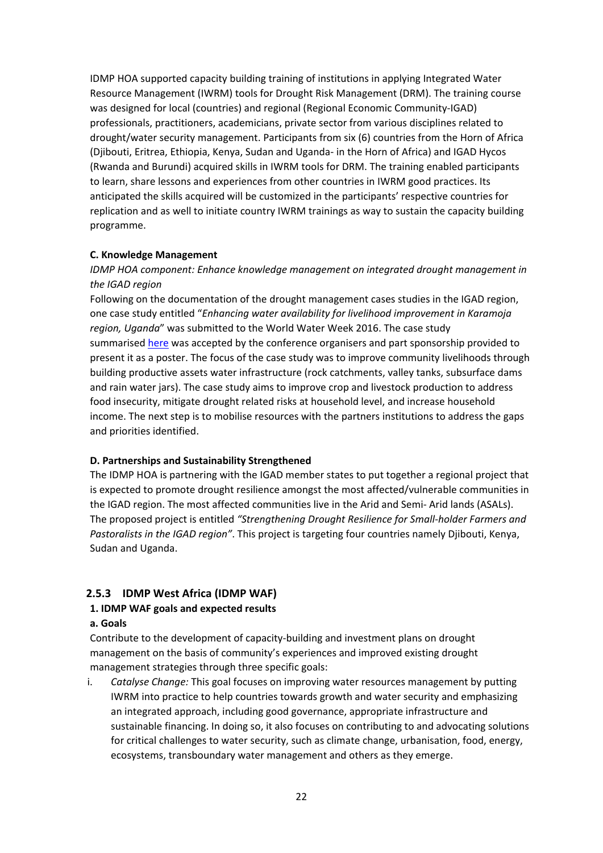IDMP HOA supported capacity building training of institutions in applying Integrated Water Resource Management (IWRM) tools for Drought Risk Management (DRM). The training course was designed for local (countries) and regional (Regional Economic Community-IGAD) professionals, practitioners, academicians, private sector from various disciplines related to drought/water security management. Participants from six (6) countries from the Horn of Africa (Djibouti, Eritrea, Ethiopia, Kenya, Sudan and Uganda- in the Horn of Africa) and IGAD Hycos (Rwanda and Burundi) acquired skills in IWRM tools for DRM. The training enabled participants to learn, share lessons and experiences from other countries in IWRM good practices. Its anticipated the skills acquired will be customized in the participants' respective countries for replication and as well to initiate country IWRM trainings as way to sustain the capacity building programme.

#### **C. Knowledge Management**

## *IDMP HOA component: Enhance knowledge management on integrated drought management in the IGAD region*

Following on the documentation of the drought management cases studies in the IGAD region, one case study entitled "*Enhancing water availability for livelihood improvement in Karamoja region, Uganda*" was submitted to the World Water Week 2016. The case study summarised [here](http://fdmt.iwlearn.org/en/news/enhancing-water-availability-for-improving-livelihoods-in-karamoja-region-uganda) was accepted by the conference organisers and part sponsorship provided to present it as a poster. The focus of the case study was to improve community livelihoods through building productive assets water infrastructure (rock catchments, valley tanks, subsurface dams and rain water jars). The case study aims to improve crop and livestock production to address food insecurity, mitigate drought related risks at household level, and increase household income. The next step is to mobilise resources with the partners institutions to address the gaps and priorities identified.

#### **D. Partnerships and Sustainability Strengthened**

The IDMP HOA is partnering with the IGAD member states to put together a regional project that is expected to promote drought resilience amongst the most affected/vulnerable communities in the IGAD region. The most affected communities live in the Arid and Semi- Arid lands (ASALs). The proposed project is entitled *"Strengthening Drought Resilience for Small-holder Farmers and Pastoralists in the IGAD region"*. This project is targeting four countries namely Djibouti, Kenya, Sudan and Uganda.

#### <span id="page-21-0"></span>**2.5.3 IDMP West Africa (IDMP WAF)**

#### **1. IDMP WAF goals and expected results**

#### **a. Goals**

Contribute to the development of capacity-building and investment plans on drought management on the basis of community's experiences and improved existing drought management strategies through three specific goals:

i. *Catalyse Change:* This goal focuses on improving water resources management by putting IWRM into practice to help countries towards growth and water security and emphasizing an integrated approach, including good governance, appropriate infrastructure and sustainable financing. In doing so, it also focuses on contributing to and advocating solutions for critical challenges to water security, such as climate change, urbanisation, food, energy, ecosystems, transboundary water management and others as they emerge.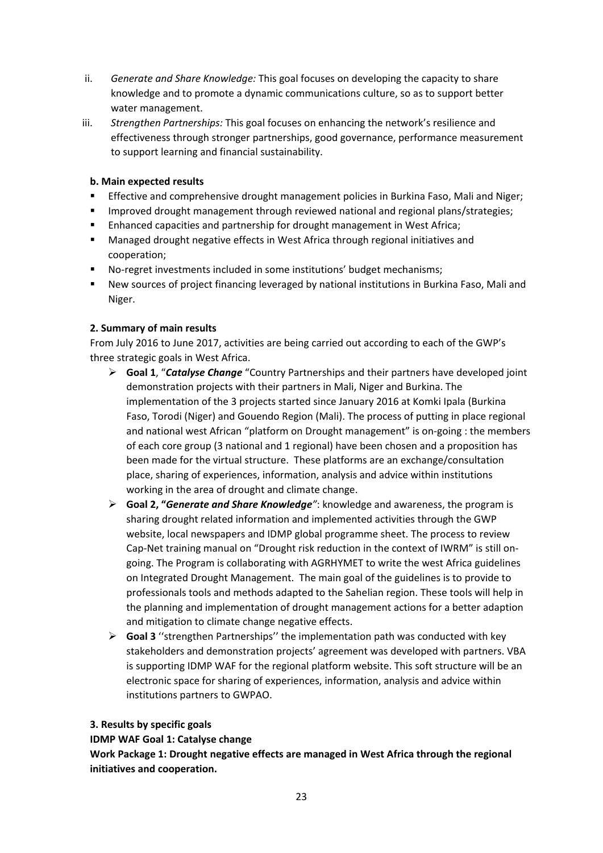- ii. *Generate and Share Knowledge:* This goal focuses on developing the capacity to share knowledge and to promote a dynamic communications culture, so as to support better water management.
- iii. *Strengthen Partnerships:* This goal focuses on enhancing the network's resilience and effectiveness through stronger partnerships, good governance, performance measurement to support learning and financial sustainability.

#### **b. Main expected results**

- **Effective and comprehensive drought management policies in Burkina Faso, Mali and Niger;**
- **IMPROVED AT ADDET META 15 FIMOG PROVIDED FIMOG AT ADDET** IMPROVED:
- **Enhanced capacities and partnership for drought management in West Africa;**
- Managed drought negative effects in West Africa through regional initiatives and cooperation;
- No-regret investments included in some institutions' budget mechanisms;
- New sources of project financing leveraged by national institutions in Burkina Faso, Mali and Niger.

#### **2. Summary of main results**

From July 2016 to June 2017, activities are being carried out according to each of the GWP's three strategic goals in West Africa.

- **Goal 1**, "*Catalyse Change* "Country Partnerships and their partners have developed joint demonstration projects with their partners in Mali, Niger and Burkina. The implementation of the 3 projects started since January 2016 at Komki Ipala (Burkina Faso, Torodi (Niger) and Gouendo Region (Mali). The process of putting in place regional and national west African "platform on Drought management" is on-going : the members of each core group (3 national and 1 regional) have been chosen and a proposition has been made for the virtual structure. These platforms are an exchange/consultation place, sharing of experiences, information, analysis and advice within institutions working in the area of drought and climate change.
- **Goal 2, "***Generate and Share Knowledge"*: knowledge and awareness, the program is sharing drought related information and implemented activities through the GWP website, local newspapers and IDMP global programme sheet. The process to review Cap-Net training manual on "Drought risk reduction in the context of IWRM" is still ongoing. The Program is collaborating with AGRHYMET to write the west Africa guidelines on Integrated Drought Management. The main goal of the guidelines is to provide to professionals tools and methods adapted to the Sahelian region. These tools will help in the planning and implementation of drought management actions for a better adaption and mitigation to climate change negative effects.
- $\triangleright$  **Goal 3** "strengthen Partnerships" the implementation path was conducted with key stakeholders and demonstration projects' agreement was developed with partners. VBA is supporting IDMP WAF for the regional platform website. This soft structure will be an electronic space for sharing of experiences, information, analysis and advice within institutions partners to GWPAO.

#### **3. Results by specific goals**

**IDMP WAF Goal 1: Catalyse change** 

**Work Package 1: Drought negative effects are managed in West Africa through the regional initiatives and cooperation.**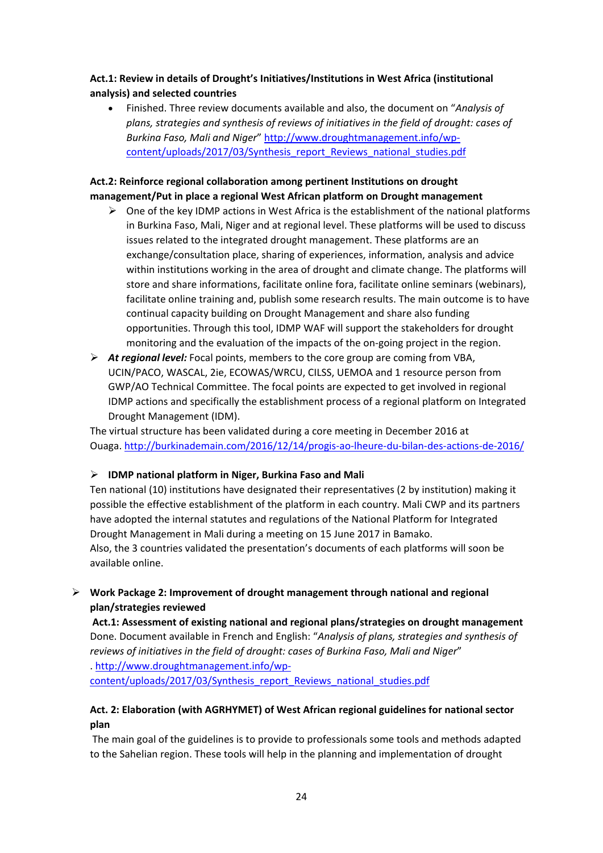## **Act.1: Review in details of Drought's Initiatives/Institutions in West Africa (institutional analysis) and selected countries**

• Finished. Three review documents available and also, the document on "*Analysis of plans, strategies and synthesis of reviews of initiatives in the field of drought: cases of Burkina Faso, Mali and Niger*" [http://www.droughtmanagement.info/wp](http://www.droughtmanagement.info/wp-content/uploads/2017/03/Synthesis_report_Reviews_national_studies.pdf)[content/uploads/2017/03/Synthesis\\_report\\_Reviews\\_national\\_studies.pdf](http://www.droughtmanagement.info/wp-content/uploads/2017/03/Synthesis_report_Reviews_national_studies.pdf)

## **Act.2: Reinforce regional collaboration among pertinent Institutions on drought management/Put in place a regional West African platform on Drought management**

- $\triangleright$  One of the key IDMP actions in West Africa is the establishment of the national platforms in Burkina Faso, Mali, Niger and at regional level. These platforms will be used to discuss issues related to the integrated drought management. These platforms are an exchange/consultation place, sharing of experiences, information, analysis and advice within institutions working in the area of drought and climate change. The platforms will store and share informations, facilitate online fora, facilitate online seminars (webinars), facilitate online training and, publish some research results. The main outcome is to have continual capacity building on Drought Management and share also funding opportunities. Through this tool, IDMP WAF will support the stakeholders for drought monitoring and the evaluation of the impacts of the on-going project in the region.
- *At regional level:* Focal points, members to the core group are coming from VBA, UCIN/PACO, WASCAL, 2ie, ECOWAS/WRCU, CILSS, UEMOA and 1 resource person from GWP/AO Technical Committee. The focal points are expected to get involved in regional IDMP actions and specifically the establishment process of a regional platform on Integrated Drought Management (IDM).

The virtual structure has been validated during a core meeting in December 2016 at Ouaga.<http://burkinademain.com/2016/12/14/progis-ao-lheure-du-bilan-des-actions-de-2016/>

#### **IDMP national platform in Niger, Burkina Faso and Mali**

Ten national (10) institutions have designated their representatives (2 by institution) making it possible the effective establishment of the platform in each country. Mali CWP and its partners have adopted the internal statutes and regulations of the National Platform for Integrated Drought Management in Mali during a meeting on 15 June 2017 in Bamako. Also, the 3 countries validated the presentation's documents of each platforms will soon be available online.

## **Work Package 2: Improvement of drought management through national and regional plan/strategies reviewed**

**Act.1: Assessment of existing national and regional plans/strategies on drought management** Done. Document available in French and English: "*Analysis of plans, strategies and synthesis of reviews of initiatives in the field of drought: cases of Burkina Faso, Mali and Niger*" . [http://www.droughtmanagement.info/wp](http://www.droughtmanagement.info/wp-content/uploads/2017/03/Synthesis_report_Reviews_national_studies.pdf)[content/uploads/2017/03/Synthesis\\_report\\_Reviews\\_national\\_studies.pdf](http://www.droughtmanagement.info/wp-content/uploads/2017/03/Synthesis_report_Reviews_national_studies.pdf)

## **Act. 2: Elaboration (with AGRHYMET) of West African regional guidelines for national sector plan**

The main goal of the guidelines is to provide to professionals some tools and methods adapted to the Sahelian region. These tools will help in the planning and implementation of drought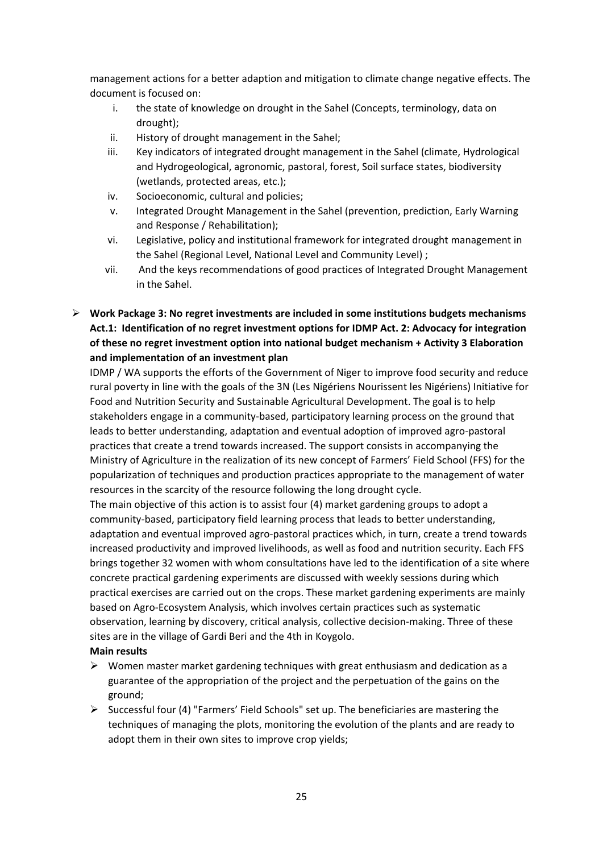management actions for a better adaption and mitigation to climate change negative effects. The document is focused on:

- i. the state of knowledge on drought in the Sahel (Concepts, terminology, data on drought);
- ii. History of drought management in the Sahel;
- iii. Key indicators of integrated drought management in the Sahel (climate, Hydrological and Hydrogeological, agronomic, pastoral, forest, Soil surface states, biodiversity (wetlands, protected areas, etc.);
- iv. Socioeconomic, cultural and policies;
- v. Integrated Drought Management in the Sahel (prevention, prediction, Early Warning and Response / Rehabilitation);
- vi. Legislative, policy and institutional framework for integrated drought management in the Sahel (Regional Level, National Level and Community Level) ;
- vii. And the keys recommendations of good practices of Integrated Drought Management in the Sahel.

## **Work Package 3: No regret investments are included in some institutions budgets mechanisms Act.1: Identification of no regret investment options for IDMP Act. 2: Advocacy for integration of these no regret investment option into national budget mechanism + Activity 3 Elaboration and implementation of an investment plan**

IDMP / WA supports the efforts of the Government of Niger to improve food security and reduce rural poverty in line with the goals of the 3N (Les Nigériens Nourissent les Nigériens) Initiative for Food and Nutrition Security and Sustainable Agricultural Development. The goal is to help stakeholders engage in a community-based, participatory learning process on the ground that leads to better understanding, adaptation and eventual adoption of improved agro-pastoral practices that create a trend towards increased. The support consists in accompanying the Ministry of Agriculture in the realization of its new concept of Farmers' Field School (FFS) for the popularization of techniques and production practices appropriate to the management of water resources in the scarcity of the resource following the long drought cycle.

The main objective of this action is to assist four (4) market gardening groups to adopt a community-based, participatory field learning process that leads to better understanding, adaptation and eventual improved agro-pastoral practices which, in turn, create a trend towards increased productivity and improved livelihoods, as well as food and nutrition security. Each FFS brings together 32 women with whom consultations have led to the identification of a site where concrete practical gardening experiments are discussed with weekly sessions during which practical exercises are carried out on the crops. These market gardening experiments are mainly based on Agro-Ecosystem Analysis, which involves certain practices such as systematic observation, learning by discovery, critical analysis, collective decision-making. Three of these sites are in the village of Gardi Beri and the 4th in Koygolo.

- **Main results**
- $\triangleright$  Women master market gardening techniques with great enthusiasm and dedication as a guarantee of the appropriation of the project and the perpetuation of the gains on the ground;
- $\triangleright$  Successful four (4) "Farmers' Field Schools" set up. The beneficiaries are mastering the techniques of managing the plots, monitoring the evolution of the plants and are ready to adopt them in their own sites to improve crop yields;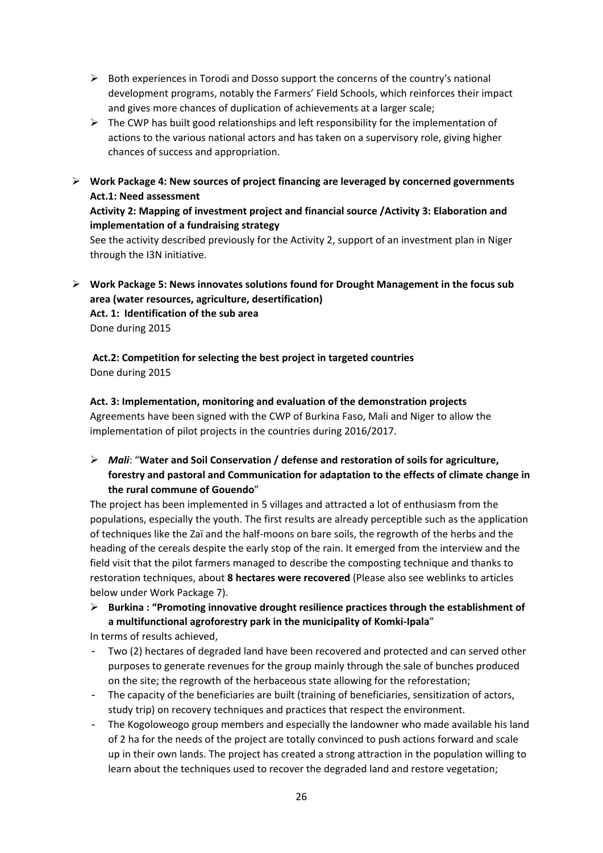- $\triangleright$  Both experiences in Torodi and Dosso support the concerns of the country's national development programs, notably the Farmers' Field Schools, which reinforces their impact and gives more chances of duplication of achievements at a larger scale;
- $\triangleright$  The CWP has built good relationships and left responsibility for the implementation of actions to the various national actors and has taken on a supervisory role, giving higher chances of success and appropriation.
- **Work Package 4: New sources of project financing are leveraged by concerned governments Act.1: Need assessment**

## **Activity 2: Mapping of investment project and financial source /Activity 3: Elaboration and implementation of a fundraising strategy**

See the activity described previously for the Activity 2, support of an investment plan in Niger through the I3N initiative.

 **Work Package 5: News innovates solutions found for Drought Management in the focus sub area (water resources, agriculture, desertification) Act. 1: Identification of the sub area** 

Done during 2015

**Act.2: Competition for selecting the best project in targeted countries**  Done during 2015

**Act. 3: Implementation, monitoring and evaluation of the demonstration projects** Agreements have been signed with the CWP of Burkina Faso, Mali and Niger to allow the implementation of pilot projects in the countries during 2016/2017.

## *Mali*: "**Water and Soil Conservation / defense and restoration of soils for agriculture, forestry and pastoral and Communication for adaptation to the effects of climate change in the rural commune of Gouendo**"

The project has been implemented in 5 villages and attracted a lot of enthusiasm from the populations, especially the youth. The first results are already perceptible such as the application of techniques like the Zaï and the half-moons on bare soils, the regrowth of the herbs and the heading of the cereals despite the early stop of the rain. It emerged from the interview and the field visit that the pilot farmers managed to describe the composting technique and thanks to restoration techniques, about **8 hectares were recovered** (Please also see weblinks to articles below under Work Package 7).

 **Burkina : "Promoting innovative drought resilience practices through the establishment of a multifunctional agroforestry park in the municipality of Komki-Ipala**"

In terms of results achieved,

- Two (2) hectares of degraded land have been recovered and protected and can served other purposes to generate revenues for the group mainly through the sale of bunches produced on the site; the regrowth of the herbaceous state allowing for the reforestation;
- The capacity of the beneficiaries are built (training of beneficiaries, sensitization of actors, study trip) on recovery techniques and practices that respect the environment.
- The Kogoloweogo group members and especially the landowner who made available his land of 2 ha for the needs of the project are totally convinced to push actions forward and scale up in their own lands. The project has created a strong attraction in the population willing to learn about the techniques used to recover the degraded land and restore vegetation;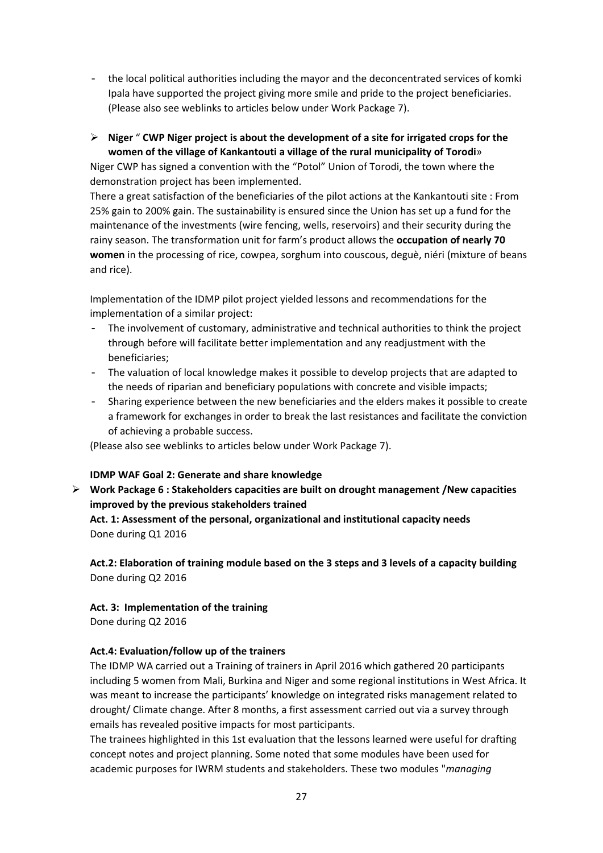- the local political authorities including the mayor and the deconcentrated services of komki Ipala have supported the project giving more smile and pride to the project beneficiaries. (Please also see weblinks to articles below under Work Package 7).
- **Niger** " **CWP Niger project is about the development of a site for irrigated crops for the women of the village of Kankantouti a village of the rural municipality of Torodi**»

Niger CWP has signed a convention with the "Potol" Union of Torodi, the town where the demonstration project has been implemented.

There a great satisfaction of the beneficiaries of the pilot actions at the Kankantouti site : From 25% gain to 200% gain. The sustainability is ensured since the Union has set up a fund for the maintenance of the investments (wire fencing, wells, reservoirs) and their security during the rainy season. The transformation unit for farm's product allows the **occupation of nearly 70 women** in the processing of rice, cowpea, sorghum into couscous, deguè, niéri (mixture of beans and rice).

Implementation of the IDMP pilot project yielded lessons and recommendations for the implementation of a similar project:

- The involvement of customary, administrative and technical authorities to think the project through before will facilitate better implementation and any readjustment with the beneficiaries;
- The valuation of local knowledge makes it possible to develop projects that are adapted to the needs of riparian and beneficiary populations with concrete and visible impacts;
- Sharing experience between the new beneficiaries and the elders makes it possible to create a framework for exchanges in order to break the last resistances and facilitate the conviction of achieving a probable success.

(Please also see weblinks to articles below under Work Package 7).

#### **IDMP WAF Goal 2: Generate and share knowledge**

 **Work Package 6 : Stakeholders capacities are built on drought management /New capacities improved by the previous stakeholders trained Act. 1: Assessment of the personal, organizational and institutional capacity needs**  Done during Q1 2016

**Act.2: Elaboration of training module based on the 3 steps and 3 levels of a capacity building**  Done during Q2 2016

#### **Act. 3: Implementation of the training**

Done during Q2 2016

#### **Act.4: Evaluation/follow up of the trainers**

The IDMP WA carried out a Training of trainers in April 2016 which gathered 20 participants including 5 women from Mali, Burkina and Niger and some regional institutions in West Africa. It was meant to increase the participants' knowledge on integrated risks management related to drought/ Climate change. After 8 months, a first assessment carried out via a survey through emails has revealed positive impacts for most participants.

The trainees highlighted in this 1st evaluation that the lessons learned were useful for drafting concept notes and project planning. Some noted that some modules have been used for academic purposes for IWRM students and stakeholders. These two modules "*managing*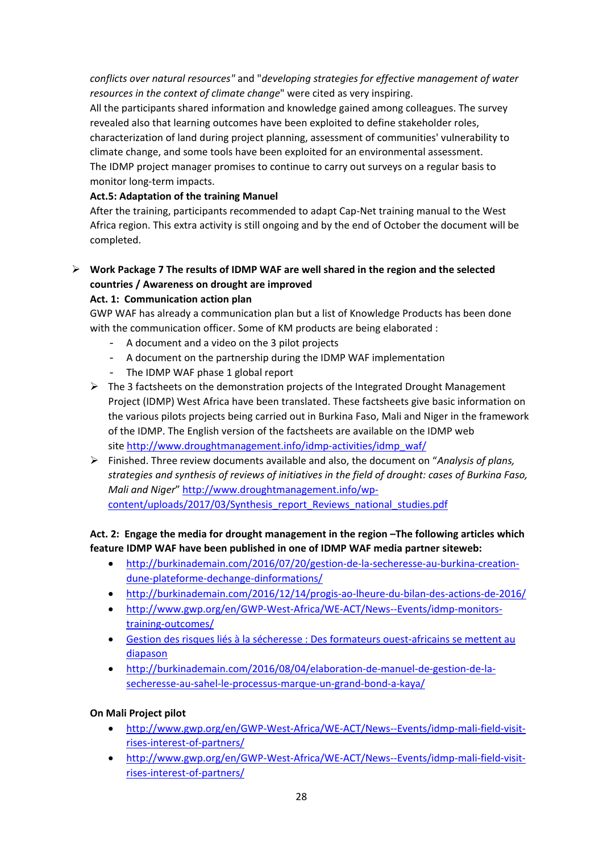*conflicts over natural resources"* and "*developing strategies for effective management of water resources in the context of climate change*" were cited as very inspiring.

All the participants shared information and knowledge gained among colleagues. The survey revealed also that learning outcomes have been exploited to define stakeholder roles, characterization of land during project planning, assessment of communities' vulnerability to climate change, and some tools have been exploited for an environmental assessment. The IDMP project manager promises to continue to carry out surveys on a regular basis to monitor long-term impacts.

## **Act.5: Adaptation of the training Manuel**

After the training, participants recommended to adapt Cap-Net training manual to the West Africa region. This extra activity is still ongoing and by the end of October the document will be completed.

 **Work Package 7 The results of IDMP WAF are well shared in the region and the selected countries / Awareness on drought are improved**

## **Act. 1: Communication action plan**

GWP WAF has already a communication plan but a list of Knowledge Products has been done with the communication officer. Some of KM products are being elaborated :

- A document and a video on the 3 pilot projects
- A document on the partnership during the IDMP WAF implementation
- The IDMP WAF phase 1 global report
- $\triangleright$  The 3 factsheets on the demonstration projects of the Integrated Drought Management Project (IDMP) West Africa have been translated. These factsheets give basic information on the various pilots projects being carried out in Burkina Faso, Mali and Niger in the framework of the IDMP. The English version of the factsheets are available on the IDMP web site [http://www.droughtmanagement.info/idmp-activities/idmp\\_waf/](http://www.droughtmanagement.info/idmp-activities/idmp_waf/)
- Finished. Three review documents available and also, the document on "*Analysis of plans, strategies and synthesis of reviews of initiatives in the field of drought: cases of Burkina Faso, Mali and Niger*" [http://www.droughtmanagement.info/wp](http://www.droughtmanagement.info/wp-content/uploads/2017/03/Synthesis_report_Reviews_national_studies.pdf)[content/uploads/2017/03/Synthesis\\_report\\_Reviews\\_national\\_studies.pdf](http://www.droughtmanagement.info/wp-content/uploads/2017/03/Synthesis_report_Reviews_national_studies.pdf)

#### **Act. 2: Engage the media for drought management in the region –The following articles which feature IDMP WAF have been published in one of IDMP WAF media partner siteweb:**

- [http://burkinademain.com/2016/07/20/gestion-de-la-secheresse-au-burkina-creation](http://burkinademain.com/2016/07/20/gestion-de-la-secheresse-au-burkina-creation-dune-plateforme-dechange-dinformations/)[dune-plateforme-dechange-dinformations/](http://burkinademain.com/2016/07/20/gestion-de-la-secheresse-au-burkina-creation-dune-plateforme-dechange-dinformations/)
- <http://burkinademain.com/2016/12/14/progis-ao-lheure-du-bilan-des-actions-de-2016/>
- [http://www.gwp.org/en/GWP-West-Africa/WE-ACT/News--Events/idmp-monitors](http://www.gwp.org/en/GWP-West-Africa/WE-ACT/News--Events/idmp-monitors-training-outcomes/)[training-outcomes/](http://www.gwp.org/en/GWP-West-Africa/WE-ACT/News--Events/idmp-monitors-training-outcomes/)
- [Gestion des risques liés à la sécheresse : Des formateurs ouest-africains se mettent au](http://burkinademain.com/2016/05/02/gestion-des-risques-lies-a-la-secheresse-des-formateurs-ouest-africains-se-mettent-au-diapason/)  [diapason](http://burkinademain.com/2016/05/02/gestion-des-risques-lies-a-la-secheresse-des-formateurs-ouest-africains-se-mettent-au-diapason/)
- [http://burkinademain.com/2016/08/04/elaboration-de-manuel-de-gestion-de-la](http://burkinademain.com/2016/08/04/elaboration-de-manuel-de-gestion-de-la-secheresse-au-sahel-le-processus-marque-un-grand-bond-a-kaya/)[secheresse-au-sahel-le-processus-marque-un-grand-bond-a-kaya/](http://burkinademain.com/2016/08/04/elaboration-de-manuel-de-gestion-de-la-secheresse-au-sahel-le-processus-marque-un-grand-bond-a-kaya/)

#### **On Mali Project pilot**

- [http://www.gwp.org/en/GWP-West-Africa/WE-ACT/News--Events/idmp-mali-field-visit](http://www.gwp.org/en/GWP-West-Africa/WE-ACT/News--Events/idmp-mali-field-visit-rises-interest-of-partners/)[rises-interest-of-partners/](http://www.gwp.org/en/GWP-West-Africa/WE-ACT/News--Events/idmp-mali-field-visit-rises-interest-of-partners/)
- [http://www.gwp.org/en/GWP-West-Africa/WE-ACT/News--Events/idmp-mali-field-visit](http://www.gwp.org/en/GWP-West-Africa/WE-ACT/News--Events/idmp-mali-field-visit-rises-interest-of-partners/)[rises-interest-of-partners/](http://www.gwp.org/en/GWP-West-Africa/WE-ACT/News--Events/idmp-mali-field-visit-rises-interest-of-partners/)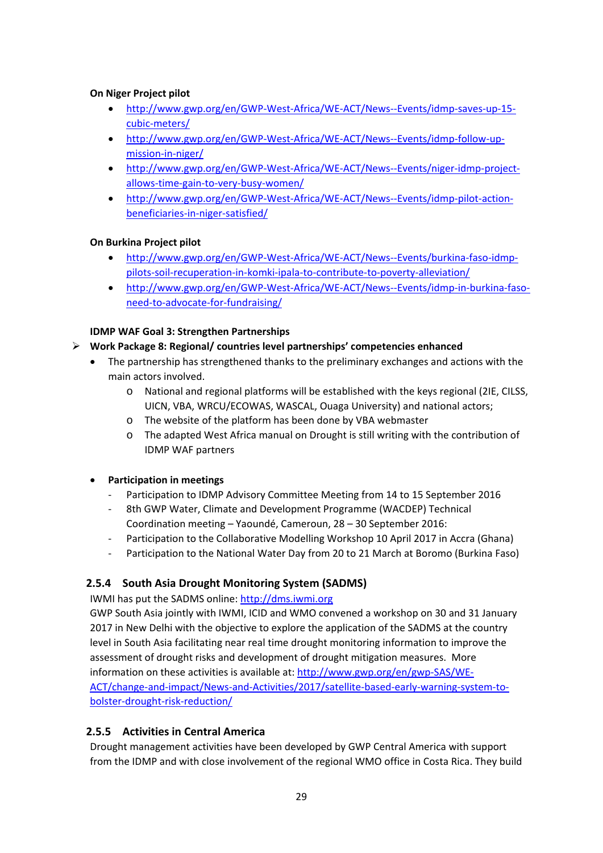### **On Niger Project pilot**

- [http://www.gwp.org/en/GWP-West-Africa/WE-ACT/News--Events/idmp-saves-up-15](http://www.gwp.org/en/GWP-West-Africa/WE-ACT/News--Events/idmp-saves-up-15-cubic-meters/) [cubic-meters/](http://www.gwp.org/en/GWP-West-Africa/WE-ACT/News--Events/idmp-saves-up-15-cubic-meters/)
- [http://www.gwp.org/en/GWP-West-Africa/WE-ACT/News--Events/idmp-follow-up](http://www.gwp.org/en/GWP-West-Africa/WE-ACT/News--Events/idmp-follow-up-mission-in-niger/)[mission-in-niger/](http://www.gwp.org/en/GWP-West-Africa/WE-ACT/News--Events/idmp-follow-up-mission-in-niger/)
- [http://www.gwp.org/en/GWP-West-Africa/WE-ACT/News--Events/niger-idmp-project](http://www.gwp.org/en/GWP-West-Africa/WE-ACT/News--Events/niger-idmp-project-allows-time-gain-to-very-busy-women/)[allows-time-gain-to-very-busy-women/](http://www.gwp.org/en/GWP-West-Africa/WE-ACT/News--Events/niger-idmp-project-allows-time-gain-to-very-busy-women/)
- [http://www.gwp.org/en/GWP-West-Africa/WE-ACT/News--Events/idmp-pilot-action](http://www.gwp.org/en/GWP-West-Africa/WE-ACT/News--Events/idmp-pilot-action-beneficiaries-in-niger-satisfied/)[beneficiaries-in-niger-satisfied/](http://www.gwp.org/en/GWP-West-Africa/WE-ACT/News--Events/idmp-pilot-action-beneficiaries-in-niger-satisfied/)

#### **On Burkina Project pilot**

- [http://www.gwp.org/en/GWP-West-Africa/WE-ACT/News--Events/burkina-faso-idmp](http://www.gwp.org/en/GWP-West-Africa/WE-ACT/News--Events/burkina-faso-idmp-pilots-soil-recuperation-in-komki-ipala-to-contribute-to-poverty-alleviation/)[pilots-soil-recuperation-in-komki-ipala-to-contribute-to-poverty-alleviation/](http://www.gwp.org/en/GWP-West-Africa/WE-ACT/News--Events/burkina-faso-idmp-pilots-soil-recuperation-in-komki-ipala-to-contribute-to-poverty-alleviation/)
- [http://www.gwp.org/en/GWP-West-Africa/WE-ACT/News--Events/idmp-in-burkina-faso](http://www.gwp.org/en/GWP-West-Africa/WE-ACT/News--Events/idmp-in-burkina-faso-need-to-advocate-for-fundraising/)[need-to-advocate-for-fundraising/](http://www.gwp.org/en/GWP-West-Africa/WE-ACT/News--Events/idmp-in-burkina-faso-need-to-advocate-for-fundraising/)

## **IDMP WAF Goal 3: Strengthen Partnerships**

- **Work Package 8: Regional/ countries level partnerships' competencies enhanced**
	- The partnership has strengthened thanks to the preliminary exchanges and actions with the main actors involved.
		- o National and regional platforms will be established with the keys regional (2IE, CILSS, UICN, VBA, WRCU/ECOWAS, WASCAL, Ouaga University) and national actors;
		- o The website of the platform has been done by VBA webmaster
		- o The adapted West Africa manual on Drought is still writing with the contribution of IDMP WAF partners

#### • **Participation in meetings**

- Participation to IDMP Advisory Committee Meeting from 14 to 15 September 2016
- 8th GWP Water, Climate and Development Programme (WACDEP) Technical Coordination meeting – Yaoundé, Cameroun, 28 – 30 September 2016:
- Participation to the Collaborative Modelling Workshop 10 April 2017 in Accra (Ghana)
- Participation to the National Water Day from 20 to 21 March at Boromo (Burkina Faso)

## <span id="page-28-0"></span>**2.5.4 South Asia Drought Monitoring System (SADMS)**

IWMI has put the SADMS online: [http://dms.iwmi.org](http://dms.iwmi.org/)

GWP South Asia jointly with IWMI, ICID and WMO convened a workshop on 30 and 31 January 2017 in New Delhi with the objective to explore the application of the SADMS at the country level in South Asia facilitating near real time drought monitoring information to improve the assessment of drought risks and development of drought mitigation measures. More information on these activities is available at[: http://www.gwp.org/en/gwp-SAS/WE-](http://www.gwp.org/en/gwp-SAS/WE-ACT/change-and-impact/News-and-Activities/2017/satellite-based-early-warning-system-to-bolster-drought-risk-reduction/)[ACT/change-and-impact/News-and-Activities/2017/satellite-based-early-warning-system-to](http://www.gwp.org/en/gwp-SAS/WE-ACT/change-and-impact/News-and-Activities/2017/satellite-based-early-warning-system-to-bolster-drought-risk-reduction/)[bolster-drought-risk-reduction/](http://www.gwp.org/en/gwp-SAS/WE-ACT/change-and-impact/News-and-Activities/2017/satellite-based-early-warning-system-to-bolster-drought-risk-reduction/)

## <span id="page-28-1"></span>**2.5.5 Activities in Central America**

Drought management activities have been developed by GWP Central America with support from the IDMP and with close involvement of the regional WMO office in Costa Rica. They build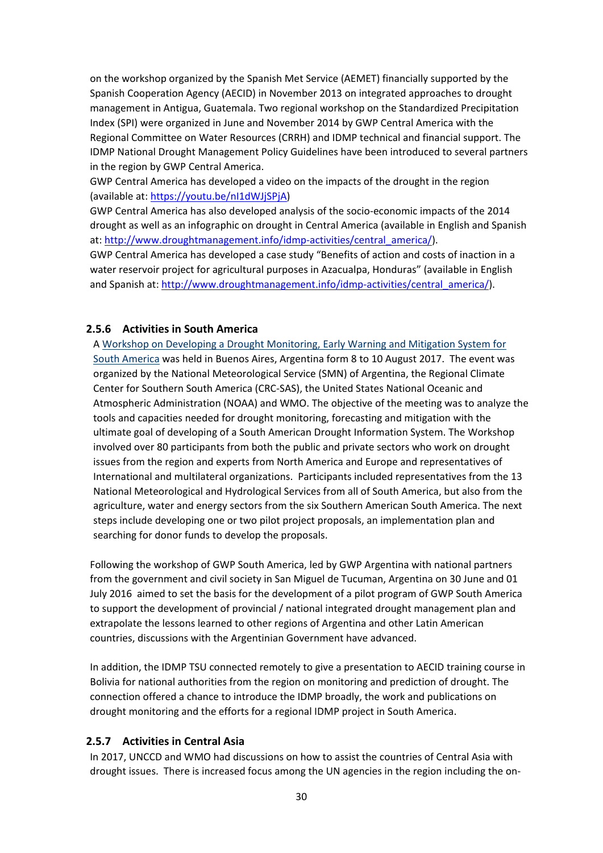on the workshop organized by the Spanish Met Service (AEMET) financially supported by the Spanish Cooperation Agency (AECID) in November 2013 on integrated approaches to drought management in Antigua, Guatemala. Two regional workshop on the Standardized Precipitation Index (SPI) were organized in June and November 2014 by GWP Central America with the Regional Committee on Water Resources (CRRH) and IDMP technical and financial support. The IDMP National Drought Management Policy Guidelines have been introduced to several partners in the region by GWP Central America.

GWP Central America has developed a video on the impacts of the drought in the region (available at[: https://youtu.be/nI1dWJjSPjA\)](https://youtu.be/nI1dWJjSPjA)

GWP Central America has also developed analysis of the socio-economic impacts of the 2014 drought as well as an infographic on drought in Central America (available in English and Spanish at: [http://www.droughtmanagement.info/idmp-activities/central\\_america/\)](http://www.droughtmanagement.info/idmp-activities/central_america/).

GWP Central America has developed a case study "Benefits of action and costs of inaction in a water reservoir project for agricultural purposes in Azacualpa, Honduras" (available in English and Spanish at[: http://www.droughtmanagement.info/idmp-activities/central\\_america/\)](http://www.droughtmanagement.info/idmp-activities/central_america/).

#### <span id="page-29-0"></span>**2.5.6 Activities in South America**

A [Workshop on Developing a Drought Monitoring, Early Warning and Mitigation System for](http://www.wmo.int/pages/prog/wcp/agm/meetings/sadm17/)  [South America](http://www.wmo.int/pages/prog/wcp/agm/meetings/sadm17/) was held in Buenos Aires, Argentina form 8 to 10 August 2017. The event was organized by the National Meteorological Service (SMN) of Argentina, the Regional Climate Center for Southern South America (CRC-SAS), the United States National Oceanic and Atmospheric Administration (NOAA) and WMO. The objective of the meeting was to analyze the tools and capacities needed for drought monitoring, forecasting and mitigation with the ultimate goal of developing of a South American Drought Information System. The Workshop involved over 80 participants from both the public and private sectors who work on drought issues from the region and experts from North America and Europe and representatives of International and multilateral organizations. Participants included representatives from the 13 National Meteorological and Hydrological Services from all of South America, but also from the agriculture, water and energy sectors from the six Southern American South America. The next steps include developing one or two pilot project proposals, an implementation plan and searching for donor funds to develop the proposals.

Following the workshop of GWP South America, led by GWP Argentina with national partners from the government and civil society in San Miguel de Tucuman, Argentina on 30 June and 01 July 2016 aimed to set the basis for the development of a pilot program of GWP South America to support the development of provincial / national integrated drought management plan and extrapolate the lessons learned to other regions of Argentina and other Latin American countries, discussions with the Argentinian Government have advanced.

In addition, the IDMP TSU connected remotely to give a presentation to AECID training course in Bolivia for national authorities from the region on monitoring and prediction of drought. The connection offered a chance to introduce the IDMP broadly, the work and publications on drought monitoring and the efforts for a regional IDMP project in South America.

#### <span id="page-29-1"></span>**2.5.7 Activities in Central Asia**

In 2017, UNCCD and WMO had discussions on how to assist the countries of Central Asia with drought issues. There is increased focus among the UN agencies in the region including the on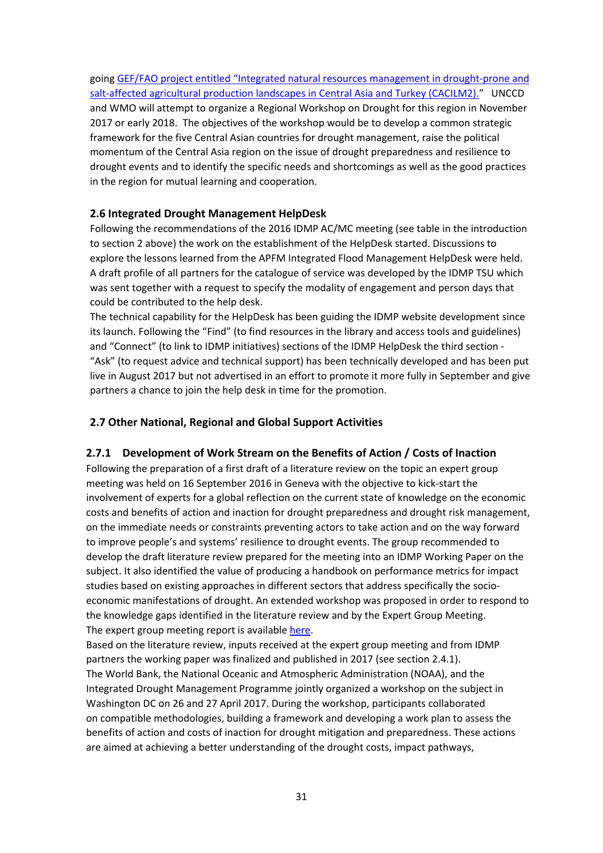going [GEF/FAO project entitled "Integrated natural resources management](http://www.fao.org/in-action/cacilm-2/en/) in drought-prone and [salt-affected agricultural production landscapes in Central Asia and](http://www.fao.org/in-action/cacilm-2/en/) Turkey (CACILM2)." UNCCD and WMO will attempt to organize a Regional Workshop on Drought for this region in November 2017 or early 2018. The objectives of the workshop would be to develop a common strategic framework for the five Central Asian countries for drought management, raise the political momentum of the Central Asia region on the issue of drought preparedness and resilience to drought events and to identify the specific needs and shortcomings as well as the good practices in the region for mutual learning and cooperation.

#### <span id="page-30-0"></span>**2.6 Integrated Drought Management HelpDesk**

Following the recommendations of the 2016 IDMP AC/MC meeting (see table in the introduction to section 2 above) the work on the establishment of the HelpDesk started. Discussions to explore the lessons learned from the APFM Integrated Flood Management HelpDesk were held. A draft profile of all partners for the catalogue of service was developed by the IDMP TSU which was sent together with a request to specify the modality of engagement and person days that could be contributed to the help desk.

The technical capability for the HelpDesk has been guiding the IDMP website development since its launch. Following the "Find" (to find resources in the library and access tools and guidelines) and "Connect" (to link to IDMP initiatives) sections of the IDMP HelpDesk the third section - "Ask" (to request advice and technical support) has been technically developed and has been put live in August 2017 but not advertised in an effort to promote it more fully in September and give partners a chance to join the help desk in time for the promotion.

#### <span id="page-30-1"></span>**2.7 Other National, Regional and Global Support Activities**

#### <span id="page-30-2"></span>**2.7.1 Development of Work Stream on the Benefits of Action / Costs of Inaction**

Following the preparation of a first draft of a literature review on the topic an expert group meeting was held on 16 September 2016 in Geneva with the objective to kick-start the involvement of experts for a global reflection on the current state of knowledge on the economic costs and benefits of action and inaction for drought preparedness and drought risk management, on the immediate needs or constraints preventing actors to take action and on the way forward to improve people's and systems' resilience to drought events. The group recommended to develop the draft literature review prepared for the meeting into an IDMP Working Paper on the subject. It also identified the value of producing a handbook on performance metrics for impact studies based on existing approaches in different sectors that address specifically the socioeconomic manifestations of drought. An extended workshop was proposed in order to respond to the knowledge gaps identified in the literature review and by the Expert Group Meeting. The expert group meeting report is available [here.](http://www.droughtmanagement.info/wp-content/uploads/2016/11/IDMP_EGM_BA-CI_Report.pdf)

Based on the literature review, inputs received at the expert group meeting and from IDMP partners the working paper was finalized and published in 2017 (see section 2.4.1). The World Bank, the National Oceanic and Atmospheric Administration (NOAA), and the Integrated Drought Management Programme jointly organized a workshop on the subject in Washington DC on 26 and 27 April 2017. During the workshop, participants collaborated on compatible methodologies, building a framework and developing a work plan to assess the benefits of action and costs of inaction for drought mitigation and preparedness. These actions are aimed at achieving a better understanding of the drought costs, impact pathways,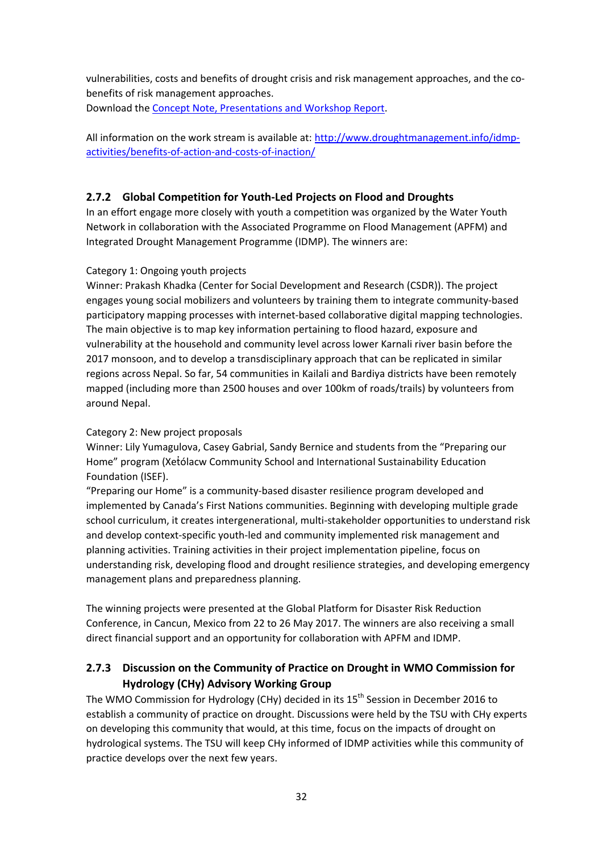vulnerabilities, costs and benefits of drought crisis and risk management approaches, and the cobenefits of risk management approaches. Download the [Concept Note,](http://www.droughtmanagement.info/workshop-baci-washington/) Presentations and Workshop Report.

All information on the work stream is available at[: http://www.droughtmanagement.info/idmp](http://www.droughtmanagement.info/idmp-activities/benefits-of-action-and-costs-of-inaction/)[activities/benefits-of-action-and-costs-of-inaction/](http://www.droughtmanagement.info/idmp-activities/benefits-of-action-and-costs-of-inaction/)

## <span id="page-31-0"></span>**2.7.2 Global Competition for Youth-Led Projects on Flood and Droughts**

In an effort engage more closely with youth a competition was organized by the Water Youth Network in collaboration with the Associated Programme on Flood Management (APFM) and Integrated Drought Management Programme (IDMP). The winners are:

## Category 1: Ongoing youth projects

Winner: Prakash Khadka (Center for Social Development and Research (CSDR)). The project engages young social mobilizers and volunteers by training them to integrate community-based participatory mapping processes with internet-based collaborative digital mapping technologies. The main objective is to map key information pertaining to flood hazard, exposure and vulnerability at the household and community level across lower Karnali river basin before the 2017 monsoon, and to develop a transdisciplinary approach that can be replicated in similar regions across Nepal. So far, 54 communities in Kailali and Bardiya districts have been remotely mapped (including more than 2500 houses and over 100km of roads/trails) by volunteers from around Nepal.

#### Category 2: New project proposals

Winner: Lily Yumagulova, Casey Gabrial, Sandy Bernice and students from the "Preparing our Home" program (Xetólacw Community School and International Sustainability Education Foundation (ISEF).

"Preparing our Home" is a community-based disaster resilience program developed and implemented by Canada's First Nations communities. Beginning with developing multiple grade school curriculum, it creates intergenerational, multi-stakeholder opportunities to understand risk and develop context-specific youth-led and community implemented risk management and planning activities. Training activities in their project implementation pipeline, focus on understanding risk, developing flood and drought resilience strategies, and developing emergency management plans and preparedness planning.

The winning projects were presented at the Global Platform for Disaster Risk Reduction Conference, in Cancun, Mexico from 22 to 26 May 2017. The winners are also receiving a small direct financial support and an opportunity for collaboration with APFM and IDMP.

## <span id="page-31-1"></span>**2.7.3 Discussion on the Community of Practice on Drought in WMO Commission for Hydrology (CHy) Advisory Working Group**

The WMO Commission for Hydrology (CHy) decided in its 15<sup>th</sup> Session in December 2016 to establish a community of practice on drought. Discussions were held by the TSU with CHy experts on developing this community that would, at this time, focus on the impacts of drought on hydrological systems. The TSU will keep CHy informed of IDMP activities while this community of practice develops over the next few years.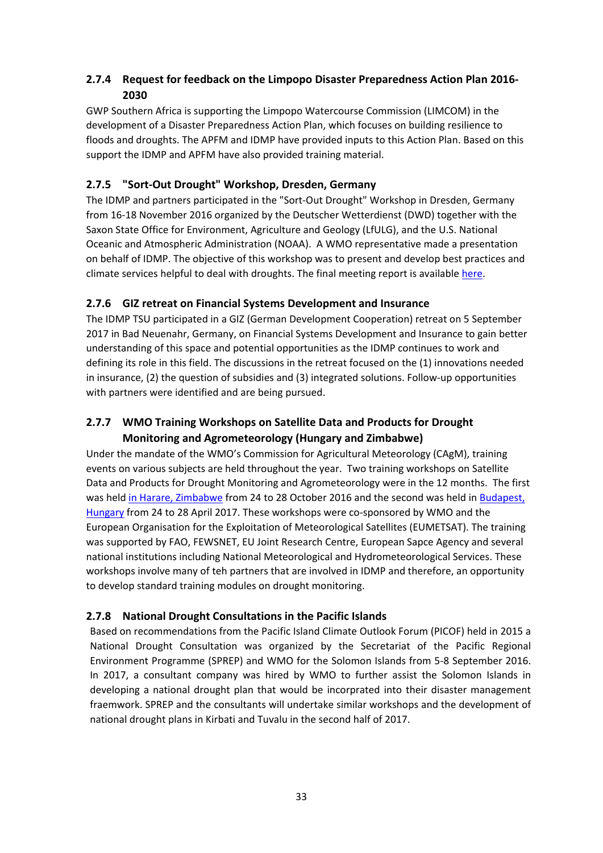## <span id="page-32-0"></span>**2.7.4 Request for feedback on the Limpopo Disaster Preparedness Action Plan 2016- 2030**

GWP Southern Africa is supporting the Limpopo Watercourse Commission (LIMCOM) in the development of a Disaster Preparedness Action Plan, which focuses on building resilience to floods and droughts. The APFM and IDMP have provided inputs to this Action Plan. Based on this support the IDMP and APFM have also provided training material.

## <span id="page-32-1"></span>**2.7.5 "Sort-Out Drought" Workshop, Dresden, Germany**

The IDMP and partners participated in the "Sort-Out Drought" Workshop in Dresden, Germany from 16-18 November 2016 organized by the Deutscher Wetterdienst (DWD) together with the Saxon State Office for Environment, Agriculture and Geology (LfULG), and the U.S. National Oceanic and Atmospheric Administration (NOAA). A WMO representative made a presentation on behalf of IDMP. The objective of this workshop was to present and develop best practices and climate services helpful to deal with droughts. The final meeting report is available [here.](http://www.wmo.int/pages/prog/wcp/agm/meetings/dresden16/documents/FinalMeetingReport-Dresden2016.pdf)

## <span id="page-32-2"></span>**2.7.6 GIZ retreat on Financial Systems Development and Insurance**

The IDMP TSU participated in a GIZ (German Development Cooperation) retreat on 5 September 2017 in Bad Neuenahr, Germany, on Financial Systems Development and Insurance to gain better understanding of this space and potential opportunities as the IDMP continues to work and defining its role in this field. The discussions in the retreat focused on the (1) innovations needed in insurance, (2) the question of subsidies and (3) integrated solutions. Follow-up opportunities with partners were identified and are being pursued.

## <span id="page-32-3"></span>**2.7.7 WMO Training Workshops on Satellite Data and Products for Drought Monitoring and Agrometeorology (Hungary and Zimbabwe)**

Under the mandate of the WMO's Commission for Agricultural Meteorology (CAgM), training events on various subjects are held throughout the year. Two training workshops on Satellite Data and Products for Drought Monitoring and Agrometeorology were in the 12 months. The first was held [in Harare, Zimbabwe](http://www.wmo.int/pages/prog/wcp/agm/meetings/sat2016/index.php) from 24 to 28 October 2016 and the second was held i[n Budapest,](http://www.wmo.int/pages/prog/wcp/agm/meetings/budapest17/budapest2017.php)  [Hungary](http://www.wmo.int/pages/prog/wcp/agm/meetings/budapest17/budapest2017.php) from 24 to 28 April 2017. These workshops were co-sponsored by WMO and the European Organisation for the Exploitation of Meteorological Satellites (EUMETSAT). The training was supported by FAO, FEWSNET, EU Joint Research Centre, European Sapce Agency and several national institutions including National Meteorological and Hydrometeorological Services. These workshops involve many of teh partners that are involved in IDMP and therefore, an opportunity to develop standard training modules on drought monitoring.

## <span id="page-32-4"></span>**2.7.8 National Drought Consultations in the Pacific Islands**

Based on recommendations from the Pacific Island Climate Outlook Forum (PICOF) held in 2015 a National Drought Consultation was organized by the Secretariat of the Pacific Regional Environment Programme (SPREP) and WMO for the Solomon Islands from 5-8 September 2016. In 2017, a consultant company was hired by WMO to further assist the Solomon Islands in developing a national drought plan that would be incorprated into their disaster management fraemwork. SPREP and the consultants will undertake similar workshops and the development of national drought plans in Kirbati and Tuvalu in the second half of 2017.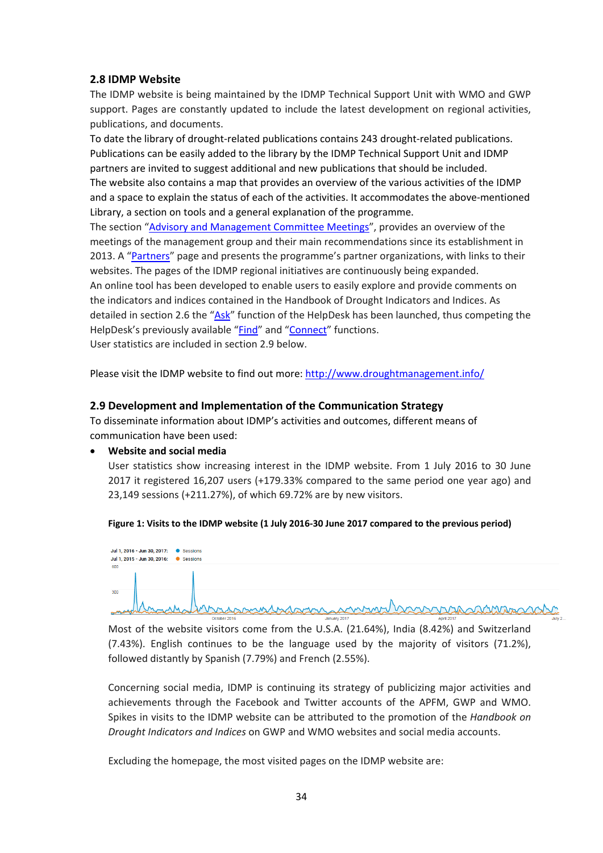#### <span id="page-33-0"></span>**2.8 IDMP Website**

The IDMP website is being maintained by the IDMP Technical Support Unit with WMO and GWP support. Pages are constantly updated to include the latest development on regional activities, publications, and documents.

To date the library of drought-related publications contains 243 drought-related publications. Publications can be easily added to the library by the IDMP Technical Support Unit and IDMP partners are invited to suggest additional and new publications that should be included. The website also contains a map that provides an overview of the various activities of the IDMP and a space to explain the status of each of the activities. It accommodates the above-mentioned Library, a section on tools and a general explanation of the programme.

The section ["Advisory and Management Committee Meetings"](http://www.droughtmanagement.info/about-idmp/advisory-and-management-committee-meetings/), provides an overview of the meetings of the management group and their main recommendations since its establishment in 2013. A ["Partners"](http://www.droughtmanagement.info/about-idmp/partners/) page and presents the programme's partner organizations, with links to their websites. The pages of the IDMP regional initiatives are continuously being expanded. An online tool has been developed to enable users to easily explore and provide comments on the indicators and indices contained in the Handbook of Drought Indicators and Indices. As detailed in section 2.6 the ["Ask"](http://www.droughtmanagement.info/ask/) function of the HelpDesk has been launched, thus competing the HelpDesk's previously available ["Find"](http://www.droughtmanagement.info/find/) and ["Connect"](http://www.droughtmanagement.info/idmp-activities/) functions. User statistics are included in section 2.9 below.

Please visit the IDMP website to find out more[: http://www.droughtmanagement.info/](http://www.droughtmanagement.info/)

#### <span id="page-33-1"></span>**2.9 Development and Implementation of the Communication Strategy**

To disseminate information about IDMP's activities and outcomes, different means of communication have been used:

#### • **Website and social media**

User statistics show increasing interest in the IDMP website. From 1 July 2016 to 30 June 2017 it registered 16,207 users (+179.33% compared to the same period one year ago) and 23,149 sessions (+211.27%), of which 69.72% are by new visitors.

#### **Figure 1: Visits to the IDMP website (1 July 2016-30 June 2017 compared to the previous period)**



Most of the website visitors come from the U.S.A. (21.64%), India (8.42%) and Switzerland (7.43%). English continues to be the language used by the majority of visitors (71.2%), followed distantly by Spanish (7.79%) and French (2.55%).

Concerning social media, IDMP is continuing its strategy of publicizing major activities and achievements through the Facebook and Twitter accounts of the APFM, GWP and WMO. Spikes in visits to the IDMP website can be attributed to the promotion of the *Handbook on Drought Indicators and Indices* on GWP and WMO websites and social media accounts.

Excluding the homepage, the most visited pages on the IDMP website are: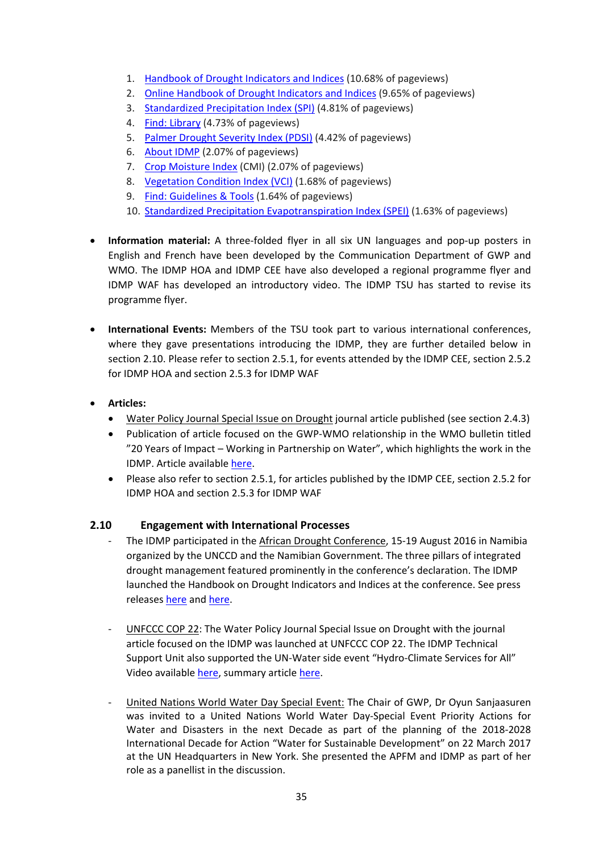- 1. [Handbook of Drought Indicators and Indices](http://www.droughtmanagement.info/handbook-drought-indicators-and-indices/) (10.68% of pageviews)
- 2. [Online Handbook of Drought Indicators and Indices](http://www.droughtmanagement.info/indices/) (9.65% of pageviews)
- 3. [Standardized Precipitation Index \(SPI\)](http://www.droughtmanagement.info/standardized-precipitation-index-spi/) (4.81% of pageviews)
- 4. [Find: Library](http://www.droughtmanagement.info/find/library/) (4.73% of pageviews)
- 5. [Palmer Drought Severity Index \(PDSI\)](http://www.droughtmanagement.info/palmer-drought-severity-index-pdsi/) (4.42% of pageviews)
- 6. [About IDMP](http://www.droughtmanagement.info/about-idmp/) (2.07% of pageviews)
- 7. [Crop Moisture Index](http://www.droughtmanagement.info/crop-moisture-index-cmi/) (CMI) (2.07% of pageviews)
- 8. [Vegetation Condition Index \(VCI\)](http://www.droughtmanagement.info/vegetation-condition-index-vci/) (1.68% of pageviews)
- 9. [Find: Guidelines & Tools](http://www.droughtmanagement.info/find/guidelines-tools/) (1.64% of pageviews)
- 10. [Standardized Precipitation Evapotranspiration Index \(SPEI\)](http://www.droughtmanagement.info/standardized-precipitation-evapotranspiration-index-spei/) (1.63% of pageviews)
- **Information material:** A three-folded flyer in all six UN languages and pop-up posters in English and French have been developed by the Communication Department of GWP and WMO. The IDMP HOA and IDMP CEE have also developed a regional programme flyer and IDMP WAF has developed an introductory video. The IDMP TSU has started to revise its programme flyer.
- **International Events:** Members of the TSU took part to various international conferences, where they gave presentations introducing the IDMP, they are further detailed below in section 2.10. Please refer to section 2.5.1, for events attended by the IDMP CEE, section 2.5.2 for IDMP HOA and section 2.5.3 for IDMP WAF
- **Articles:**
	- Water Policy Journal Special Issue on Drought journal article published (see section 2.4.3)
	- Publication of article focused on the GWP-WMO relationship in the WMO bulletin titled "20 Years of Impact – Working in Partnership on Water", which highlights the work in the IDMP. Article available here.
	- Please also refer to section 2.5.1, for articles published by the IDMP CEE, section 2.5.2 for IDMP HOA and section 2.5.3 for IDMP WAF

#### **2.10 Engagement with International Processes**

- <span id="page-34-0"></span>The IDMP participated in the African Drought Conference, 15-19 August 2016 in Namibia organized by the UNCCD and the Namibian Government. The three pillars of integrated drought management featured prominently in the conference's declaration. The IDMP launched the Handbook on Drought Indicators and Indices at the conference. See press releases [here](https://public.wmo.int/en/resources/meteoworld/governments-adopt-windhoek-declaration-drought-resilience-africa) and [here.](https://public.wmo.int/en/media/news/handbook-of-drought-indicators-and-indices-launched-african-drought-conference)
- UNFCCC COP 22: The Water Policy Journal Special Issue on Drought with the journal article focused on the IDMP was launched at UNFCCC COP 22. The IDMP Technical Support Unit also supported the UN-Water side event "Hydro-Climate Services for All" Video available [here,](http://enb.iisd.org/videos/climate/unfccc-cop22-side-events/hydro-climate-services-for-all/?autoplay) summary articl[e here.](http://public.wmo.int/en/media/news/hydro-climate-services-all)
- United Nations World Water Day Special Event: The Chair of GWP, Dr Oyun Sanjaasuren was invited to a United Nations World Water Day-Special Event Priority Actions for Water and Disasters in the next Decade as part of the planning of the 2018-2028 International Decade for Action "Water for Sustainable Development" on 22 March 2017 at the UN Headquarters in New York. She presented the APFM and IDMP as part of her role as a panellist in the discussion.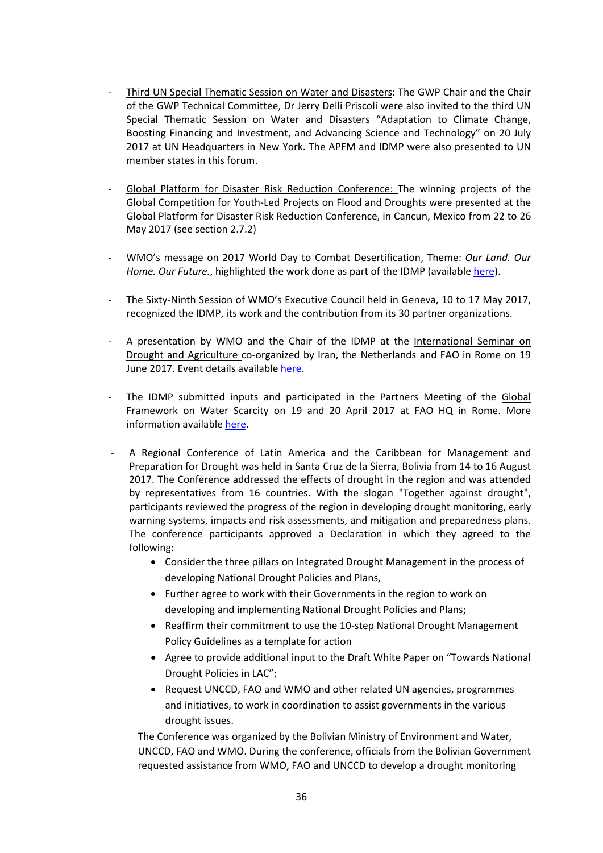- Third UN Special Thematic Session on Water and Disasters: The GWP Chair and the Chair of the GWP Technical Committee, Dr Jerry Delli Priscoli were also invited to the third UN Special Thematic Session on Water and Disasters "Adaptation to Climate Change, Boosting Financing and Investment, and Advancing Science and Technology" on 20 July 2017 at UN Headquarters in New York. The APFM and IDMP were also presented to UN member states in this forum.
- Global Platform for Disaster Risk Reduction Conference: The winning projects of the Global Competition for Youth-Led Projects on Flood and Droughts were presented at the Global Platform for Disaster Risk Reduction Conference, in Cancun, Mexico from 22 to 26 May 2017 (see section 2.7.2)
- WMO's message on 2017 World Day to Combat Desertification, Theme: *Our Land. Our Home. Our Future.*, highlighted the work done as part of the IDMP (available [here\)](http://www2.unccd.int/sites/default/files/inline-files/UNCCD%20WDD%202017%20WMO%20statement%20v2.pdf).
- The Sixty-Ninth Session of WMO's Executive Council held in Geneva, 10 to 17 May 2017, recognized the IDMP, its work and the contribution from its 30 partner organizations.
- A presentation by WMO and the Chair of the IDMP at the International Seminar on Drought and Agriculture co-organized by Iran, the Netherlands and FAO in Rome on 19 June 2017. Event details available [here.](http://www.fao.org/land-water/events/events-detail/en/c/470286/)
- The IDMP submitted inputs and participated in the Partners Meeting of the Global Framework on Water Scarcity on 19 and 20 April 2017 at FAO HQ in Rome. More information availabl[e here.](http://www.fao.org/land-water/overview/global-framework/en/)
- A Regional Conference of Latin America and the Caribbean for Management and Preparation for Drought was held in Santa Cruz de la Sierra, Bolivia from 14 to 16 August 2017. The Conference addressed the effects of drought in the region and was attended by representatives from 16 countries. With the slogan "Together against drought", participants reviewed the progress of the region in developing drought monitoring, early warning systems, impacts and risk assessments, and mitigation and preparedness plans. The conference participants approved a Declaration in which they agreed to the following:
	- Consider the three pillars on Integrated Drought Management in the process of developing National Drought Policies and Plans,
	- Further agree to work with their Governments in the region to work on developing and implementing National Drought Policies and Plans;
	- Reaffirm their commitment to use the 10-step National Drought Management Policy Guidelines as a template for action
	- Agree to provide additional input to the Draft White Paper on "Towards National Drought Policies in LAC";
	- Request UNCCD, FAO and WMO and other related UN agencies, programmes and initiatives, to work in coordination to assist governments in the various drought issues.

The Conference was organized by the Bolivian Ministry of Environment and Water, UNCCD, FAO and WMO. During the conference, officials from the Bolivian Government requested assistance from WMO, FAO and UNCCD to develop a drought monitoring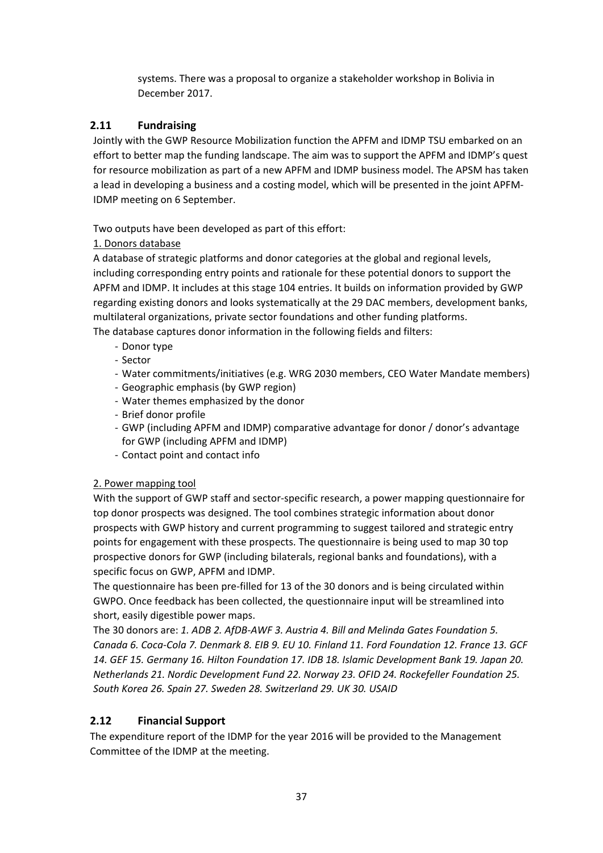systems. There was a proposal to organize a stakeholder workshop in Bolivia in December 2017.

## <span id="page-36-0"></span>**2.11 Fundraising**

Jointly with the GWP Resource Mobilization function the APFM and IDMP TSU embarked on an effort to better map the funding landscape. The aim was to support the APFM and IDMP's quest for resource mobilization as part of a new APFM and IDMP business model. The APSM has taken a lead in developing a business and a costing model, which will be presented in the joint APFM-IDMP meeting on 6 September.

Two outputs have been developed as part of this effort:

## 1. Donors database

A database of strategic platforms and donor categories at the global and regional levels, including corresponding entry points and rationale for these potential donors to support the APFM and IDMP. It includes at this stage 104 entries. It builds on information provided by GWP regarding existing donors and looks systematically at the 29 DAC members, development banks, multilateral organizations, private sector foundations and other funding platforms. The database captures donor information in the following fields and filters:

- Donor type
- Sector
- Water commitments/initiatives (e.g. WRG 2030 members, CEO Water Mandate members)
- Geographic emphasis (by GWP region)
- Water themes emphasized by the donor
- Brief donor profile
- GWP (including APFM and IDMP) comparative advantage for donor / donor's advantage for GWP (including APFM and IDMP)
- Contact point and contact info

## 2. Power mapping tool

With the support of GWP staff and sector-specific research, a power mapping questionnaire for top donor prospects was designed. The tool combines strategic information about donor prospects with GWP history and current programming to suggest tailored and strategic entry points for engagement with these prospects. The questionnaire is being used to map 30 top prospective donors for GWP (including bilaterals, regional banks and foundations), with a specific focus on GWP, APFM and IDMP.

The questionnaire has been pre-filled for 13 of the 30 donors and is being circulated within GWPO. Once feedback has been collected, the questionnaire input will be streamlined into short, easily digestible power maps.

The 30 donors are: *1. ADB 2. AfDB-AWF 3. Austria 4. Bill and Melinda Gates Foundation 5. Canada 6. Coca-Cola 7. Denmark 8. EIB 9. EU 10. Finland 11. Ford Foundation 12. France 13. GCF 14. GEF 15. Germany 16. Hilton Foundation 17. IDB 18. Islamic Development Bank 19. Japan 20. Netherlands 21. Nordic Development Fund 22. Norway 23. OFID 24. Rockefeller Foundation 25. South Korea 26. Spain 27. Sweden 28. Switzerland 29. UK 30. USAID*

## <span id="page-36-1"></span>**2.12 Financial Support**

The expenditure report of the IDMP for the year 2016 will be provided to the Management Committee of the IDMP at the meeting.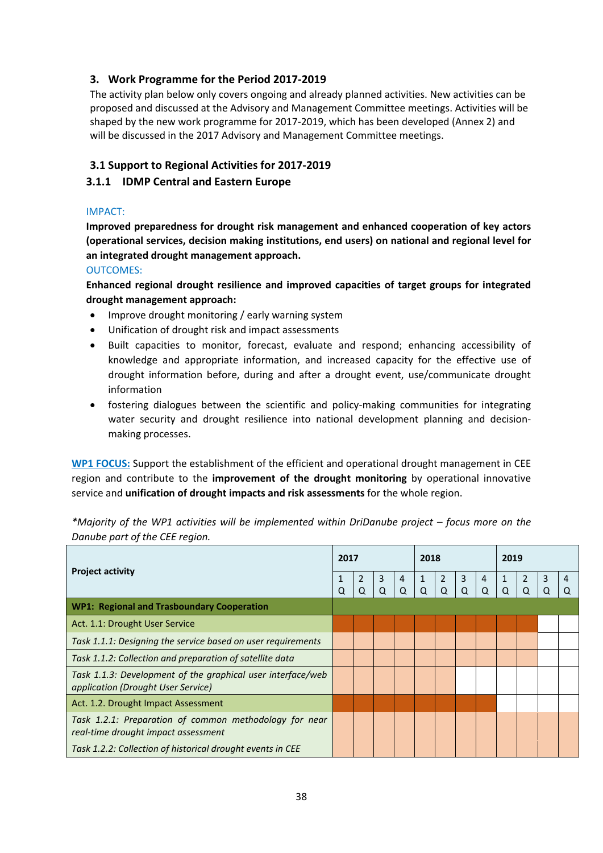## <span id="page-37-0"></span>**3. Work Programme for the Period 2017-2019**

The activity plan below only covers ongoing and already planned activities. New activities can be proposed and discussed at the Advisory and Management Committee meetings. Activities will be shaped by the new work programme for 2017-2019, which has been developed (Annex 2) and will be discussed in the 2017 Advisory and Management Committee meetings.

### <span id="page-37-1"></span>**3.1 Support to Regional Activities for 2017-2019**

### <span id="page-37-2"></span>**3.1.1 IDMP Central and Eastern Europe**

#### IMPACT:

**Improved preparedness for drought risk management and enhanced cooperation of key actors (operational services, decision making institutions, end users) on national and regional level for an integrated drought management approach.**

#### OUTCOMES:

**Enhanced regional drought resilience and improved capacities of target groups for integrated drought management approach:** 

- Improve drought monitoring / early warning system
- Unification of drought risk and impact assessments
- Built capacities to monitor, forecast, evaluate and respond; enhancing accessibility of knowledge and appropriate information, and increased capacity for the effective use of drought information before, during and after a drought event, use/communicate drought information
- fostering dialogues between the scientific and policy-making communities for integrating water security and drought resilience into national development planning and decisionmaking processes.

**WP1 FOCUS:** Support the establishment of the efficient and operational drought management in CEE region and contribute to the **improvement of the drought monitoring** by operational innovative service and **unification of drought impacts and risk assessments** for the whole region.

*\*Majority of the WP1 activities will be implemented within DriDanube project – focus more on the Danube part of the CEE region.* 

|                                                                                                   |   | 2017                |                     |                     | 2018              |                     |        |   | 2019              |                |        |   |  |
|---------------------------------------------------------------------------------------------------|---|---------------------|---------------------|---------------------|-------------------|---------------------|--------|---|-------------------|----------------|--------|---|--|
| <b>Project activity</b>                                                                           | Q | $\overline{2}$<br>Q | $\overline{3}$<br>Q | $\overline{4}$<br>Q | $\mathbf{1}$<br>Q | $\overline{2}$<br>Q | 3<br>Q | 4 | $\mathbf{1}$<br>Q | $\overline{2}$ | 3<br>Q | 4 |  |
| <b>WP1: Regional and Trasboundary Cooperation</b>                                                 |   |                     |                     |                     |                   |                     |        |   |                   |                |        |   |  |
| Act. 1.1: Drought User Service                                                                    |   |                     |                     |                     |                   |                     |        |   |                   |                |        |   |  |
| Task 1.1.1: Designing the service based on user requirements                                      |   |                     |                     |                     |                   |                     |        |   |                   |                |        |   |  |
| Task 1.1.2: Collection and preparation of satellite data                                          |   |                     |                     |                     |                   |                     |        |   |                   |                |        |   |  |
| Task 1.1.3: Development of the graphical user interface/web<br>application (Drought User Service) |   |                     |                     |                     |                   |                     |        |   |                   |                |        |   |  |
| Act. 1.2. Drought Impact Assessment                                                               |   |                     |                     |                     |                   |                     |        |   |                   |                |        |   |  |
| Task 1.2.1: Preparation of common methodology for near<br>real-time drought impact assessment     |   |                     |                     |                     |                   |                     |        |   |                   |                |        |   |  |
| Task 1.2.2: Collection of historical drought events in CEE                                        |   |                     |                     |                     |                   |                     |        |   |                   |                |        |   |  |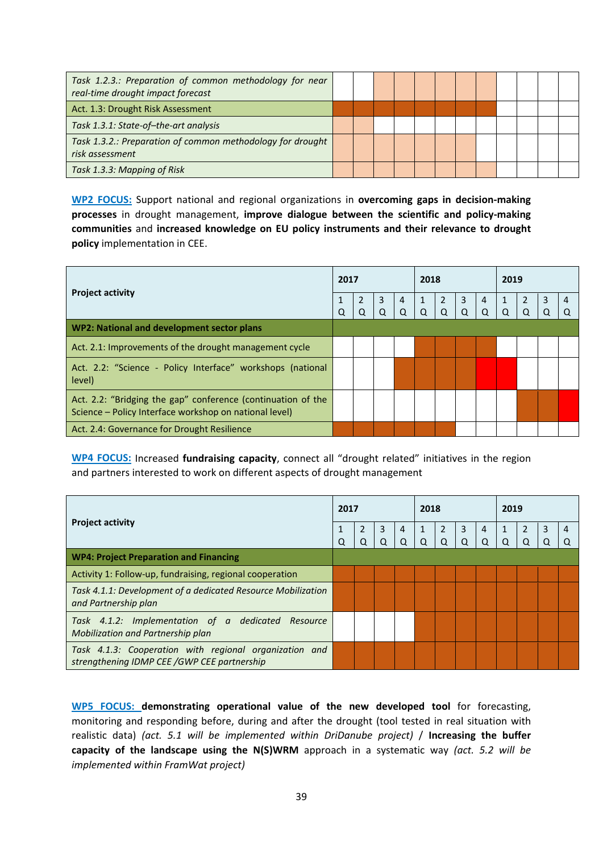| Task 1.2.3.: Preparation of common methodology for near<br>real-time drought impact forecast |  |  |  |  |  |  |
|----------------------------------------------------------------------------------------------|--|--|--|--|--|--|
| Act. 1.3: Drought Risk Assessment                                                            |  |  |  |  |  |  |
| Task 1.3.1: State-of-the-art analysis                                                        |  |  |  |  |  |  |
| Task 1.3.2.: Preparation of common methodology for drought<br>risk assessment                |  |  |  |  |  |  |
| Task 1.3.3: Mapping of Risk                                                                  |  |  |  |  |  |  |

**WP2 FOCUS:** Support national and regional organizations in **overcoming gaps in decision-making processes** in drought management, **improve dialogue between the scientific and policy-making communities** and **increased knowledge on EU policy instruments and their relevance to drought policy** implementation in CEE.

| <b>Project activity</b>                                                                                                | 2017 |   |                |            | 2018         |                |   |                | 2019         |  |   |   |  |
|------------------------------------------------------------------------------------------------------------------------|------|---|----------------|------------|--------------|----------------|---|----------------|--------------|--|---|---|--|
|                                                                                                                        |      |   | $\overline{3}$ | $\sqrt{4}$ | $\mathbf{1}$ | $\overline{2}$ | 3 | $\overline{4}$ | $\mathbf{1}$ |  | 3 | 4 |  |
|                                                                                                                        | Q    | O | O              | O          | Q            | O              | Q | O              | O            |  | O |   |  |
| WP2: National and development sector plans                                                                             |      |   |                |            |              |                |   |                |              |  |   |   |  |
| Act. 2.1: Improvements of the drought management cycle                                                                 |      |   |                |            |              |                |   |                |              |  |   |   |  |
| Act. 2.2: "Science - Policy Interface" workshops (national<br>level)                                                   |      |   |                |            |              |                |   |                |              |  |   |   |  |
| Act. 2.2: "Bridging the gap" conference (continuation of the<br>Science - Policy Interface workshop on national level) |      |   |                |            |              |                |   |                |              |  |   |   |  |
| Act. 2.4: Governance for Drought Resilience                                                                            |      |   |                |            |              |                |   |                |              |  |   |   |  |

**WP4 FOCUS:** Increased **fundraising capacity**, connect all "drought related" initiatives in the region and partners interested to work on different aspects of drought management

| <b>Project activity</b>                                                                               | 2017 |                     |                            |                     | 2018          |          |                            |               | 2019     |  |        |   |  |
|-------------------------------------------------------------------------------------------------------|------|---------------------|----------------------------|---------------------|---------------|----------|----------------------------|---------------|----------|--|--------|---|--|
|                                                                                                       | Q    | $\overline{2}$<br>O | $\overline{3}$<br>$\Omega$ | $\overline{4}$<br>O | 1<br>$\Omega$ | $\Omega$ | $\overline{3}$<br>$\Omega$ | 4<br>$\Omega$ | $\Omega$ |  | 3<br>Q | 4 |  |
| <b>WP4: Project Preparation and Financing</b>                                                         |      |                     |                            |                     |               |          |                            |               |          |  |        |   |  |
| Activity 1: Follow-up, fundraising, regional cooperation                                              |      |                     |                            |                     |               |          |                            |               |          |  |        |   |  |
| Task 4.1.1: Development of a dedicated Resource Mobilization<br>and Partnership plan                  |      |                     |                            |                     |               |          |                            |               |          |  |        |   |  |
| Task 4.1.2: Implementation of a dedicated Resource<br>Mobilization and Partnership plan               |      |                     |                            |                     |               |          |                            |               |          |  |        |   |  |
| Task 4.1.3: Cooperation with regional organization and<br>strengthening IDMP CEE /GWP CEE partnership |      |                     |                            |                     |               |          |                            |               |          |  |        |   |  |

**WP5 FOCUS: demonstrating operational value of the new developed tool** for forecasting, monitoring and responding before, during and after the drought (tool tested in real situation with realistic data) *(act. 5.1 will be implemented within DriDanube project)* / **Increasing the buffer capacity of the landscape using the N(S)WRM** approach in a systematic way *(act. 5.2 will be implemented within FramWat project)*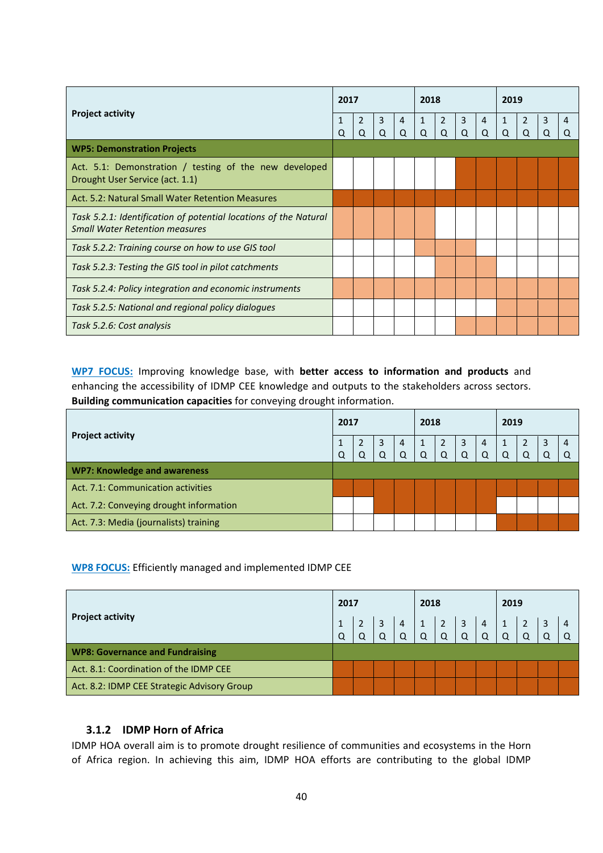|                                                                                                           | 2017   |                     |        |                     | 2018              |                     |                     |                     | 2019              |                     |        |        |  |
|-----------------------------------------------------------------------------------------------------------|--------|---------------------|--------|---------------------|-------------------|---------------------|---------------------|---------------------|-------------------|---------------------|--------|--------|--|
| <b>Project activity</b>                                                                                   | 1<br>Q | $\overline{2}$<br>Q | 3<br>Q | $\overline{4}$<br>Q | $\mathbf{1}$<br>Q | $\overline{2}$<br>Q | $\overline{3}$<br>Q | $\overline{4}$<br>Q | $\mathbf{1}$<br>Q | $\overline{2}$<br>Q | 3<br>Q | 4<br>Q |  |
| <b>WP5: Demonstration Projects</b>                                                                        |        |                     |        |                     |                   |                     |                     |                     |                   |                     |        |        |  |
| Act. 5.1: Demonstration / testing of the new developed<br>Drought User Service (act. 1.1)                 |        |                     |        |                     |                   |                     |                     |                     |                   |                     |        |        |  |
| Act. 5.2: Natural Small Water Retention Measures                                                          |        |                     |        |                     |                   |                     |                     |                     |                   |                     |        |        |  |
| Task 5.2.1: Identification of potential locations of the Natural<br><b>Small Water Retention measures</b> |        |                     |        |                     |                   |                     |                     |                     |                   |                     |        |        |  |
| Task 5.2.2: Training course on how to use GIS tool                                                        |        |                     |        |                     |                   |                     |                     |                     |                   |                     |        |        |  |
| Task 5.2.3: Testing the GIS tool in pilot catchments                                                      |        |                     |        |                     |                   |                     |                     |                     |                   |                     |        |        |  |
| Task 5.2.4: Policy integration and economic instruments                                                   |        |                     |        |                     |                   |                     |                     |                     |                   |                     |        |        |  |
| Task 5.2.5: National and regional policy dialogues                                                        |        |                     |        |                     |                   |                     |                     |                     |                   |                     |        |        |  |
| Task 5.2.6: Cost analysis                                                                                 |        |                     |        |                     |                   |                     |                     |                     |                   |                     |        |        |  |

**WP7 FOCUS:** Improving knowledge base, with **better access to information and products** and enhancing the accessibility of IDMP CEE knowledge and outputs to the stakeholders across sectors. **Building communication capacities** for conveying drought information.

| <b>Project activity</b>                 | 2017 |   |                | 2018       |                |                |                | 2019         |            |   |   |  |
|-----------------------------------------|------|---|----------------|------------|----------------|----------------|----------------|--------------|------------|---|---|--|
|                                         | 1    | 3 | $\overline{4}$ | $\sqrt{1}$ | $\overline{2}$ | $\overline{3}$ | $\overline{4}$ | $\mathbf{1}$ | $\sqrt{2}$ | 3 | 4 |  |
|                                         | Q    |   |                |            |                | Q              | $\Omega$       |              |            |   |   |  |
| <b>WP7: Knowledge and awareness</b>     |      |   |                |            |                |                |                |              |            |   |   |  |
| Act. 7.1: Communication activities      |      |   |                |            |                |                |                |              |            |   |   |  |
| Act. 7.2: Conveying drought information |      |   |                |            |                |                |                |              |            |   |   |  |
| Act. 7.3: Media (journalists) training  |      |   |                |            |                |                |                |              |            |   |   |  |

**WP8 FOCUS:** Efficiently managed and implemented IDMP CEE

|                                             | 2017 |   |   |          | 2018     |   |   | 2019 |  |   |   |  |
|---------------------------------------------|------|---|---|----------|----------|---|---|------|--|---|---|--|
| <b>Project activity</b>                     |      |   | 3 | 4        |          | 3 | 4 |      |  | 3 | 4 |  |
|                                             | Q    | O | Q | $\Omega$ | $\Omega$ |   | Q |      |  |   |   |  |
| <b>WP8: Governance and Fundraising</b>      |      |   |   |          |          |   |   |      |  |   |   |  |
| Act. 8.1: Coordination of the IDMP CEE      |      |   |   |          |          |   |   |      |  |   |   |  |
| Act. 8.2: IDMP CEE Strategic Advisory Group |      |   |   |          |          |   |   |      |  |   |   |  |

#### <span id="page-39-0"></span>**3.1.2 IDMP Horn of Africa**

IDMP HOA overall aim is to promote drought resilience of communities and ecosystems in the Horn of Africa region. In achieving this aim, IDMP HOA efforts are contributing to the global IDMP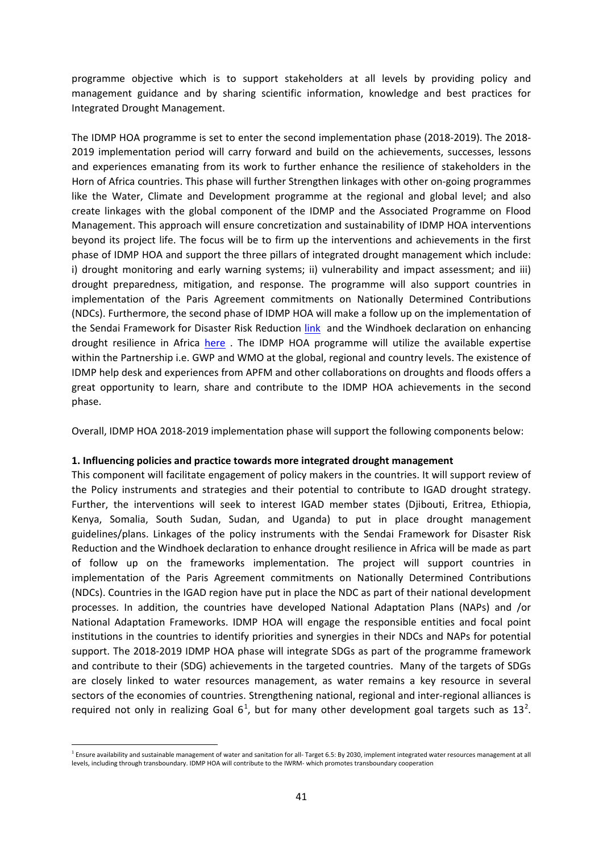programme objective which is to support stakeholders at all levels by providing policy and management guidance and by sharing scientific information, knowledge and best practices for Integrated Drought Management.

The IDMP HOA programme is set to enter the second implementation phase (2018-2019). The 2018- 2019 implementation period will carry forward and build on the achievements, successes, lessons and experiences emanating from its work to further enhance the resilience of stakeholders in the Horn of Africa countries. This phase will further Strengthen linkages with other on-going programmes like the Water, Climate and Development programme at the regional and global level; and also create linkages with the global component of the IDMP and the Associated Programme on Flood Management. This approach will ensure concretization and sustainability of IDMP HOA interventions beyond its project life. The focus will be to firm up the interventions and achievements in the first phase of IDMP HOA and support the three pillars of integrated drought management which include: i) drought monitoring and early warning systems; ii) vulnerability and impact assessment; and iii) drought preparedness, mitigation, and response. The programme will also support countries in implementation of the Paris Agreement commitments on Nationally Determined Contributions (NDCs). Furthermore, the second phase of IDMP HOA will make a follow up on the implementation of the Sendai Framework for Disaster Risk Reduction [link](http://www.ifrc.org/docs/IDRL/Sendai_Framework_for_Disaster_Risk_Reduction_2015-2030.pdf) and the Windhoek declaration on enhancing drought resilience in Africa [here](http://www.droughtmanagement.info/wp-content/uploads/2016/08/Windhoek-Declaration_Final-Adopted-by-ADC-15-19-August-2016.pdf) . The IDMP HOA programme will utilize the available expertise within the Partnership i.e. GWP and WMO at the global, regional and country levels. The existence of IDMP help desk and experiences from APFM and other collaborations on droughts and floods offers a great opportunity to learn, share and contribute to the IDMP HOA achievements in the second phase.

Overall, IDMP HOA 2018-2019 implementation phase will support the following components below:

#### **1. Influencing policies and practice towards more integrated drought management**

This component will facilitate engagement of policy makers in the countries. It will support review of the Policy instruments and strategies and their potential to contribute to IGAD drought strategy. Further, the interventions will seek to interest IGAD member states (Djibouti, Eritrea, Ethiopia, Kenya, Somalia, South Sudan, Sudan, and Uganda) to put in place drought management guidelines/plans. Linkages of the policy instruments with the Sendai Framework for Disaster Risk Reduction and the Windhoek declaration to enhance drought resilience in Africa will be made as part of follow up on the frameworks implementation. The project will support countries in implementation of the Paris Agreement commitments on Nationally Determined Contributions (NDCs). Countries in the IGAD region have put in place the NDC as part of their national development processes. In addition, the countries have developed National Adaptation Plans (NAPs) and /or National Adaptation Frameworks. IDMP HOA will engage the responsible entities and focal point institutions in the countries to identify priorities and synergies in their NDCs and NAPs for potential support. The 2018-2019 IDMP HOA phase will integrate SDGs as part of the programme framework and contribute to their (SDG) achievements in the targeted countries. Many of the targets of SDGs are closely linked to water resources management, as water remains a key resource in several sectors of the economies of countries. Strengthening national, regional and inter-regional alliances is required not only in realizing Goal  $6^1$  $6^1$ , but for many other development goal targets such as 13<sup>[2](#page-40-1)</sup>.

<span id="page-40-1"></span><span id="page-40-0"></span> $1$  Ensure availability and sustainable management of water and sanitation for all-Target 6.5: By 2030, implement integrated water resources management at all levels, including through transboundary. IDMP HOA will contribute to the IWRM- which promotes transboundary cooperation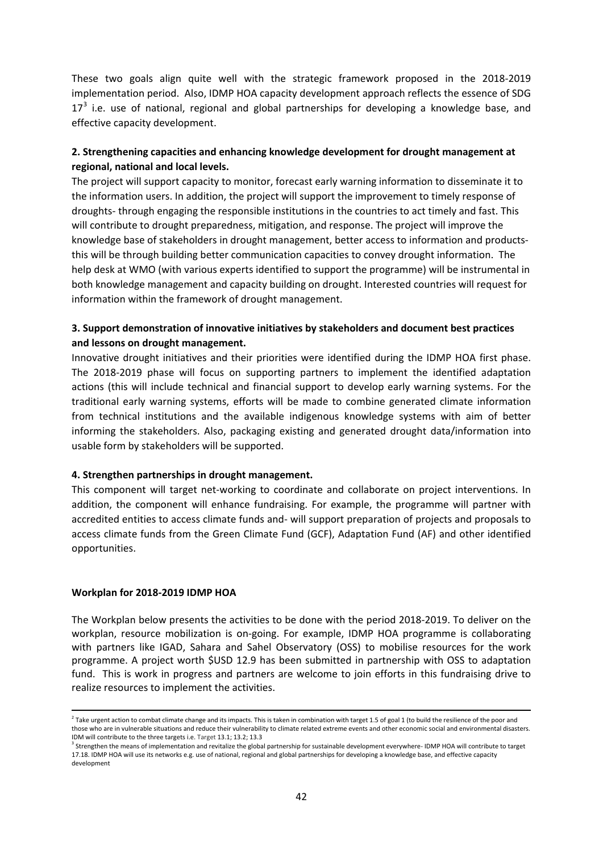These two goals align quite well with the strategic framework proposed in the 2018-2019 implementation period. Also, IDMP HOA capacity development approach reflects the essence of SDG  $17<sup>3</sup>$  $17<sup>3</sup>$  $17<sup>3</sup>$  i.e. use of national, regional and global partnerships for developing a knowledge base, and effective capacity development.

#### **2. Strengthening capacities and enhancing knowledge development for drought management at regional, national and local levels.**

The project will support capacity to monitor, forecast early warning information to disseminate it to the information users. In addition, the project will support the improvement to timely response of droughts- through engaging the responsible institutions in the countries to act timely and fast. This will contribute to drought preparedness, mitigation, and response. The project will improve the knowledge base of stakeholders in drought management, better access to information and productsthis will be through building better communication capacities to convey drought information. The help desk at WMO (with various experts identified to support the programme) will be instrumental in both knowledge management and capacity building on drought. Interested countries will request for information within the framework of drought management.

#### **3. Support demonstration of innovative initiatives by stakeholders and document best practices and lessons on drought management.**

Innovative drought initiatives and their priorities were identified during the IDMP HOA first phase. The 2018-2019 phase will focus on supporting partners to implement the identified adaptation actions (this will include technical and financial support to develop early warning systems. For the traditional early warning systems, efforts will be made to combine generated climate information from technical institutions and the available indigenous knowledge systems with aim of better informing the stakeholders. Also, packaging existing and generated drought data/information into usable form by stakeholders will be supported.

#### **4. Strengthen partnerships in drought management.**

This component will target net-working to coordinate and collaborate on project interventions. In addition, the component will enhance fundraising. For example, the programme will partner with accredited entities to access climate funds and- will support preparation of projects and proposals to access climate funds from the Green Climate Fund (GCF), Adaptation Fund (AF) and other identified opportunities.

#### **Workplan for 2018-2019 IDMP HOA**

The Workplan below presents the activities to be done with the period 2018-2019. To deliver on the workplan, resource mobilization is on-going. For example, IDMP HOA programme is collaborating with partners like IGAD, Sahara and Sahel Observatory (OSS) to mobilise resources for the work programme. A project worth \$USD 12.9 has been submitted in partnership with OSS to adaptation fund. This is work in progress and partners are welcome to join efforts in this fundraising drive to realize resources to implement the activities.

<sup>&</sup>lt;sup>2</sup> Take urgent action to combat climate change and its impacts. This is taken in combination with target 1.5 of goal 1 (to build the resilience of the poor and those who are in vulnerable situations and reduce their vulnerability to climate related extreme events and other economic social and environmental disasters. IDM will contribute to the three targets i.e. Target 13.1; 13.2; 13.3<br><sup>3</sup> Strengthen the means of implementation and revitalize the global partnership for sustainable development everywhere- IDMP HOA will contribute to tar

<span id="page-41-0"></span><sup>17.18.</sup> IDMP HOA will use its networks e.g. use of national, regional and global partnerships for developing a knowledge base, and effective capacity development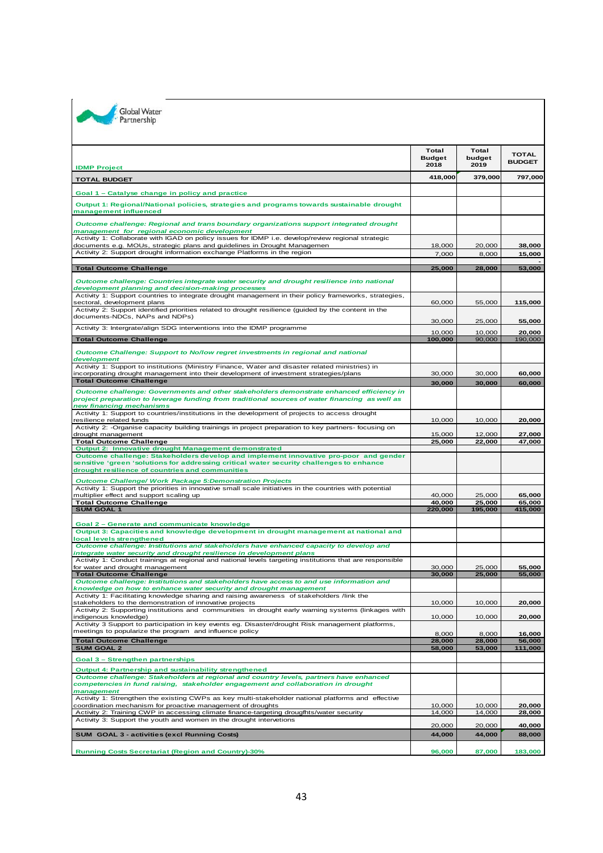| <b>IDMP Project</b>                                                                                                                                                                                                                 | Total<br><b>Budget</b><br>2018 | Total<br>budget<br>2019 | <b>TOTAL</b><br><b>BUDGET</b> |
|-------------------------------------------------------------------------------------------------------------------------------------------------------------------------------------------------------------------------------------|--------------------------------|-------------------------|-------------------------------|
|                                                                                                                                                                                                                                     | 418,000                        | 379,000                 | 797,000                       |
| <b>TOTAL BUDGET</b>                                                                                                                                                                                                                 |                                |                         |                               |
| Goal 1 - Catalyse change in policy and practice                                                                                                                                                                                     |                                |                         |                               |
| Output 1: Regional/National policies, strategies and programs towards sustainable drought<br>management influenced                                                                                                                  |                                |                         |                               |
| Outcome challenge: Regional and trans boundary organizations support integrated drought<br>management for regional economic development                                                                                             |                                |                         |                               |
| Activity 1: Collaborate with IGAD on policy issues for IDMP i.e. develop/review regional strategic                                                                                                                                  | 18.000                         | 20,000                  |                               |
| documents e.g. MOUs, strategic plans and guidelines in Drought Managemen<br>Activity 2: Support drought information exchange Platforms in the region                                                                                | 7,000                          | 8,000                   | 38,000<br>15,000              |
|                                                                                                                                                                                                                                     |                                |                         |                               |
| <b>Total Outcome Challenge</b>                                                                                                                                                                                                      | 25,000                         | 28,000                  | 53,000                        |
| Outcome challenge: Countries integrate water security and drought resilience into national<br>development planning and decision-making processes                                                                                    |                                |                         |                               |
| Activity 1: Support countries to integrate drought management in their policy frameworks, strategies,<br>sectoral, development plans                                                                                                | 60,000                         | 55,000                  | 115,000                       |
| Activity 2: Support identified priorities related to drought resilience (guided by the content in the<br>documents-NDCs, NAPs and NDPs)                                                                                             | 30,000                         | 25,000                  | 55,000                        |
| Activity 3: Intergrate/align SDG interventions into the IDMP programme                                                                                                                                                              |                                |                         |                               |
| <b>Total Outcome Challenge</b>                                                                                                                                                                                                      | 10,000<br>100,000              | 10.000<br>90,000        | 20,000<br>190,000             |
| Outcome Challenge: Support to No/low regret investments in regional and national                                                                                                                                                    |                                |                         |                               |
| development<br>Activity 1: Support to institutions (Ministry Finance, Water and disaster related ministries) in                                                                                                                     |                                |                         |                               |
| incorporating drought management into their development of investment strategies/plans                                                                                                                                              | 30,000                         | 30,000                  | 60,000                        |
| <b>Total Outcome Challenge</b>                                                                                                                                                                                                      | 30,000                         | 30,000                  | 60,000                        |
| Outcome challenge: Governments and other stakeholders demonstrate enhanced efficiency in<br>project preparation to leverage funding from traditional sources of water financing as well as<br>new financing mechanisms              |                                |                         |                               |
| Activity 1: Support to countries/institutions in the development of projects to access drought                                                                                                                                      |                                |                         |                               |
| resilience related funds<br>Activity 2: - Organise capacity building trainings in project preparation to key partners- focusing on                                                                                                  | 10,000                         | 10,000                  | 20,000                        |
| drought management                                                                                                                                                                                                                  | 15,000                         | 12,000                  | 27,000                        |
| <b>Total Outcome Challenge</b><br>Output 2: Innovative drought Management demonstrated                                                                                                                                              | 25,000                         | 22,000                  | 47,000                        |
| Outcome challenge: Stakeholders develop and implement innovative pro-poor and gender<br>sensitive 'green 'solutions for addressing critical water security challenges to enhance<br>drought resilience of countries and communities |                                |                         |                               |
| <b>Outcome Challenge/ Work Package 5: Demonstration Projects</b>                                                                                                                                                                    |                                |                         |                               |
| Activity 1: Support the priorities in innovative small scale initiatives in the countries with potential                                                                                                                            |                                |                         |                               |
| multiplier effect and support scaling up<br><b>Total Outcome Challenge</b>                                                                                                                                                          | 40,000<br>40,000               | 25,000<br>25,000        | 65,000<br>65,000              |
| <b>SUM GOAL 1</b>                                                                                                                                                                                                                   | 220,000                        | 195,000                 | 415,000                       |
| Goal 2 - Generate and communicate knowledge                                                                                                                                                                                         |                                |                         |                               |
| Output 3: Capacities and knowledge development in drought management at national and                                                                                                                                                |                                |                         |                               |
| local levels strengthened<br>Outcome challenge: Institutions and stakeholders have enhanced capacity to develop and                                                                                                                 |                                |                         |                               |
| integrate water security and drought resilience in development plans<br>Activity 1: Conduct trainings at regional and national levels targeting institutions that are responsible                                                   |                                |                         |                               |
| for water and drought management                                                                                                                                                                                                    | 30,000                         | 25,000                  | 55,000                        |
| <b>Total Outcome Challenge</b>                                                                                                                                                                                                      | 30,000                         | 25,000                  | 55,000                        |
| Outcome challenge: Institutions and stakeholders have access to and use information and<br>knowledge on how to enhance water security and drought management                                                                        |                                |                         |                               |
| Activity 1: Facilitating knowledge sharing and raising awareness of stakeholders /link the                                                                                                                                          |                                |                         |                               |
| stakeholders to the demonstration of innovative projects<br>Activity 2: Supporting institutions and communities in drought early warning systems (linkages with                                                                     | 10,000                         | 10,000                  | 20,000                        |
| indigenous knowledge)                                                                                                                                                                                                               | 10,000                         | 10,000                  | 20,000                        |
| Activity 3 Support to participation in key events eg. Disaster/drought Risk management platforms,<br>meetings to popularize the program and influence policy                                                                        |                                |                         |                               |
| <b>Total Outcome Challenge</b>                                                                                                                                                                                                      | 8,000<br>28,000                | 8,000<br>28,000         | 16,000<br>56,000              |
| <b>SUM GOAL 2</b>                                                                                                                                                                                                                   | 58,000                         | 53,000                  | 111,000                       |
| <b>Goal 3 - Strengthen partnerships</b>                                                                                                                                                                                             |                                |                         |                               |
| Output 4: Partnership and sustainability strengthened                                                                                                                                                                               |                                |                         |                               |
| Outcome challenge: Stakeholders at regional and country levels, partners have enhanced<br>competencies in fund raising, stakeholder engagement and collaboration in drought                                                         |                                |                         |                               |
| management                                                                                                                                                                                                                          |                                |                         |                               |
| Activity 1: Strengthen the existing CWPs as key multi-stakeholder national platforms and effective<br>coordination mechanism for proactive management of droughts                                                                   | 10,000                         | 10,000                  | 20,000                        |
| Activity 2: Training CWP in accessing climate finance-targeting drougfhts/water security                                                                                                                                            | 14,000                         | 14,000                  | 28,000                        |
| Activity 3: Support the youth and women in the drought intervetions                                                                                                                                                                 | 20,000                         | 20,000                  | 40,000                        |
| SUM GOAL 3 - activities (excl Running Costs)                                                                                                                                                                                        | 44,000                         | 44,000                  | 88,000                        |
| <b>Running Costs Secretariat (Region and Country)-30%</b>                                                                                                                                                                           | 96,000                         | 87,000                  | 183,000                       |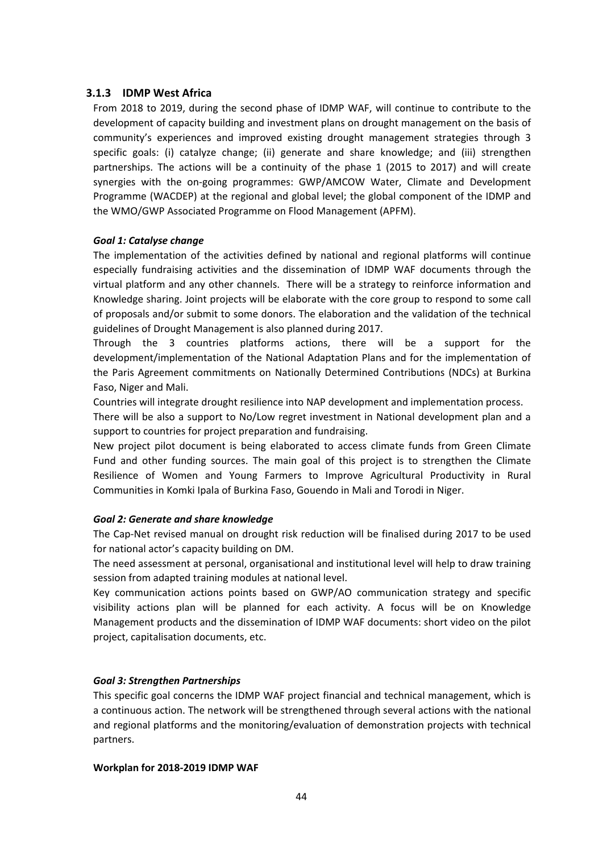#### <span id="page-43-0"></span>**3.1.3 IDMP West Africa**

From 2018 to 2019, during the second phase of IDMP WAF, will continue to contribute to the development of capacity building and investment plans on drought management on the basis of community's experiences and improved existing drought management strategies through 3 specific goals: (i) catalyze change; (ii) generate and share knowledge; and (iii) strengthen partnerships. The actions will be a continuity of the phase 1 (2015 to 2017) and will create synergies with the on-going programmes: GWP/AMCOW Water, Climate and Development Programme (WACDEP) at the regional and global level; the global component of the IDMP and the WMO/GWP Associated Programme on Flood Management (APFM).

#### *Goal 1: Catalyse change*

The implementation of the activities defined by national and regional platforms will continue especially fundraising activities and the dissemination of IDMP WAF documents through the virtual platform and any other channels. There will be a strategy to reinforce information and Knowledge sharing. Joint projects will be elaborate with the core group to respond to some call of proposals and/or submit to some donors. The elaboration and the validation of the technical guidelines of Drought Management is also planned during 2017.

Through the 3 countries platforms actions, there will be a support for the development/implementation of the National Adaptation Plans and for the implementation of the Paris Agreement commitments on Nationally Determined Contributions (NDCs) at Burkina Faso, Niger and Mali.

Countries will integrate drought resilience into NAP development and implementation process.

There will be also a support to No/Low regret investment in National development plan and a support to countries for project preparation and fundraising.

New project pilot document is being elaborated to access climate funds from Green Climate Fund and other funding sources. The main goal of this project is to strengthen the Climate Resilience of Women and Young Farmers to Improve Agricultural Productivity in Rural Communities in Komki Ipala of Burkina Faso, Gouendo in Mali and Torodi in Niger.

#### *Goal 2: Generate and share knowledge*

The Cap-Net revised manual on drought risk reduction will be finalised during 2017 to be used for national actor's capacity building on DM.

The need assessment at personal, organisational and institutional level will help to draw training session from adapted training modules at national level.

Key communication actions points based on GWP/AO communication strategy and specific visibility actions plan will be planned for each activity. A focus will be on Knowledge Management products and the dissemination of IDMP WAF documents: short video on the pilot project, capitalisation documents, etc.

#### *Goal 3: Strengthen Partnerships*

This specific goal concerns the IDMP WAF project financial and technical management, which is a continuous action. The network will be strengthened through several actions with the national and regional platforms and the monitoring/evaluation of demonstration projects with technical partners.

#### **Workplan for 2018-2019 IDMP WAF**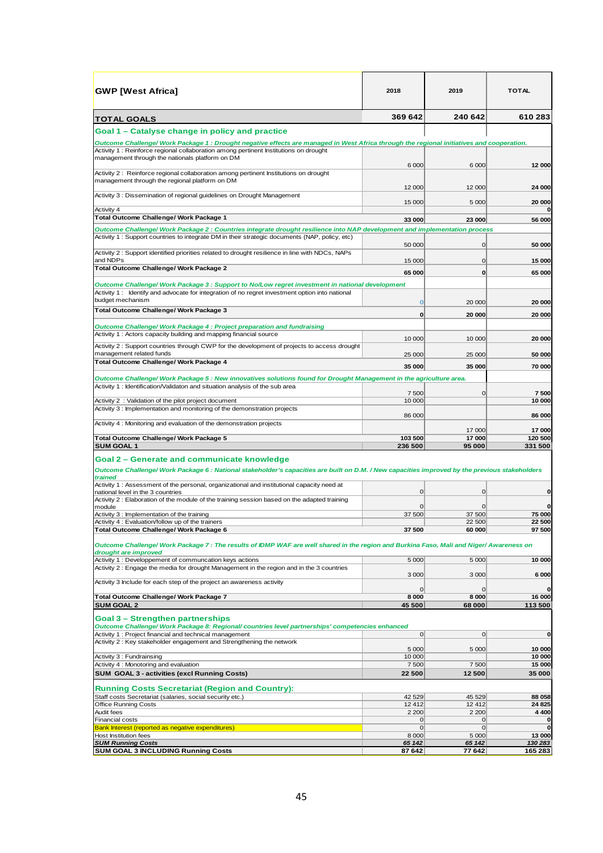| <b>GWP</b> [West Africa]                                                                                                                                          | 2018                | 2019                | TOTAL                 |
|-------------------------------------------------------------------------------------------------------------------------------------------------------------------|---------------------|---------------------|-----------------------|
| TOTAL GOALS                                                                                                                                                       | 369 642             | 240 642             | 610 283               |
| Goal 1 – Catalyse change in policy and practice                                                                                                                   |                     |                     |                       |
| Outcome Challenge/Work Package 1 : Drought negative effects are managed in West Africa through the regional initiatives and cooperation.                          |                     |                     |                       |
| Activity 1: Reinforce regional collaboration among pertinent Institutions on drought<br>management through the nationals platform on DM                           | 6 0 0 0             | 6 0 0 0             | 12 000                |
| Activity 2: Reinforce regional collaboration among pertinent Institutions on drought<br>management through the regional platform on DM                            |                     | 12 000              |                       |
| Activity 3 : Dissemination of regional guidelines on Drought Management                                                                                           | 12 000<br>15 000    | 5 0 0 0             | 24 000<br>20 000      |
| Activity 4<br>Total Outcome Challenge/ Work Package 1                                                                                                             | 33 000              | 23 000              | $\Omega$<br>56 000    |
| Outcome Challenge/ Work Package 2 : Countries integrate drought resilience into NAP development and implementation process                                        |                     |                     |                       |
| Activity 1: Support countries to integrate DM in their strategic documents (NAP, policy, etc)                                                                     | 50 000              | 0                   | 50 000                |
| Activity 2 : Support identified priorities related to drought resilience in line with NDCs, NAPs<br>and NDPs                                                      | 15 000              | 0                   | 15 000                |
| Total Outcome Challenge/ Work Package 2                                                                                                                           | 65 000              | 0                   | 65 000                |
| Outcome Challenge/ Work Package 3 : Support to No/Low regret investment in national development                                                                   |                     |                     |                       |
| Activity 1: Identify and advocate for integration of no regret investment option into national<br>budget mechanism                                                | $\mathbf 0$         | 20 000              | 20 000                |
| Total Outcome Challenge/ Work Package 3                                                                                                                           | 0                   | 20 000              | 20 000                |
| Outcome Challenge/Work Package 4 : Project preparation and fundraising                                                                                            |                     |                     |                       |
| Activity 1: Actors capacity building and mapping financial source<br>Activity 2 : Support countries through CWP for the development of projects to access drought | 10 000              | 10 000              | 20 000                |
| management related funds                                                                                                                                          | 25 000              | 25 000              | 50 000                |
| Total Outcome Challenge/ Work Package 4                                                                                                                           | 35 000              | 35 000              | 70 000                |
| Outcome Challenge/ Work Package 5 : New innovatives solutions found for Drought Management in the agriculture area.                                               |                     |                     |                       |
| Activity 1: Identification/Validaton and situation analysis of the sub area                                                                                       | 7500                | 0                   | 7500                  |
| Activity 2 : Validation of the pilot project document                                                                                                             | 10 000              |                     | 10 000                |
| Activity 3 : Implementation and monitoring of the demonstration projects                                                                                          | 86 000              |                     | 86 000                |
| Activity 4: Monitoring and evaluation of the demonstration projects                                                                                               |                     | 17 000              | 17 000                |
| Total Outcome Challenge/ Work Package 5<br><b>SUM GOAL 1</b>                                                                                                      | 103 500<br>236 500  | 17000<br>95 000     | 120 500<br>331 500    |
| Goal 2 – Generate and communicate knowledge                                                                                                                       |                     |                     |                       |
| Outcome Challenge/ Work Package 6 : National stakeholder's capacities are built on D.M. / New capacities improved by the previous stakeholders                    |                     |                     |                       |
| trained                                                                                                                                                           |                     |                     |                       |
| Activity 1 : Assessment of the personal, organizational and institutional capacity need at<br>national level in the 3 countries                                   | 0                   | 0                   | $\mathbf 0$           |
| Activity 2 : Elaboration of the module of the training session based on the adapted training<br>module                                                            | $\mathbf 0$         | 0                   | $\mathbf{0}$          |
| Activity 3 : Implementation of the training                                                                                                                       | 37 500              | 37 500              | 75 000                |
| Activity 4 : Evaluation/follow up of the trainers<br>Total Outcome Challenge/ Work Package 6                                                                      | 37 500              | 22 500<br>60 000    | 22 500<br>97 500      |
|                                                                                                                                                                   |                     |                     |                       |
| Outcome Challenge/Work Package 7: The results of IDMP WAF are well shared in the region and Burkina Faso, Mali and Niger/Awareness on<br>drought are improved     |                     |                     |                       |
| Activity 1: Developpement of communcation keys actions                                                                                                            | 5 0 0 0             | 5 0 0 0             | 10 000                |
| Activity 2: Engage the media for drought Management in the region and in the 3 countries                                                                          | 3 0 0 0             | 3 0 0 0             | 6 000                 |
| Activity 3 Include for each step of the project an awareness activity                                                                                             | 0                   | 0                   | $\mathbf{0}$          |
| Total Outcome Challenge/ Work Package 7                                                                                                                           | 8 0 0 0             | 8 0 0 0             | 16 000                |
| <b>SUM GOAL 2</b>                                                                                                                                                 | 45 500              | 68 000              | 113 500               |
| <b>Goal 3 – Strengthen partnerships</b><br>Outcome Challenge/Work Package 8: Regional/ countries level partnerships' competencies enhanced                        |                     |                     |                       |
| Activity 1: Project financial and technical management                                                                                                            | $\vert$ 0           | $\Omega$            | $\bf o$               |
| Activity 2: Key stakeholder engagement and Strengthening the network                                                                                              | 5 0 0 0             | 5 0 0 0             | 10 000                |
| Activity 3 : Fundrainsing                                                                                                                                         | 10 000              |                     | 10 000                |
| Activity 4 : Monotoring and evaluation                                                                                                                            | 7500                | 7500                | 15 000                |
| SUM GOAL 3 - activities (excl Running Costs)                                                                                                                      | 22 500              | 12 500              | 35 000                |
| <b>Running Costs Secretariat (Region and Country):</b>                                                                                                            |                     |                     |                       |
| Staff costs Secretariat (salaries, social security etc.)                                                                                                          | 42 5 29             | 45 529              | 88 058                |
| Office Running Costs<br>Audit fees                                                                                                                                | 12412<br>2 2 0 0    | 12412<br>2 2 0 0    | 24 8 25<br>4 4 0 0    |
| Financial costs                                                                                                                                                   | $\overline{0}$      | $\overline{0}$      | 0                     |
| Bank Interest (reported as negative expenditures)<br>Host Institution fees                                                                                        | $\Omega$<br>8 0 0 0 | $\Omega$<br>5 0 0 0 | $\mathbf 0$<br>13 000 |
| <b>SUM Running Costs</b>                                                                                                                                          | 65 142              | 65 142              | 130 283               |
| <b>SUM GOAL 3 INCLUDING Running Costs</b>                                                                                                                         | 87 642              | 77 642              | 165 283               |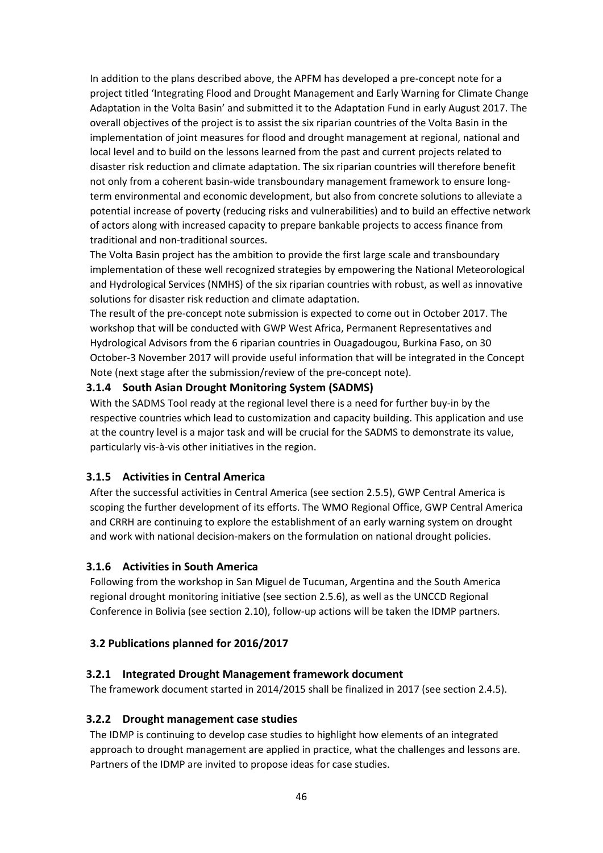In addition to the plans described above, the APFM has developed a pre-concept note for a project titled 'Integrating Flood and Drought Management and Early Warning for Climate Change Adaptation in the Volta Basin' and submitted it to the Adaptation Fund in early August 2017. The overall objectives of the project is to assist the six riparian countries of the Volta Basin in the implementation of joint measures for flood and drought management at regional, national and local level and to build on the lessons learned from the past and current projects related to disaster risk reduction and climate adaptation. The six riparian countries will therefore benefit not only from a coherent basin-wide transboundary management framework to ensure longterm environmental and economic development, but also from concrete solutions to alleviate a potential increase of poverty (reducing risks and vulnerabilities) and to build an effective network of actors along with increased capacity to prepare bankable projects to access finance from traditional and non-traditional sources.

The Volta Basin project has the ambition to provide the first large scale and transboundary implementation of these well recognized strategies by empowering the National Meteorological and Hydrological Services (NMHS) of the six riparian countries with robust, as well as innovative solutions for disaster risk reduction and climate adaptation.

The result of the pre-concept note submission is expected to come out in October 2017. The workshop that will be conducted with GWP West Africa, Permanent Representatives and Hydrological Advisors from the 6 riparian countries in Ouagadougou, Burkina Faso, on 30 October-3 November 2017 will provide useful information that will be integrated in the Concept Note (next stage after the submission/review of the pre-concept note).

#### <span id="page-45-0"></span>**3.1.4 South Asian Drought Monitoring System (SADMS)**

With the SADMS Tool ready at the regional level there is a need for further buy-in by the respective countries which lead to customization and capacity building. This application and use at the country level is a major task and will be crucial for the SADMS to demonstrate its value, particularly vis-à-vis other initiatives in the region.

#### <span id="page-45-1"></span>**3.1.5 Activities in Central America**

After the successful activities in Central America (see section 2.5.5), GWP Central America is scoping the further development of its efforts. The WMO Regional Office, GWP Central America and CRRH are continuing to explore the establishment of an early warning system on drought and work with national decision-makers on the formulation on national drought policies.

#### <span id="page-45-2"></span>**3.1.6 Activities in South America**

Following from the workshop in San Miguel de Tucuman, Argentina and the South America regional drought monitoring initiative (see section 2.5.6), as well as the UNCCD Regional Conference in Bolivia (see section 2.10), follow-up actions will be taken the IDMP partners.

#### <span id="page-45-3"></span>**3.2 Publications planned for 2016/2017**

#### <span id="page-45-4"></span>**3.2.1 Integrated Drought Management framework document**

The framework document started in 2014/2015 shall be finalized in 2017 (see section 2.4.5).

#### <span id="page-45-5"></span>**3.2.2 Drought management case studies**

The IDMP is continuing to develop case studies to highlight how elements of an integrated approach to drought management are applied in practice, what the challenges and lessons are. Partners of the IDMP are invited to propose ideas for case studies.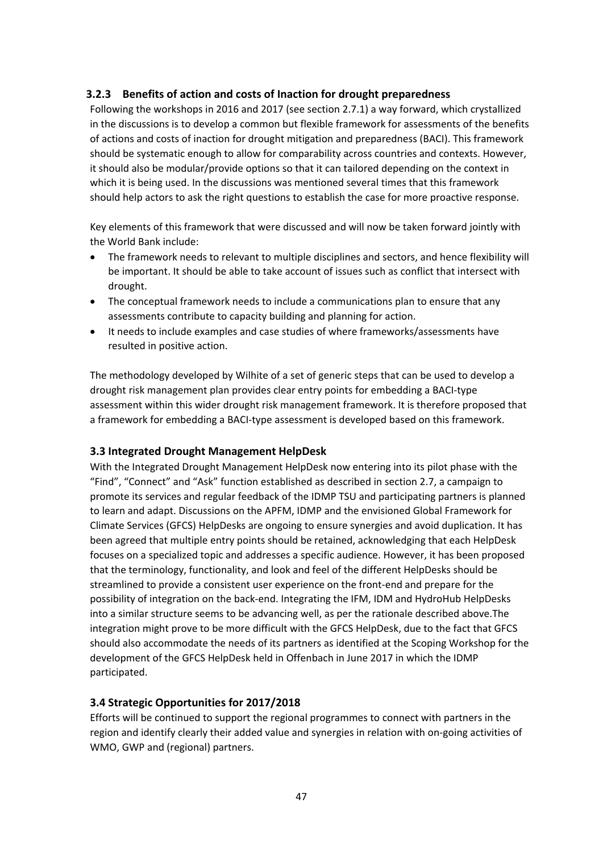## <span id="page-46-0"></span>**3.2.3 Benefits of action and costs of Inaction for drought preparedness**

Following the workshops in 2016 and 2017 (see section 2.7.1) a way forward, which crystallized in the discussions is to develop a common but flexible framework for assessments of the benefits of actions and costs of inaction for drought mitigation and preparedness (BACI). This framework should be systematic enough to allow for comparability across countries and contexts. However, it should also be modular/provide options so that it can tailored depending on the context in which it is being used. In the discussions was mentioned several times that this framework should help actors to ask the right questions to establish the case for more proactive response.

Key elements of this framework that were discussed and will now be taken forward jointly with the World Bank include:

- The framework needs to relevant to multiple disciplines and sectors, and hence flexibility will be important. It should be able to take account of issues such as conflict that intersect with drought.
- The conceptual framework needs to include a communications plan to ensure that any assessments contribute to capacity building and planning for action.
- It needs to include examples and case studies of where frameworks/assessments have resulted in positive action.

The methodology developed by Wilhite of a set of generic steps that can be used to develop a drought risk management plan provides clear entry points for embedding a BACI-type assessment within this wider drought risk management framework. It is therefore proposed that a framework for embedding a BACI-type assessment is developed based on this framework.

#### <span id="page-46-1"></span>**3.3 Integrated Drought Management HelpDesk**

With the Integrated Drought Management HelpDesk now entering into its pilot phase with the "Find", "Connect" and "Ask" function established as described in section 2.7, a campaign to promote its services and regular feedback of the IDMP TSU and participating partners is planned to learn and adapt. Discussions on the APFM, IDMP and the envisioned Global Framework for Climate Services (GFCS) HelpDesks are ongoing to ensure synergies and avoid duplication. It has been agreed that multiple entry points should be retained, acknowledging that each HelpDesk focuses on a specialized topic and addresses a specific audience. However, it has been proposed that the terminology, functionality, and look and feel of the different HelpDesks should be streamlined to provide a consistent user experience on the front-end and prepare for the possibility of integration on the back-end. Integrating the IFM, IDM and HydroHub HelpDesks into a similar structure seems to be advancing well, as per the rationale described above.The integration might prove to be more difficult with the GFCS HelpDesk, due to the fact that GFCS should also accommodate the needs of its partners as identified at the Scoping Workshop for the development of the GFCS HelpDesk held in Offenbach in June 2017 in which the IDMP participated.

#### **3.4 Strategic Opportunities for 2017/2018**

Efforts will be continued to support the regional programmes to connect with partners in the region and identify clearly their added value and synergies in relation with on-going activities of WMO, GWP and (regional) partners.